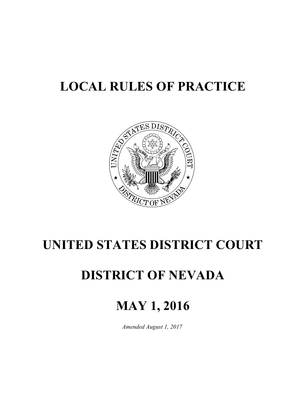# **LOCAL RULES OF PRACTICE**



# **UNITED STATES DISTRICT COURT**

# **DISTRICT OF NEVADA**

# **MAY 1, 2016**

*Amended August 1, 2017*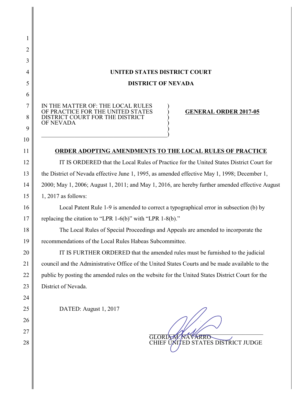| 4  | UNITED STATES DISTRICT COURT                                                                           |
|----|--------------------------------------------------------------------------------------------------------|
| 5  | <b>DISTRICT OF NEVADA</b>                                                                              |
| 6  |                                                                                                        |
| 7  | IN THE MATTER OF: THE LOCAL RULES<br>OF PRACTICE FOR THE UNITED STATES<br><b>GENERAL ORDER 2017-05</b> |
| 8  | DISTRICT COURT FOR THE DISTRICT<br>OF NEVADA                                                           |
| 9  |                                                                                                        |
| 10 |                                                                                                        |
| 11 | <b>ORDER ADOPTING AMENDMENTS TO THE LOCAL RULES OF PRACTICE</b>                                        |
| 12 | IT IS ORDERED that the Local Rules of Practice for the United States District Court for                |
| 13 | the District of Nevada effective June 1, 1995, as amended effective May 1, 1998; December 1,           |
| 14 | 2000; May 1, 2006; August 1, 2011; and May 1, 2016, are hereby further amended effective August        |
| 15 | $1,2017$ as follows:                                                                                   |
| 16 | Local Patent Rule 1-9 is amended to correct a typographical error in subsection (b) by                 |
| 17 | replacing the citation to "LPR 1-6(b)" with "LPR 1-8(b)."                                              |
| 18 | The Local Rules of Special Proceedings and Appeals are amended to incorporate the                      |
| 19 | recommendations of the Local Rules Habeas Subcommittee.                                                |
| 20 | IT IS FURTHER ORDERED that the amended rules must be furnished to the judicial                         |
| 21 | council and the Administrative Office of the United States Courts and be made available to the         |
| 22 | public by posting the amended rules on the website for the United States District Court for the        |
| 23 | District of Nevada.                                                                                    |
| 24 |                                                                                                        |
| 25 | DATED: August 1, 2017                                                                                  |
| 26 |                                                                                                        |
| 27 | ARR <sub>(</sub>                                                                                       |
| 28 | CHIEF UNITED STATES DISTRICT JUDGE                                                                     |

1

2

3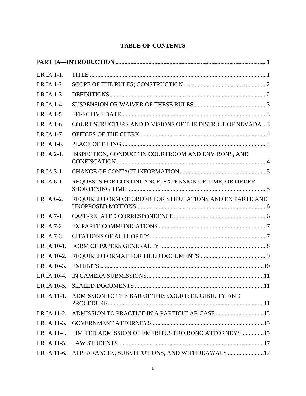# **TABLE OF CONTENTS**

| LR IA 1-1.  |                                                                 |  |
|-------------|-----------------------------------------------------------------|--|
| LR IA 1-2.  |                                                                 |  |
| LR IA 1-3.  |                                                                 |  |
| LR IA 1-4.  |                                                                 |  |
| LR IA 1-5.  |                                                                 |  |
| LR IA 1-6.  | COURT STRUCTURE AND DIVISIONS OF THE DISTRICT OF NEVADA3        |  |
| LR IA 1-7.  |                                                                 |  |
| LR IA 1-8.  |                                                                 |  |
| LR IA 2-1.  | INSPECTION, CONDUCT IN COURTROOM AND ENVIRONS, AND              |  |
| LR IA 3-1.  |                                                                 |  |
| LR IA 6-1.  | REQUESTS FOR CONTINUANCE, EXTENSION OF TIME, OR ORDER           |  |
| LR IA 6-2.  | REQUIRED FORM OF ORDER FOR STIPULATIONS AND EX PARTE AND        |  |
| LR IA 7-1.  |                                                                 |  |
| LR IA 7-2.  |                                                                 |  |
| LR IA 7-3.  |                                                                 |  |
| LR IA 10-1. |                                                                 |  |
| LR IA 10-2. |                                                                 |  |
| LR IA 10-3. |                                                                 |  |
|             |                                                                 |  |
|             |                                                                 |  |
|             | LR IA 11-1. ADMISSION TO THE BAR OF THIS COURT; ELIGIBILITY AND |  |
|             | LR IA 11-2. ADMISSION TO PRACTICE IN A PARTICULAR CASE 13       |  |
|             |                                                                 |  |
|             | LR IA 11-4. LIMITED ADMISSION OF EMERITUS PRO BONO ATTORNEYS15  |  |
|             |                                                                 |  |
|             | LR IA 11-6. APPEARANCES, SUBSTITUTIONS, AND WITHDRAWALS 17      |  |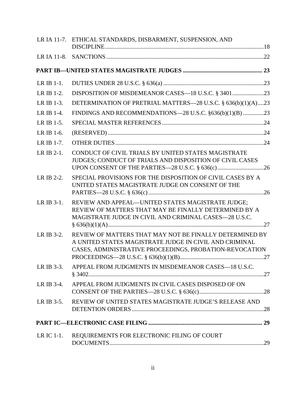|               | LR IA 11-7. ETHICAL STANDARDS, DISBARMENT, SUSPENSION, AND                                                                                                                   |  |
|---------------|------------------------------------------------------------------------------------------------------------------------------------------------------------------------------|--|
|               |                                                                                                                                                                              |  |
|               |                                                                                                                                                                              |  |
| $LR$ IB 1-1.  |                                                                                                                                                                              |  |
| LR IB 1-2.    |                                                                                                                                                                              |  |
| LR IB $1-3$ . | DETERMINATION OF PRETRIAL MATTERS-28 U.S.C. § 636(b)(1)(A)23                                                                                                                 |  |
| LR IB 1-4.    | FINDINGS AND RECOMMENDATIONS-28 U.S.C. §636(b)(1)(B) 23                                                                                                                      |  |
| LR IB 1-5.    |                                                                                                                                                                              |  |
| LR IB 1-6.    |                                                                                                                                                                              |  |
| LR IB 1-7.    |                                                                                                                                                                              |  |
| LR IB $2-1$ . | CONDUCT OF CIVIL TRIALS BY UNITED STATES MAGISTRATE<br>JUDGES; CONDUCT OF TRIALS AND DISPOSITION OF CIVIL CASES                                                              |  |
| LR IB 2-2.    | SPECIAL PROVISIONS FOR THE DISPOSITION OF CIVIL CASES BY A<br>UNITED STATES MAGISTRATE JUDGE ON CONSENT OF THE                                                               |  |
| LR IB 3-1.    | REVIEW AND APPEAL-UNITED STATES MAGISTRATE JUDGE;<br>REVIEW OF MATTERS THAT MAY BE FINALLY DETERMINED BY A<br>MAGISTRATE JUDGE IN CIVIL AND CRIMINAL CASES—28 U.S.C.         |  |
| LR IB 3-2.    | REVIEW OF MATTERS THAT MAY NOT BE FINALLY DETERMINED BY<br>A UNITED STATES MAGISTRATE JUDGE IN CIVIL AND CRIMINAL<br>CASES, ADMINISTRATIVE PROCEEDINGS, PROBATION-REVOCATION |  |
| LR IB $3-3$ . | APPEAL FROM JUDGMENTS IN MISDEMEANOR CASES—18 U.S.C.                                                                                                                         |  |
| LR IB 3-4.    | APPEAL FROM JUDGMENTS IN CIVIL CASES DISPOSED OF ON                                                                                                                          |  |
| LR IB $3-5$ . | REVIEW OF UNITED STATES MAGISTRATE JUDGE'S RELEASE AND                                                                                                                       |  |
|               |                                                                                                                                                                              |  |
| LR IC 1-1.    | REQUIREMENTS FOR ELECTRONIC FILING OF COURT                                                                                                                                  |  |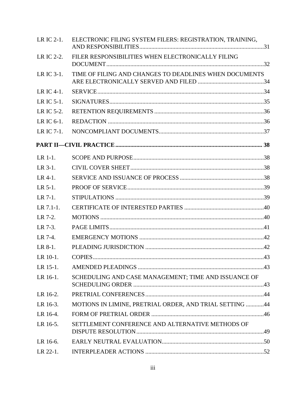| LR IC 2-1.   | ELECTRONIC FILING SYSTEM FILERS: REGISTRATION, TRAINING, |  |
|--------------|----------------------------------------------------------|--|
| LR IC 2-2.   | FILER RESPONSIBILITIES WHEN ELECTRONICALLY FILING        |  |
| LR IC 3-1.   | TIME OF FILING AND CHANGES TO DEADLINES WHEN DOCUMENTS   |  |
| LR IC 4-1.   |                                                          |  |
| LR IC 5-1.   |                                                          |  |
| LR IC 5-2.   |                                                          |  |
| LR IC 6-1.   |                                                          |  |
| LR IC 7-1.   |                                                          |  |
|              |                                                          |  |
| LR 1-1.      |                                                          |  |
| LR 3-1.      |                                                          |  |
| $LR$ 4-1.    |                                                          |  |
| LR 5-1.      |                                                          |  |
| LR 7-1.      |                                                          |  |
| LR 7.1-1.    |                                                          |  |
| LR 7-2.      |                                                          |  |
| LR 7-3.      |                                                          |  |
| LR 7-4.      |                                                          |  |
| $LR$ $8-1$ . |                                                          |  |
| LR 10-1.     |                                                          |  |
| LR 15-1.     |                                                          |  |
| LR 16-1.     | SCHEDULING AND CASE MANAGEMENT; TIME AND ISSUANCE OF     |  |
| LR 16-2.     |                                                          |  |
| LR 16-3.     | MOTIONS IN LIMINE, PRETRIAL ORDER, AND TRIAL SETTING 44  |  |
| LR 16-4.     |                                                          |  |
| LR 16-5.     | SETTLEMENT CONFERENCE AND ALTERNATIVE METHODS OF         |  |
| LR 16-6.     |                                                          |  |
| LR 22-1.     |                                                          |  |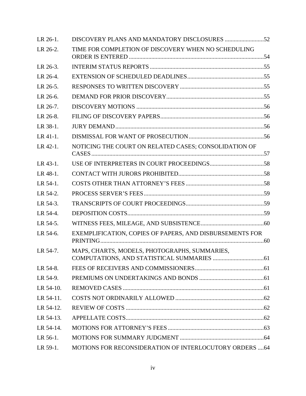| LR 26-1.  |                                                                                          |     |
|-----------|------------------------------------------------------------------------------------------|-----|
| LR 26-2.  | TIME FOR COMPLETION OF DISCOVERY WHEN NO SCHEDULING                                      |     |
| LR 26-3.  |                                                                                          |     |
| LR 26-4.  |                                                                                          |     |
| LR 26-5.  |                                                                                          |     |
| LR 26-6.  |                                                                                          |     |
| LR 26-7.  |                                                                                          |     |
| LR 26-8.  |                                                                                          |     |
| LR 38-1.  |                                                                                          |     |
| LR 41-1.  |                                                                                          |     |
| LR 42-1.  | NOTICING THE COURT ON RELATED CASES; CONSOLIDATION OF                                    |     |
| LR 43-1.  |                                                                                          |     |
| LR 48-1.  |                                                                                          |     |
| LR 54-1.  |                                                                                          |     |
| LR 54-2.  |                                                                                          |     |
| LR 54-3.  |                                                                                          |     |
| LR 54-4.  |                                                                                          |     |
| LR 54-5.  |                                                                                          |     |
| LR 54-6.  | EXEMPLIFICATION, COPIES OF PAPERS, AND DISBURSEMENTS FOR                                 |     |
| LR 54-7.  | MAPS, CHARTS, MODELS, PHOTOGRAPHS, SUMMARIES,<br>COMPUTATIONS, AND STATISTICAL SUMMARIES | .61 |
| LR 54-8.  |                                                                                          |     |
| LR 54-9.  |                                                                                          |     |
| LR 54-10. |                                                                                          |     |
| LR 54-11. |                                                                                          |     |
| LR 54-12. |                                                                                          |     |
| LR 54-13. |                                                                                          |     |
| LR 54-14. |                                                                                          |     |
| LR 56-1.  |                                                                                          |     |
| LR 59-1.  | MOTIONS FOR RECONSIDERATION OF INTERLOCUTORY ORDERS  64                                  |     |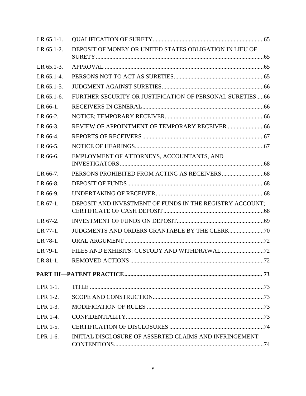| $LR$ 65.1-1.  |                                                          |  |
|---------------|----------------------------------------------------------|--|
| LR $65.1-2$ . | DEPOSIT OF MONEY OR UNITED STATES OBLIGATION IN LIEU OF  |  |
| LR $65.1-3$ . |                                                          |  |
| LR 65.1-4.    |                                                          |  |
| LR 65.1-5.    |                                                          |  |
| LR $65.1-6$ . | FURTHER SECURITY OR JUSTIFICATION OF PERSONAL SURETIES66 |  |
| LR 66-1.      |                                                          |  |
| LR 66-2.      |                                                          |  |
| LR 66-3.      |                                                          |  |
| LR 66-4.      |                                                          |  |
| LR 66-5.      |                                                          |  |
| LR 66-6.      | EMPLOYMENT OF ATTORNEYS, ACCOUNTANTS, AND                |  |
| LR 66-7.      |                                                          |  |
| LR 66-8.      |                                                          |  |
| LR 66-9.      |                                                          |  |
| LR 67-1.      | DEPOSIT AND INVESTMENT OF FUNDS IN THE REGISTRY ACCOUNT: |  |
| LR 67-2.      |                                                          |  |
| LR 77-1.      |                                                          |  |
| LR 78-1.      |                                                          |  |
| LR 79-1.      |                                                          |  |
| LR 81-1.      |                                                          |  |
|               |                                                          |  |
| LPR 1-1.      |                                                          |  |
| LPR 1-2.      |                                                          |  |
| LPR 1-3.      |                                                          |  |
| LPR 1-4.      |                                                          |  |
| LPR 1-5.      |                                                          |  |
| LPR 1-6.      | INITIAL DISCLOSURE OF ASSERTED CLAIMS AND INFRINGEMENT   |  |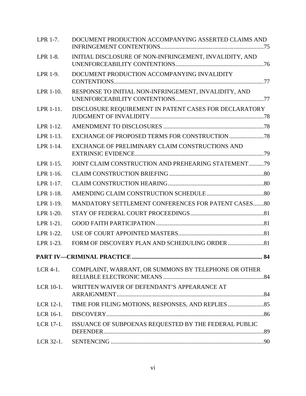| LPR 1-7.  | DOCUMENT PRODUCTION ACCOMPANYING ASSERTED CLAIMS AND       |  |
|-----------|------------------------------------------------------------|--|
| LPR 1-8.  | INITIAL DISCLOSURE OF NON-INFRINGEMENT, INVALIDITY, AND    |  |
| LPR 1-9.  | DOCUMENT PRODUCTION ACCOMPANYING INVALIDITY                |  |
| LPR 1-10. | RESPONSE TO INITIAL NON-INFRINGEMENT, INVALIDITY, AND      |  |
| LPR 1-11. | DISCLOSURE REQUIREMENT IN PATENT CASES FOR DECLARATORY     |  |
| LPR 1-12. |                                                            |  |
| LPR 1-13. |                                                            |  |
| LPR 1-14. | EXCHANGE OF PRELIMINARY CLAIM CONSTRUCTIONS AND            |  |
| LPR 1-15. | JOINT CLAIM CONSTRUCTION AND PREHEARING STATEMENT79        |  |
| LPR 1-16. |                                                            |  |
| LPR 1-17. |                                                            |  |
| LPR 1-18. |                                                            |  |
| LPR 1-19. | <b>MANDATORY SETTLEMENT CONFERENCES FOR PATENT CASES80</b> |  |
| LPR 1-20. |                                                            |  |
| LPR 1-21. |                                                            |  |
| LPR 1-22. |                                                            |  |
| LPR 1-23. |                                                            |  |
|           |                                                            |  |
| LCR 4-1.  | COMPLAINT, WARRANT, OR SUMMONS BY TELEPHONE OR OTHER       |  |
| LCR 10-1. | WRITTEN WAIVER OF DEFENDANT'S APPEARANCE AT                |  |
| LCR 12-1. |                                                            |  |
| LCR 16-1. |                                                            |  |
| LCR 17-1. | ISSUANCE OF SUBPOENAS REQUESTED BY THE FEDERAL PUBLIC      |  |
| LCR 32-1. |                                                            |  |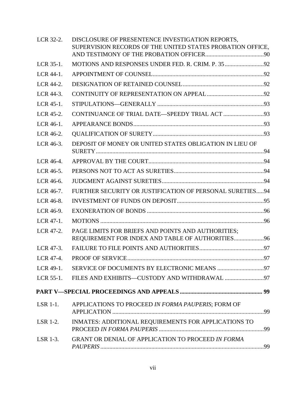| LCR 32-2. | DISCLOSURE OF PRESENTENCE INVESTIGATION REPORTS,<br>SUPERVISION RECORDS OF THE UNITED STATES PROBATION OFFICE, |  |
|-----------|----------------------------------------------------------------------------------------------------------------|--|
| LCR 35-1. |                                                                                                                |  |
| LCR 44-1. |                                                                                                                |  |
| LCR 44-2. |                                                                                                                |  |
| LCR 44-3. |                                                                                                                |  |
| LCR 45-1. |                                                                                                                |  |
| LCR 45-2. |                                                                                                                |  |
| LCR 46-1. |                                                                                                                |  |
| LCR 46-2. |                                                                                                                |  |
| LCR 46-3. | DEPOSIT OF MONEY OR UNITED STATES OBLIGATION IN LIEU OF                                                        |  |
| LCR 46-4. |                                                                                                                |  |
| LCR 46-5. |                                                                                                                |  |
| LCR 46-6. |                                                                                                                |  |
| LCR 46-7. | FURTHER SECURITY OR JUSTIFICATION OF PERSONAL SURETIES94                                                       |  |
| LCR 46-8. |                                                                                                                |  |
| LCR 46-9. |                                                                                                                |  |
| LCR 47-1. |                                                                                                                |  |
| LCR 47-2. | PAGE LIMITS FOR BRIEFS AND POINTS AND AUTHORITIES;<br>REQUIREMENT FOR INDEX AND TABLE OF AUTHORITIES96         |  |
| LCR 47-3. |                                                                                                                |  |
| LCR 47-4. |                                                                                                                |  |
|           |                                                                                                                |  |
| LCR 55-1. |                                                                                                                |  |
|           |                                                                                                                |  |
| LSR 1-1.  | APPLICATIONS TO PROCEED IN FORMA PAUPERIS; FORM OF                                                             |  |
| LSR 1-2.  | INMATES: ADDITIONAL REQUIREMENTS FOR APPLICATIONS TO                                                           |  |
| LSR 1-3.  | GRANT OR DENIAL OF APPLICATION TO PROCEED IN FORMA                                                             |  |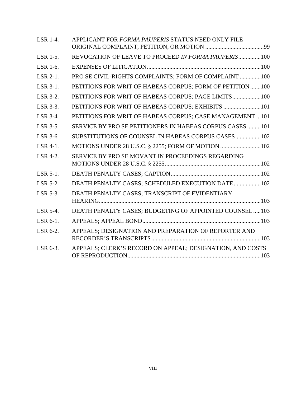| LSR 1-4.  | APPLICANT FOR FORMA PAUPERIS STATUS NEED ONLY FILE        |
|-----------|-----------------------------------------------------------|
| LSR 1-5.  | REVOCATION OF LEAVE TO PROCEED IN FORMA PAUPERIS100       |
| LSR 1-6.  |                                                           |
| LSR 2-1.  | PRO SE CIVIL-RIGHTS COMPLAINTS; FORM OF COMPLAINT 100     |
| LSR 3-1.  | PETITIONS FOR WRIT OF HABEAS CORPUS; FORM OF PETITION 100 |
| LSR 3-2.  | PETITIONS FOR WRIT OF HABEAS CORPUS; PAGE LIMITS100       |
| LSR 3-3.  | PETITIONS FOR WRIT OF HABEAS CORPUS; EXHIBITS 101         |
| LSR 3-4.  | PETITIONS FOR WRIT OF HABEAS CORPUS; CASE MANAGEMENT  101 |
| LSR 3-5.  | SERVICE BY PRO SE PETITIONERS IN HABEAS CORPUS CASES 101  |
| $LSR$ 3-6 | SUBSTITUTIONS OF COUNSEL IN HABEAS CORPUS CASES102        |
| LSR 4-1.  |                                                           |
| LSR 4-2.  | SERVICE BY PRO SE MOVANT IN PROCEEDINGS REGARDING         |
| LSR 5-1.  |                                                           |
| LSR 5-2.  | DEATH PENALTY CASES; SCHEDULED EXECUTION DATE 102         |
| LSR 5-3.  | DEATH PENALTY CASES; TRANSCRIPT OF EVIDENTIARY            |
| LSR 5-4.  | DEATH PENALTY CASES; BUDGETING OF APPOINTED COUNSEL103    |
| LSR 6-1.  |                                                           |
| LSR 6-2.  | APPEALS; DESIGNATION AND PREPARATION OF REPORTER AND      |
| LSR 6-3.  | APPEALS; CLERK'S RECORD ON APPEAL; DESIGNATION, AND COSTS |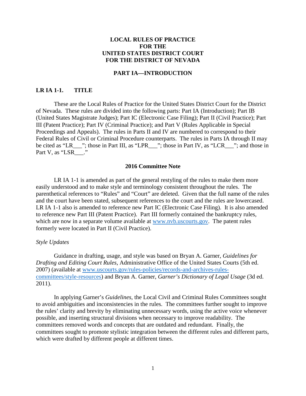#### **LOCAL RULES OF PRACTICE FOR THE UNITED STATES DISTRICT COURT FOR THE DISTRICT OF NEVADA**

#### **PART IA—INTRODUCTION**

#### <span id="page-10-1"></span><span id="page-10-0"></span>**LR IA 1-1. TITLE**

These are the Local Rules of Practice for the United States District Court for the District of Nevada. These rules are divided into the following parts: Part IA (Introduction); Part IB (United States Magistrate Judges); Part IC (Electronic Case Filing); Part II (Civil Practice); Part III (Patent Practice); Part IV (Criminal Practice); and Part V (Rules Applicable in Special Proceedings and Appeals). The rules in Parts II and IV are numbered to correspond to their Federal Rules of Civil or Criminal Procedure counterparts. The rules in Parts IA through II may be cited as "LR\_\_\_"; those in Part III, as "LPR\_\_\_"; those in Part IV, as "LCR\_\_\_"; and those in Part V, as "LSR\_\_\_."

#### **2016 Committee Note**

LR IA 1-1 is amended as part of the general restyling of the rules to make them more easily understood and to make style and terminology consistent throughout the rules. The parenthetical references to "Rules" and "Court" are deleted. Given that the full name of the rules and the court have been stated, subsequent references to the court and the rules are lowercased. LR IA 1-1 also is amended to reference new Part IC (Electronic Case Filing). It is also amended to reference new Part III (Patent Practice). Part III formerly contained the bankruptcy rules, which are now in a separate volume available at [www.nvb.uscourts.gov.](http://www.nvb.uscourts.gov/) The patent rules formerly were located in Part II (Civil Practice).

#### *Style Updates*

Guidance in drafting, usage, and style was based on Bryan A. Garner, *Guidelines for Drafting and Editing Court Rules*, Administrative Office of the United States Courts (5th ed. 2007) (available at [www.uscourts.gov/rules-policies/records-and-archives-rules](http://www.uscourts.gov/rules-policies/records-and-archives-rules-committees/style-resources)[committees/style-resources\)](http://www.uscourts.gov/rules-policies/records-and-archives-rules-committees/style-resources) and Bryan A. Garner, *Garner's Dictionary of Legal Usage* (3d ed. 2011).

In applying Garner's *Guidelines*, the Local Civil and Criminal Rules Committees sought to avoid ambiguities and inconsistencies in the rules. The committees further sought to improve the rules' clarity and brevity by eliminating unnecessary words, using the active voice whenever possible, and inserting structural divisions when necessary to improve readability. The committees removed words and concepts that are outdated and redundant. Finally, the committees sought to promote stylistic integration between the different rules and different parts, which were drafted by different people at different times.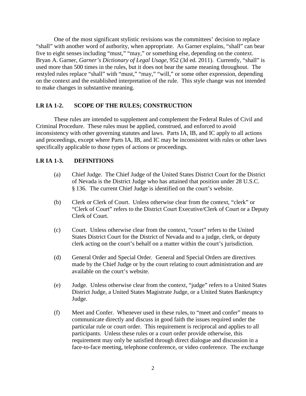One of the most significant stylistic revisions was the committees' decision to replace "shall" with another word of authority, when appropriate. As Garner explains, "shall" can bear five to eight senses including "must," "may," or something else, depending on the context. Bryan A. Garner, *Garner's Dictionary of Legal Usage*, 952 (3d ed. 2011).Currently, "shall" is used more than 500 times in the rules, but it does not bear the same meaning throughout. The restyled rules replace "shall" with "must," "may," "will," or some other expression, depending on the context and the established interpretation of the rule. This style change was not intended to make changes in substantive meaning.

#### <span id="page-11-0"></span>**LR IA 1-2. SCOPE OF THE RULES; CONSTRUCTION**

These rules are intended to supplement and complement the Federal Rules of Civil and Criminal Procedure. These rules must be applied, construed, and enforced to avoid inconsistency with other governing statutes and laws. Parts IA, IB, and IC apply to all actions and proceedings, except where Parts IA, IB, and IC may be inconsistent with rules or other laws specifically applicable to those types of actions or proceedings.

#### <span id="page-11-1"></span>**LR IA 1-3. DEFINITIONS**

- (a) Chief Judge. The Chief Judge of the United States District Court for the District of Nevada is the District Judge who has attained that position under 28 U.S.C. § 136. The current Chief Judge is identified on the court's website.
- (b) Clerk or Clerk of Court. Unless otherwise clear from the context, "clerk" or "Clerk of Court" refers to the District Court Executive/Clerk of Court or a Deputy Clerk of Court.
- (c) Court. Unless otherwise clear from the context, "court" refers to the United States District Court for the District of Nevada and to a judge, clerk, or deputy clerk acting on the court's behalf on a matter within the court's jurisdiction.
- (d) General Order and Special Order. General and Special Orders are directives made by the Chief Judge or by the court relating to court administration and are available on the court's website.
- (e) Judge. Unless otherwise clear from the context, "judge" refers to a United States District Judge, a United States Magistrate Judge, or a United States Bankruptcy Judge.
- (f) Meet and Confer. Whenever used in these rules, to "meet and confer" means to communicate directly and discuss in good faith the issues required under the particular rule or court order. This requirement is reciprocal and applies to all participants. Unless these rules or a court order provide otherwise, this requirement may only be satisfied through direct dialogue and discussion in a face-to-face meeting, telephone conference, or video conference. The exchange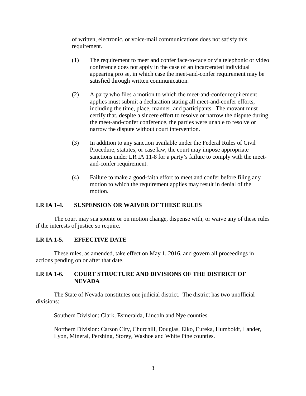of written, electronic, or voice-mail communications does not satisfy this requirement.

- (1) The requirement to meet and confer face-to-face or via telephonic or video conference does not apply in the case of an incarcerated individual appearing pro se, in which case the meet-and-confer requirement may be satisfied through written communication.
- (2) A party who files a motion to which the meet-and-confer requirement applies must submit a declaration stating all meet-and-confer efforts, including the time, place, manner, and participants. The movant must certify that, despite a sincere effort to resolve or narrow the dispute during the meet-and-confer conference, the parties were unable to resolve or narrow the dispute without court intervention.
- (3) In addition to any sanction available under the Federal Rules of Civil Procedure, statutes, or case law, the court may impose appropriate sanctions under LR IA 11-8 for a party's failure to comply with the meetand-confer requirement.
- (4) Failure to make a good-faith effort to meet and confer before filing any motion to which the requirement applies may result in denial of the motion.

### <span id="page-12-0"></span>**LR IA 1-4. SUSPENSION OR WAIVER OF THESE RULES**

The court may sua sponte or on motion change, dispense with, or waive any of these rules if the interests of justice so require.

### <span id="page-12-1"></span>**LR IA 1-5. EFFECTIVE DATE**

These rules, as amended, take effect on May 1, 2016, and govern all proceedings in actions pending on or after that date.

#### <span id="page-12-2"></span>**LR IA 1-6. COURT STRUCTURE AND DIVISIONS OF THE DISTRICT OF NEVADA**

The State of Nevada constitutes one judicial district. The district has two unofficial divisions:

Southern Division: Clark, Esmeralda, Lincoln and Nye counties.

Northern Division: Carson City, Churchill, Douglas, Elko, Eureka, Humboldt, Lander, Lyon, Mineral, Pershing, Storey, Washoe and White Pine counties.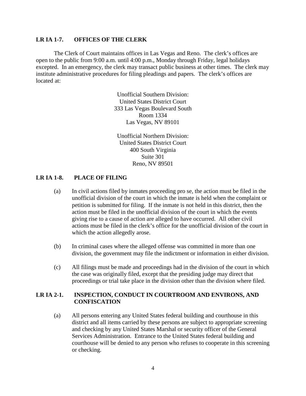#### <span id="page-13-0"></span>**LR IA 1-7. OFFICES OF THE CLERK**

The Clerk of Court maintains offices in Las Vegas and Reno. The clerk's offices are open to the public from 9:00 a.m. until 4:00 p.m., Monday through Friday, legal holidays excepted. In an emergency, the clerk may transact public business at other times. The clerk may institute administrative procedures for filing pleadings and papers. The clerk's offices are located at:

> Unofficial Southern Division: United States District Court 333 Las Vegas Boulevard South Room 1334 Las Vegas, NV 89101

Unofficial Northern Division: United States District Court 400 South Virginia Suite 301 Reno, NV 89501

#### <span id="page-13-1"></span>**LR IA 1-8. PLACE OF FILING**

- (a) In civil actions filed by inmates proceeding pro se, the action must be filed in the unofficial division of the court in which the inmate is held when the complaint or petition is submitted for filing. If the inmate is not held in this district, then the action must be filed in the unofficial division of the court in which the events giving rise to a cause of action are alleged to have occurred. All other civil actions must be filed in the clerk's office for the unofficial division of the court in which the action allegedly arose.
- (b) In criminal cases where the alleged offense was committed in more than one division, the government may file the indictment or information in either division.
- (c) All filings must be made and proceedings had in the division of the court in which the case was originally filed, except that the presiding judge may direct that proceedings or trial take place in the division other than the division where filed.

#### <span id="page-13-2"></span>**LR IA 2-1. INSPECTION, CONDUCT IN COURTROOM AND ENVIRONS, AND CONFISCATION**

(a) All persons entering any United States federal building and courthouse in this district and all items carried by these persons are subject to appropriate screening and checking by any United States Marshal or security officer of the General Services Administration. Entrance to the United States federal building and courthouse will be denied to any person who refuses to cooperate in this screening or checking.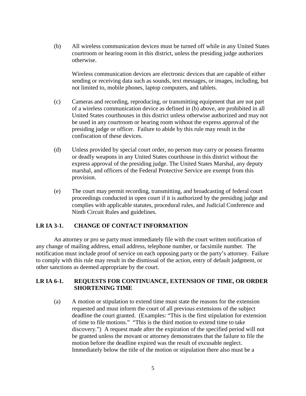(b) All wireless communication devices must be turned off while in any United States courtroom or hearing room in this district, unless the presiding judge authorizes otherwise.

Wireless communication devices are electronic devices that are capable of either sending or receiving data such as sounds, text messages, or images, including, but not limited to, mobile phones, laptop computers, and tablets.

- (c) Cameras and recording, reproducing, or transmitting equipment that are not part of a wireless communication device as defined in (b) above, are prohibited in all United States courthouses in this district unless otherwise authorized and may not be used in any courtroom or hearing room without the express approval of the presiding judge or officer. Failure to abide by this rule may result in the confiscation of these devices.
- (d) Unless provided by special court order, no person may carry or possess firearms or deadly weapons in any United States courthouse in this district without the express approval of the presiding judge. The United States Marshal, any deputy marshal, and officers of the Federal Protective Service are exempt from this provision.
- (e) The court may permit recording, transmitting, and broadcasting of federal court proceedings conducted in open court if it is authorized by the presiding judge and complies with applicable statutes, procedural rules, and Judicial Conference and Ninth Circuit Rules and guidelines.

### <span id="page-14-0"></span>**LR IA 3-1. CHANGE OF CONTACT INFORMATION**

An attorney or pro se party must immediately file with the court written notification of any change of mailing address, email address, telephone number, or facsimile number. The notification must include proof of service on each opposing party or the party's attorney. Failure to comply with this rule may result in the dismissal of the action, entry of default judgment, or other sanctions as deemed appropriate by the court.

#### <span id="page-14-1"></span>**LR IA 6-1. REQUESTS FOR CONTINUANCE, EXTENSION OF TIME, OR ORDER SHORTENING TIME**

(a) A motion or stipulation to extend time must state the reasons for the extension requested and must inform the court of all previous extensions of the subject deadline the court granted. (Examples: "This is the first stipulation for extension of time to file motions." "This is the third motion to extend time to take discovery.") A request made after the expiration of the specified period will not be granted unless the movant or attorney demonstrates that the failure to file the motion before the deadline expired was the result of excusable neglect. Immediately below the title of the motion or stipulation there also must be a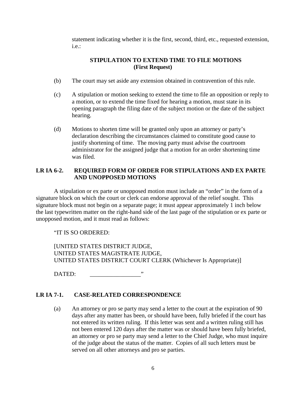statement indicating whether it is the first, second, third, etc., requested extension, i.e.:

## **STIPULATION TO EXTEND TIME TO FILE MOTIONS (First Request)**

- (b) The court may set aside any extension obtained in contravention of this rule.
- (c) A stipulation or motion seeking to extend the time to file an opposition or reply to a motion, or to extend the time fixed for hearing a motion, must state in its opening paragraph the filing date of the subject motion or the date of the subject hearing.
- (d) Motions to shorten time will be granted only upon an attorney or party's declaration describing the circumstances claimed to constitute good cause to justify shortening of time. The moving party must advise the courtroom administrator for the assigned judge that a motion for an order shortening time was filed.

## <span id="page-15-0"></span>**LR IA 6-2. REQUIRED FORM OF ORDER FOR STIPULATIONS AND EX PARTE AND UNOPPOSED MOTIONS**

A stipulation or ex parte or unopposed motion must include an "order" in the form of a signature block on which the court or clerk can endorse approval of the relief sought. This signature block must not begin on a separate page; it must appear approximately 1 inch below the last typewritten matter on the right-hand side of the last page of the stipulation or ex parte or unopposed motion, and it must read as follows:

"IT IS SO ORDERED:

[UNITED STATES DISTRICT JUDGE, UNITED STATES MAGISTRATE JUDGE, UNITED STATES DISTRICT COURT CLERK (Whichever Is Appropriate)]

DATED:

# <span id="page-15-1"></span>**LR IA 7-1. CASE-RELATED CORRESPONDENCE**

(a) An attorney or pro se party may send a letter to the court at the expiration of 90 days after any matter has been, or should have been, fully briefed if the court has not entered its written ruling. If this letter was sent and a written ruling still has not been entered 120 days after the matter was or should have been fully briefed, an attorney or pro se party may send a letter to the Chief Judge, who must inquire of the judge about the status of the matter. Copies of all such letters must be served on all other attorneys and pro se parties.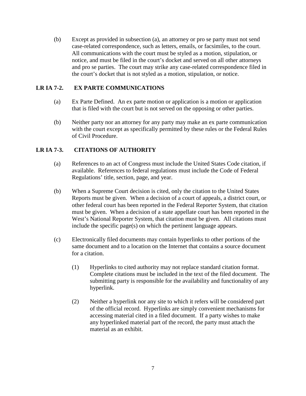(b) Except as provided in subsection (a), an attorney or pro se party must not send case-related correspondence, such as letters, emails, or facsimiles, to the court. All communications with the court must be styled as a motion, stipulation, or notice, and must be filed in the court's docket and served on all other attorneys and pro se parties. The court may strike any case-related correspondence filed in the court's docket that is not styled as a motion, stipulation, or notice.

## <span id="page-16-0"></span>**LR IA 7-2. EX PARTE COMMUNICATIONS**

- (a) Ex Parte Defined. An ex parte motion or application is a motion or application that is filed with the court but is not served on the opposing or other parties.
- (b) Neither party nor an attorney for any party may make an ex parte communication with the court except as specifically permitted by these rules or the Federal Rules of Civil Procedure.

## <span id="page-16-1"></span>**LR IA 7-3. CITATIONS OF AUTHORITY**

- (a) References to an act of Congress must include the United States Code citation, if available. References to federal regulations must include the Code of Federal Regulations' title, section, page, and year.
- (b) When a Supreme Court decision is cited, only the citation to the United States Reports must be given. When a decision of a court of appeals, a district court, or other federal court has been reported in the Federal Reporter System, that citation must be given. When a decision of a state appellate court has been reported in the West's National Reporter System, that citation must be given. All citations must include the specific page(s) on which the pertinent language appears.
- (c) Electronically filed documents may contain hyperlinks to other portions of the same document and to a location on the Internet that contains a source document for a citation.
	- (1) Hyperlinks to cited authority may not replace standard citation format. Complete citations must be included in the text of the filed document. The submitting party is responsible for the availability and functionality of any hyperlink.
	- (2) Neither a hyperlink nor any site to which it refers will be considered part of the official record. Hyperlinks are simply convenient mechanisms for accessing material cited in a filed document. If a party wishes to make any hyperlinked material part of the record, the party must attach the material as an exhibit.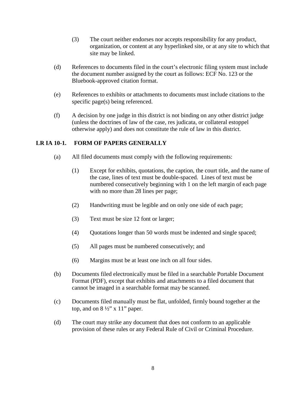- (3) The court neither endorses nor accepts responsibility for any product, organization, or content at any hyperlinked site, or at any site to which that site may be linked.
- (d) References to documents filed in the court's electronic filing system must include the document number assigned by the court as follows: ECF No. 123 or the Bluebook-approved citation format.
- (e) References to exhibits or attachments to documents must include citations to the specific page(s) being referenced.
- (f) A decision by one judge in this district is not binding on any other district judge (unless the doctrines of law of the case, res judicata, or collateral estoppel otherwise apply) and does not constitute the rule of law in this district.

### <span id="page-17-0"></span>**LR IA 10-1. FORM OF PAPERS GENERALLY**

- (a) All filed documents must comply with the following requirements:
	- (1) Except for exhibits, quotations, the caption, the court title, and the name of the case, lines of text must be double-spaced. Lines of text must be numbered consecutively beginning with 1 on the left margin of each page with no more than 28 lines per page;
	- (2) Handwriting must be legible and on only one side of each page;
	- (3) Text must be size 12 font or larger;
	- (4) Quotations longer than 50 words must be indented and single spaced;
	- (5) All pages must be numbered consecutively; and
	- (6) Margins must be at least one inch on all four sides.
- (b) Documents filed electronically must be filed in a searchable Portable Document Format (PDF), except that exhibits and attachments to a filed document that cannot be imaged in a searchable format may be scanned.
- (c) Documents filed manually must be flat, unfolded, firmly bound together at the top, and on  $8\frac{1}{2}$ " x 11" paper.
- (d) The court may strike any document that does not conform to an applicable provision of these rules or any Federal Rule of Civil or Criminal Procedure.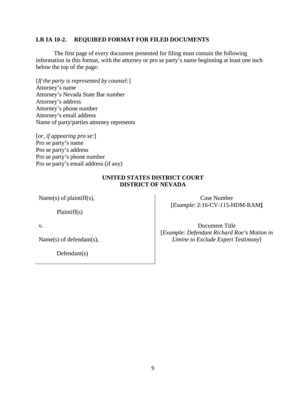#### <span id="page-18-0"></span>**LR IA 10-2. REQUIRED FORMAT FOR FILED DOCUMENTS**

The first page of every document presented for filing must contain the following information in this format, with the attorney or pro se party's name beginning at least one inch below the top of the page:

[*If the party is represented by counsel:*] Attorney's name Attorney's Nevada State Bar number Attorney's address Attorney's phone number Attorney's email address Name of party/parties attorney represents

[*or, if appearing pro se:*] Pro se party's name Pro se party's address Pro se party's phone number Pro se party's email address (if any)

#### **UNITED STATES DISTRICT COURT DISTRICT OF NEVADA**

Name(s) of plaintiff(s),

Plaintiff(s)

v.

Name(s) of defendant(s),

Defendant(s)

Case Number [*Example*: 2:16-CV-115-HDM-RAM**]**

Document Title [*Example: Defendant Richard Roe's Motion in Limine to Exclude Expert Testimony*]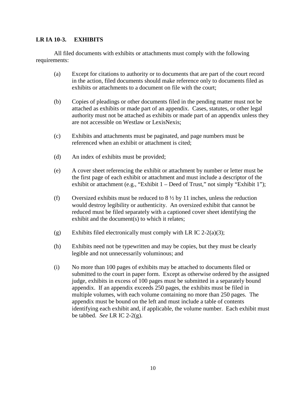#### <span id="page-19-0"></span>**LR IA 10-3. EXHIBITS**

All filed documents with exhibits or attachments must comply with the following requirements:

- (a) Except for citations to authority or to documents that are part of the court record in the action, filed documents should make reference only to documents filed as exhibits or attachments to a document on file with the court;
- (b) Copies of pleadings or other documents filed in the pending matter must not be attached as exhibits or made part of an appendix. Cases, statutes, or other legal authority must not be attached as exhibits or made part of an appendix unless they are not accessible on Westlaw or LexisNexis;
- (c) Exhibits and attachments must be paginated, and page numbers must be referenced when an exhibit or attachment is cited;
- (d) An index of exhibits must be provided;
- (e) A cover sheet referencing the exhibit or attachment by number or letter must be the first page of each exhibit or attachment and must include a descriptor of the exhibit or attachment (e.g., "Exhibit  $1 - \text{Dead of Trust," not simply "Exhibit 1"$ );
- (f) Oversized exhibits must be reduced to  $8\frac{1}{2}$  by 11 inches, unless the reduction would destroy legibility or authenticity. An oversized exhibit that cannot be reduced must be filed separately with a captioned cover sheet identifying the exhibit and the document(s) to which it relates;
- (g) Exhibits filed electronically must comply with LR IC 2-2(a)(3);
- (h) Exhibits need not be typewritten and may be copies, but they must be clearly legible and not unnecessarily voluminous; and
- (i) No more than 100 pages of exhibits may be attached to documents filed or submitted to the court in paper form. Except as otherwise ordered by the assigned judge, exhibits in excess of 100 pages must be submitted in a separately bound appendix. If an appendix exceeds 250 pages, the exhibits must be filed in multiple volumes, with each volume containing no more than 250 pages. The appendix must be bound on the left and must include a table of contents identifying each exhibit and, if applicable, the volume number. Each exhibit must be tabbed. *See* LR IC 2-2(g).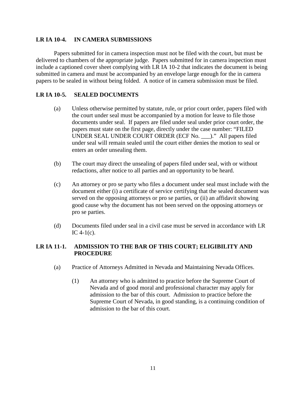#### <span id="page-20-0"></span>**LR IA 10-4. IN CAMERA SUBMISSIONS**

Papers submitted for in camera inspection must not be filed with the court, but must be delivered to chambers of the appropriate judge. Papers submitted for in camera inspection must include a captioned cover sheet complying with LR IA 10-2 that indicates the document is being submitted in camera and must be accompanied by an envelope large enough for the in camera papers to be sealed in without being folded. A notice of in camera submission must be filed.

#### <span id="page-20-1"></span>**LR IA 10-5. SEALED DOCUMENTS**

- (a) Unless otherwise permitted by statute, rule, or prior court order, papers filed with the court under seal must be accompanied by a motion for leave to file those documents under seal. If papers are filed under seal under prior court order, the papers must state on the first page, directly under the case number: "FILED UNDER SEAL UNDER COURT ORDER (ECF No. \_\_\_)." All papers filed under seal will remain sealed until the court either denies the motion to seal or enters an order unsealing them.
- (b) The court may direct the unsealing of papers filed under seal, with or without redactions, after notice to all parties and an opportunity to be heard.
- (c) An attorney or pro se party who files a document under seal must include with the document either (i) a certificate of service certifying that the sealed document was served on the opposing attorneys or pro se parties, or (ii) an affidavit showing good cause why the document has not been served on the opposing attorneys or pro se parties.
- (d) Documents filed under seal in a civil case must be served in accordance with LR IC  $4-1(c)$ .

#### <span id="page-20-2"></span>**LR IA 11-1. ADMISSION TO THE BAR OF THIS COURT; ELIGIBILITY AND PROCEDURE**

- (a) Practice of Attorneys Admitted in Nevada and Maintaining Nevada Offices.
	- (1) An attorney who is admitted to practice before the Supreme Court of Nevada and of good moral and professional character may apply for admission to the bar of this court. Admission to practice before the Supreme Court of Nevada, in good standing, is a continuing condition of admission to the bar of this court.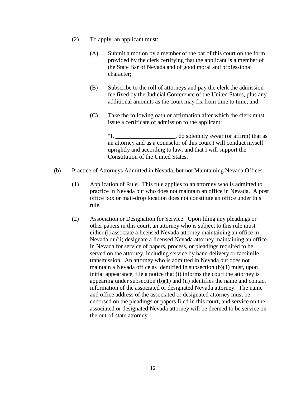- (2) To apply, an applicant must:
	- (A) Submit a motion by a member of the bar of this court on the form provided by the clerk certifying that the applicant is a member of the State Bar of Nevada and of good moral and professional character;
	- (B) Subscribe to the roll of attorneys and pay the clerk the admission fee fixed by the Judicial Conference of the United States, plus any additional amounts as the court may fix from time to time; and
	- (C) Take the following oath or affirmation after which the clerk must issue a certificate of admission to the applicant:

"I, \_\_\_\_\_\_\_\_\_\_\_\_\_\_\_\_\_\_\_\_, do solemnly swear (or affirm) that as an attorney and as a counselor of this court I will conduct myself uprightly and according to law, and that I will support the Constitution of the United States."

- <span id="page-21-0"></span>(b) Practice of Attorneys Admitted in Nevada, but not Maintaining Nevada Offices.
	- (1) Application of Rule. This rule applies to an attorney who is admitted to practice in Nevada but who does not maintain an office in Nevada. A post office box or mail-drop location does not constitute an office under this rule.
	- (2) Association or Designation for Service. Upon filing any pleadings or other papers in this court, an attorney who is subject to this rule must either (i) associate a licensed Nevada attorney maintaining an office in Nevada or (ii) designate a licensed Nevada attorney maintaining an office in Nevada for service of papers, process, or pleadings required to be served on the attorney, including service by hand delivery or facsimile transmission. An attorney who is admitted in Nevada but does not maintain a Nevada office as identified in subsection (b)(1) must, upon initial appearance, file a notice that (i) informs the court the attorney is appearing under subsection  $(b)(1)$  and  $(ii)$  identifies the name and contact information of the associated or designated Nevada attorney. The name and office address of the associated or designated attorney must be endorsed on the pleadings or papers filed in this court, and service on the associated or designated Nevada attorney will be deemed to be service on the out-of-state attorney.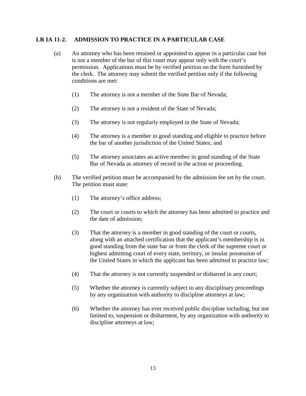#### **LR IA 11-2. ADMISSION TO PRACTICE IN A PARTICULAR CASE**

- (a) An attorney who has been retained or appointed to appear in a particular case but is not a member of the bar of this court may appear only with the court's permission. Applications must be by verified petition on the form furnished by the clerk. The attorney may submit the verified petition only if the following conditions are met:
	- (1) The attorney is not a member of the State Bar of Nevada;
	- (2) The attorney is not a resident of the State of Nevada;
	- (3) The attorney is not regularly employed in the State of Nevada;
	- (4) The attorney is a member in good standing and eligible to practice before the bar of another jurisdiction of the United States; and
	- (5) The attorney associates an active member in good standing of the State Bar of Nevada as attorney of record in the action or proceeding.
- (b) The verified petition must be accompanied by the admission fee set by the court. The petition must state:
	- (1) The attorney's office address;
	- (2) The court or courts to which the attorney has been admitted to practice and the date of admission;
	- (3) That the attorney is a member in good standing of the court or courts, along with an attached certification that the applicant's membership is in good standing from the state bar or from the clerk of the supreme court or highest admitting court of every state, territory, or insular possession of the United States in which the applicant has been admitted to practice law;
	- (4) That the attorney is not currently suspended or disbarred in any court;
	- (5) Whether the attorney is currently subject to any disciplinary proceedings by any organization with authority to discipline attorneys at law;
	- (6) Whether the attorney has ever received public discipline including, but not limited to, suspension or disbarment, by any organization with authority to discipline attorneys at law;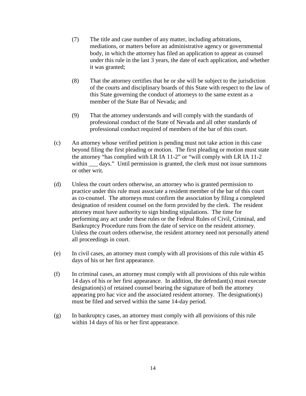- (7) The title and case number of any matter, including arbitrations, mediations, or matters before an administrative agency or governmental body, in which the attorney has filed an application to appear as counsel under this rule in the last 3 years, the date of each application, and whether it was granted;
- (8) That the attorney certifies that he or she will be subject to the jurisdiction of the courts and disciplinary boards of this State with respect to the law of this State governing the conduct of attorneys to the same extent as a member of the State Bar of Nevada; and
- (9) That the attorney understands and will comply with the standards of professional conduct of the State of Nevada and all other standards of professional conduct required of members of the bar of this court.
- (c) An attorney whose verified petition is pending must not take action in this case beyond filing the first pleading or motion. The first pleading or motion must state the attorney "has complied with LR IA 11-2" or "will comply with LR IA 11-2 within \_\_\_ days." Until permission is granted, the clerk must not issue summons or other writ.
- (d) Unless the court orders otherwise, an attorney who is granted permission to practice under this rule must associate a resident member of the bar of this court as co-counsel. The attorneys must confirm the association by filing a completed designation of resident counsel on the form provided by the clerk. The resident attorney must have authority to sign binding stipulations. The time for performing any act under these rules or the Federal Rules of Civil, Criminal, and Bankruptcy Procedure runs from the date of service on the resident attorney. Unless the court orders otherwise, the resident attorney need not personally attend all proceedings in court.
- (e) In civil cases, an attorney must comply with all provisions of this rule within 45 days of his or her first appearance.
- (f) In criminal cases, an attorney must comply with all provisions of this rule within 14 days of his or her first appearance. In addition, the defendant(s) must execute designation(s) of retained counsel bearing the signature of both the attorney appearing pro hac vice and the associated resident attorney. The designation(s) must be filed and served within the same 14-day period.
- (g) In bankruptcy cases, an attorney must comply with all provisions of this rule within 14 days of his or her first appearance.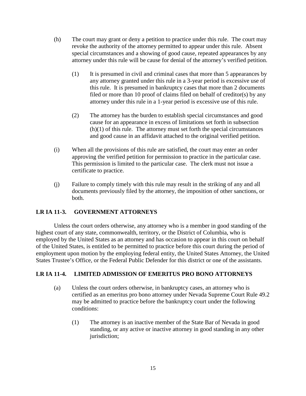- (h) The court may grant or deny a petition to practice under this rule. The court may revoke the authority of the attorney permitted to appear under this rule. Absent special circumstances and a showing of good cause, repeated appearances by any attorney under this rule will be cause for denial of the attorney's verified petition.
	- (1) It is presumed in civil and criminal cases that more than 5 appearances by any attorney granted under this rule in a 3-year period is excessive use of this rule. It is presumed in bankruptcy cases that more than 2 documents filed or more than 10 proof of claims filed on behalf of creditor(s) by any attorney under this rule in a 1-year period is excessive use of this rule.
	- (2) The attorney has the burden to establish special circumstances and good cause for an appearance in excess of limitations set forth in subsection  $(h)(1)$  of this rule. The attorney must set forth the special circumstances and good cause in an affidavit attached to the original verified petition.
- (i) When all the provisions of this rule are satisfied, the court may enter an order approving the verified petition for permission to practice in the particular case. This permission is limited to the particular case. The clerk must not issue a certificate to practice.
- (j) Failure to comply timely with this rule may result in the striking of any and all documents previously filed by the attorney, the imposition of other sanctions, or both.

# <span id="page-24-0"></span>**LR IA 11-3. GOVERNMENT ATTORNEYS**

Unless the court orders otherwise, any attorney who is a member in good standing of the highest court of any state, commonwealth, territory, or the District of Columbia, who is employed by the United States as an attorney and has occasion to appear in this court on behalf of the United States, is entitled to be permitted to practice before this court during the period of employment upon motion by the employing federal entity, the United States Attorney, the United States Trustee's Office, or the Federal Public Defender for this district or one of the assistants.

### <span id="page-24-1"></span>**LR IA 11-4. LIMITED ADMISSION OF EMERITUS PRO BONO ATTORNEYS**

- (a) Unless the court orders otherwise, in bankruptcy cases, an attorney who is certified as an emeritus pro bono attorney under Nevada Supreme Court Rule 49.2 may be admitted to practice before the bankruptcy court under the following conditions:
	- (1) The attorney is an inactive member of the State Bar of Nevada in good standing, or any active or inactive attorney in good standing in any other jurisdiction;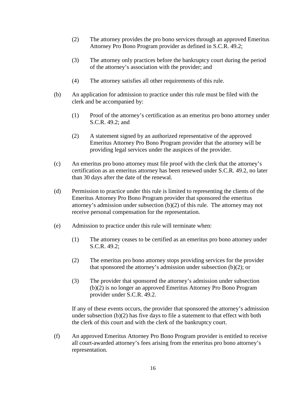- (2) The attorney provides the pro bono services through an approved Emeritus Attorney Pro Bono Program provider as defined in S.C.R. 49.2;
- (3) The attorney only practices before the bankruptcy court during the period of the attorney's association with the provider; and
- (4) The attorney satisfies all other requirements of this rule.
- (b) An application for admission to practice under this rule must be filed with the clerk and be accompanied by:
	- (1) Proof of the attorney's certification as an emeritus pro bono attorney under S.C.R. 49.2; and
	- (2) A statement signed by an authorized representative of the approved Emeritus Attorney Pro Bono Program provider that the attorney will be providing legal services under the auspices of the provider.
- (c) An emeritus pro bono attorney must file proof with the clerk that the attorney's certification as an emeritus attorney has been renewed under S.C.R. 49.2, no later than 30 days after the date of the renewal.
- (d) Permission to practice under this rule is limited to representing the clients of the Emeritus Attorney Pro Bono Program provider that sponsored the emeritus attorney's admission under subsection (b)(2) of this rule. The attorney may not receive personal compensation for the representation.
- (e) Admission to practice under this rule will terminate when:
	- (1) The attorney ceases to be certified as an emeritus pro bono attorney under S.C.R. 49.2;
	- (2) The emeritus pro bono attorney stops providing services for the provider that sponsored the attorney's admission under subsection (b)(2); or
	- (3) The provider that sponsored the attorney's admission under subsection (b)(2) is no longer an approved Emeritus Attorney Pro Bono Program provider under S.C.R. 49.2.

If any of these events occurs, the provider that sponsored the attorney's admission under subsection (b)(2) has five days to file a statement to that effect with both the clerk of this court and with the clerk of the bankruptcy court.

(f) An approved Emeritus Attorney Pro Bono Program provider is entitled to receive all court-awarded attorney's fees arising from the emeritus pro bono attorney's representation.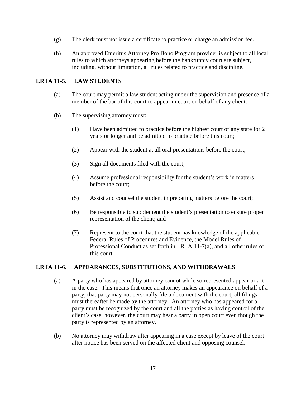- (g) The clerk must not issue a certificate to practice or charge an admission fee.
- (h) An approved Emeritus Attorney Pro Bono Program provider is subject to all local rules to which attorneys appearing before the bankruptcy court are subject, including, without limitation, all rules related to practice and discipline.

#### <span id="page-26-0"></span>**LR IA 11-5. LAW STUDENTS**

- (a) The court may permit a law student acting under the supervision and presence of a member of the bar of this court to appear in court on behalf of any client.
- (b) The supervising attorney must:
	- (1) Have been admitted to practice before the highest court of any state for 2 years or longer and be admitted to practice before this court;
	- (2) Appear with the student at all oral presentations before the court;
	- (3) Sign all documents filed with the court;
	- (4) Assume professional responsibility for the student's work in matters before the court;
	- (5) Assist and counsel the student in preparing matters before the court;
	- (6) Be responsible to supplement the student's presentation to ensure proper representation of the client; and
	- (7) Represent to the court that the student has knowledge of the applicable Federal Rules of Procedures and Evidence, the Model Rules of Professional Conduct as set forth in LR IA 11-7(a), and all other rules of this court.

#### <span id="page-26-1"></span>**LR IA 11-6. APPEARANCES, SUBSTITUTIONS, AND WITHDRAWALS**

- (a) A party who has appeared by attorney cannot while so represented appear or act in the case. This means that once an attorney makes an appearance on behalf of a party, that party may not personally file a document with the court; all filings must thereafter be made by the attorney. An attorney who has appeared for a party must be recognized by the court and all the parties as having control of the client's case, however, the court may hear a party in open court even though the party is represented by an attorney.
- (b) No attorney may withdraw after appearing in a case except by leave of the court after notice has been served on the affected client and opposing counsel.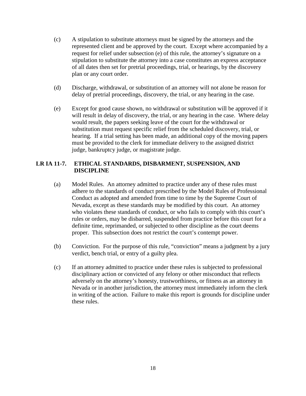- (c) A stipulation to substitute attorneys must be signed by the attorneys and the represented client and be approved by the court. Except where accompanied by a request for relief under subsection (e) of this rule, the attorney's signature on a stipulation to substitute the attorney into a case constitutes an express acceptance of all dates then set for pretrial proceedings, trial, or hearings, by the discovery plan or any court order.
- (d) Discharge, withdrawal, or substitution of an attorney will not alone be reason for delay of pretrial proceedings, discovery, the trial, or any hearing in the case.
- (e) Except for good cause shown, no withdrawal or substitution will be approved if it will result in delay of discovery, the trial, or any hearing in the case. Where delay would result, the papers seeking leave of the court for the withdrawal or substitution must request specific relief from the scheduled discovery, trial, or hearing. If a trial setting has been made, an additional copy of the moving papers must be provided to the clerk for immediate delivery to the assigned district judge, bankruptcy judge, or magistrate judge.

#### <span id="page-27-0"></span>**LR IA 11-7. ETHICAL STANDARDS, DISBARMENT, SUSPENSION, AND DISCIPLINE**

- (a) Model Rules. An attorney admitted to practice under any of these rules must adhere to the standards of conduct prescribed by the Model Rules of Professional Conduct as adopted and amended from time to time by the Supreme Court of Nevada, except as these standards may be modified by this court. An attorney who violates these standards of conduct, or who fails to comply with this court's rules or orders, may be disbarred, suspended from practice before this court for a definite time, reprimanded, or subjected to other discipline as the court deems proper. This subsection does not restrict the court's contempt power.
- (b) Conviction. For the purpose of this rule, "conviction" means a judgment by a jury verdict, bench trial, or entry of a guilty plea.
- (c) If an attorney admitted to practice under these rules is subjected to professional disciplinary action or convicted of any felony or other misconduct that reflects adversely on the attorney's honesty, trustworthiness, or fitness as an attorney in Nevada or in another jurisdiction, the attorney must immediately inform the clerk in writing of the action. Failure to make this report is grounds for discipline under these rules.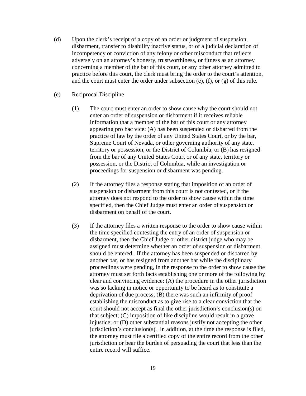- (d) Upon the clerk's receipt of a copy of an order or judgment of suspension, disbarment, transfer to disability inactive status, or of a judicial declaration of incompetency or conviction of any felony or other misconduct that reflects adversely on an attorney's honesty, trustworthiness, or fitness as an attorney concerning a member of the bar of this court, or any other attorney admitted to practice before this court, the clerk must bring the order to the court's attention, and the court must enter the order under subsection (e), (f), or (g) of this rule.
- (e) Reciprocal Discipline
	- (1) The court must enter an order to show cause why the court should not enter an order of suspension or disbarment if it receives reliable information that a member of the bar of this court or any attorney appearing pro hac vice: (A) has been suspended or disbarred from the practice of law by the order of any United States Court, or by the bar, Supreme Court of Nevada, or other governing authority of any state, territory or possession, or the District of Columbia; or (B) has resigned from the bar of any United States Court or of any state, territory or possession, or the District of Columbia, while an investigation or proceedings for suspension or disbarment was pending.
	- (2) If the attorney files a response stating that imposition of an order of suspension or disbarment from this court is not contested, or if the attorney does not respond to the order to show cause within the time specified, then the Chief Judge must enter an order of suspension or disbarment on behalf of the court.
	- (3) If the attorney files a written response to the order to show cause within the time specified contesting the entry of an order of suspension or disbarment, then the Chief Judge or other district judge who may be assigned must determine whether an order of suspension or disbarment should be entered. If the attorney has been suspended or disbarred by another bar, or has resigned from another bar while the disciplinary proceedings were pending, in the response to the order to show cause the attorney must set forth facts establishing one or more of the following by clear and convincing evidence: (A) the procedure in the other jurisdiction was so lacking in notice or opportunity to be heard as to constitute a deprivation of due process; (B) there was such an infirmity of proof establishing the misconduct as to give rise to a clear conviction that the court should not accept as final the other jurisdiction's conclusion(s) on that subject; (C) imposition of like discipline would result in a grave injustice; or (D) other substantial reasons justify not accepting the other jurisdiction's conclusion(s). In addition, at the time the response is filed, the attorney must file a certified copy of the entire record from the other jurisdiction or bear the burden of persuading the court that less than the entire record will suffice.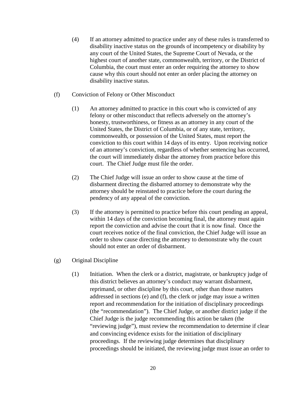- (4) If an attorney admitted to practice under any of these rules is transferred to disability inactive status on the grounds of incompetency or disability by any court of the United States, the Supreme Court of Nevada, or the highest court of another state, commonwealth, territory, or the District of Columbia, the court must enter an order requiring the attorney to show cause why this court should not enter an order placing the attorney on disability inactive status.
- (f) Conviction of Felony or Other Misconduct
	- (1) An attorney admitted to practice in this court who is convicted of any felony or other misconduct that reflects adversely on the attorney's honesty, trustworthiness, or fitness as an attorney in any court of the United States, the District of Columbia, or of any state, territory, commonwealth, or possession of the United States, must report the conviction to this court within 14 days of its entry. Upon receiving notice of an attorney's conviction, regardless of whether sentencing has occurred, the court will immediately disbar the attorney from practice before this court. The Chief Judge must file the order.
	- (2) The Chief Judge will issue an order to show cause at the time of disbarment directing the disbarred attorney to demonstrate why the attorney should be reinstated to practice before the court during the pendency of any appeal of the conviction.
	- (3) If the attorney is permitted to practice before this court pending an appeal, within 14 days of the conviction becoming final, the attorney must again report the conviction and advise the court that it is now final. Once the court receives notice of the final conviction, the Chief Judge will issue an order to show cause directing the attorney to demonstrate why the court should not enter an order of disbarment.
- (g) Original Discipline
	- (1) Initiation. When the clerk or a district, magistrate, or bankruptcy judge of this district believes an attorney's conduct may warrant disbarment, reprimand, or other discipline by this court, other than those matters addressed in sections (e) and (f), the clerk or judge may issue a written report and recommendation for the initiation of disciplinary proceedings (the "recommendation"). The Chief Judge, or another district judge if the Chief Judge is the judge recommending this action be taken (the "reviewing judge"), must review the recommendation to determine if clear and convincing evidence exists for the initiation of disciplinary proceedings. If the reviewing judge determines that disciplinary proceedings should be initiated, the reviewing judge must issue an order to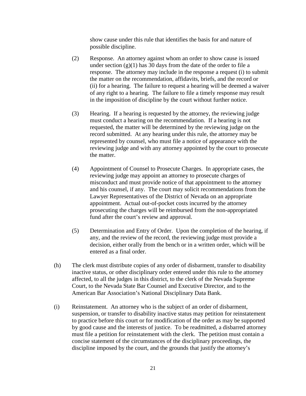show cause under this rule that identifies the basis for and nature of possible discipline.

- (2) Response. An attorney against whom an order to show cause is issued under section  $(g)(1)$  has 30 days from the date of the order to file a response. The attorney may include in the response a request (i) to submit the matter on the recommendation, affidavits, briefs, and the record or (ii) for a hearing. The failure to request a hearing will be deemed a waiver of any right to a hearing. The failure to file a timely response may result in the imposition of discipline by the court without further notice.
- (3) Hearing. If a hearing is requested by the attorney, the reviewing judge must conduct a hearing on the recommendation. If a hearing is not requested, the matter will be determined by the reviewing judge on the record submitted. At any hearing under this rule, the attorney may be represented by counsel, who must file a notice of appearance with the reviewing judge and with any attorney appointed by the court to prosecute the matter.
- (4) Appointment of Counsel to Prosecute Charges. In appropriate cases, the reviewing judge may appoint an attorney to prosecute charges of misconduct and must provide notice of that appointment to the attorney and his counsel, if any. The court may solicit recommendations from the Lawyer Representatives of the District of Nevada on an appropriate appointment. Actual out-of-pocket costs incurred by the attorney prosecuting the charges will be reimbursed from the non-appropriated fund after the court's review and approval.
- (5) Determination and Entry of Order. Upon the completion of the hearing, if any, and the review of the record, the reviewing judge must provide a decision, either orally from the bench or in a written order, which will be entered as a final order.
- (h) The clerk must distribute copies of any order of disbarment, transfer to disability inactive status, or other disciplinary order entered under this rule to the attorney affected, to all the judges in this district, to the clerk of the Nevada Supreme Court, to the Nevada State Bar Counsel and Executive Director, and to the American Bar Association's National Disciplinary Data Bank.
- (i) Reinstatement. An attorney who is the subject of an order of disbarment, suspension, or transfer to disability inactive status may petition for reinstatement to practice before this court or for modification of the order as may be supported by good cause and the interests of justice. To be readmitted, a disbarred attorney must file a petition for reinstatement with the clerk. The petition must contain a concise statement of the circumstances of the disciplinary proceedings, the discipline imposed by the court, and the grounds that justify the attorney's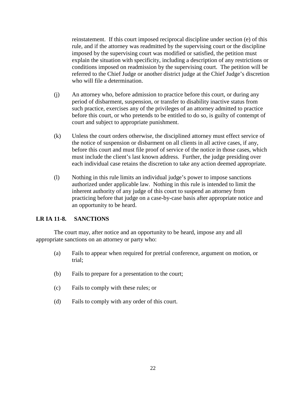reinstatement. If this court imposed reciprocal discipline under section (e) of this rule, and if the attorney was readmitted by the supervising court or the discipline imposed by the supervising court was modified or satisfied, the petition must explain the situation with specificity, including a description of any restrictions or conditions imposed on readmission by the supervising court. The petition will be referred to the Chief Judge or another district judge at the Chief Judge's discretion who will file a determination.

- (j) An attorney who, before admission to practice before this court, or during any period of disbarment, suspension, or transfer to disability inactive status from such practice, exercises any of the privileges of an attorney admitted to practice before this court, or who pretends to be entitled to do so, is guilty of contempt of court and subject to appropriate punishment.
- (k) Unless the court orders otherwise, the disciplined attorney must effect service of the notice of suspension or disbarment on all clients in all active cases, if any, before this court and must file proof of service of the notice in those cases, which must include the client's last known address. Further, the judge presiding over each individual case retains the discretion to take any action deemed appropriate.
- (l) Nothing in this rule limits an individual judge's power to impose sanctions authorized under applicable law. Nothing in this rule is intended to limit the inherent authority of any judge of this court to suspend an attorney from practicing before that judge on a case-by-case basis after appropriate notice and an opportunity to be heard.

### <span id="page-31-0"></span>**LR IA 11-8. SANCTIONS**

The court may, after notice and an opportunity to be heard, impose any and all appropriate sanctions on an attorney or party who:

- (a) Fails to appear when required for pretrial conference, argument on motion, or trial;
- (b) Fails to prepare for a presentation to the court;
- (c) Fails to comply with these rules; or
- (d) Fails to comply with any order of this court.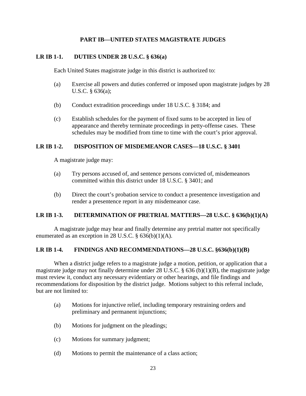## **PART IB—UNITED STATES MAGISTRATE JUDGES**

## <span id="page-32-1"></span><span id="page-32-0"></span>**LR IB 1-1. DUTIES UNDER 28 U.S.C. § 636(a)**

Each United States magistrate judge in this district is authorized to:

- (a) Exercise all powers and duties conferred or imposed upon magistrate judges by 28 U.S.C. § 636(a);
- (b) Conduct extradition proceedings under 18 U.S.C. § 3184; and
- (c) Establish schedules for the payment of fixed sums to be accepted in lieu of appearance and thereby terminate proceedings in petty-offense cases. These schedules may be modified from time to time with the court's prior approval.

### <span id="page-32-2"></span>**LR IB 1-2. DISPOSITION OF MISDEMEANOR CASES—18 U.S.C. § 3401**

A magistrate judge may:

- (a) Try persons accused of, and sentence persons convicted of, misdemeanors committed within this district under 18 U.S.C. § 3401; and
- (b) Direct the court's probation service to conduct a presentence investigation and render a presentence report in any misdemeanor case.

### <span id="page-32-3"></span>**LR IB 1-3. DETERMINATION OF PRETRIAL MATTERS—28 U.S.C. § 636(b)(1)(A)**

A magistrate judge may hear and finally determine any pretrial matter not specifically enumerated as an exception in 28 U.S.C.  $\S$  636(b)(1)(A).

### <span id="page-32-4"></span>**LR IB 1-4. FINDINGS AND RECOMMENDATIONS—28 U.S.C. §636(b)(1)(B)**

When a district judge refers to a magistrate judge a motion, petition, or application that a magistrate judge may not finally determine under 28 U.S.C. § 636 (b)(1)(B), the magistrate judge must review it, conduct any necessary evidentiary or other hearings, and file findings and recommendations for disposition by the district judge. Motions subject to this referral include, but are not limited to:

- (a) Motions for injunctive relief, including temporary restraining orders and preliminary and permanent injunctions;
- (b) Motions for judgment on the pleadings;
- (c) Motions for summary judgment;
- (d) Motions to permit the maintenance of a class action;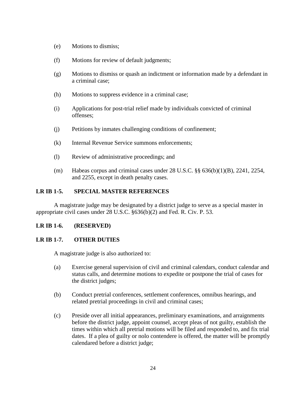- (e) Motions to dismiss;
- (f) Motions for review of default judgments;
- (g) Motions to dismiss or quash an indictment or information made by a defendant in a criminal case;
- (h) Motions to suppress evidence in a criminal case;
- (i) Applications for post-trial relief made by individuals convicted of criminal offenses;
- (j) Petitions by inmates challenging conditions of confinement;
- (k) Internal Revenue Service summons enforcements;
- (l) Review of administrative proceedings; and
- (m) Habeas corpus and criminal cases under 28 U.S.C. §§ 636(b)(1)(B), 2241, 2254, and 2255, except in death penalty cases.

### <span id="page-33-0"></span>**LR IB 1-5. SPECIAL MASTER REFERENCES**

A magistrate judge may be designated by a district judge to serve as a special master in appropriate civil cases under 28 U.S.C. §636(b)(2) and Fed. R. Civ. P. 53.

#### <span id="page-33-1"></span>**LR IB 1-6. (RESERVED)**

#### <span id="page-33-2"></span>**LR IB 1-7. OTHER DUTIES**

A magistrate judge is also authorized to:

- (a) Exercise general supervision of civil and criminal calendars, conduct calendar and status calls, and determine motions to expedite or postpone the trial of cases for the district judges;
- (b) Conduct pretrial conferences, settlement conferences, omnibus hearings, and related pretrial proceedings in civil and criminal cases;
- (c) Preside over all initial appearances, preliminary examinations, and arraignments before the district judge, appoint counsel, accept pleas of not guilty, establish the times within which all pretrial motions will be filed and responded to, and fix trial dates. If a plea of guilty or nolo contendere is offered, the matter will be promptly calendared before a district judge;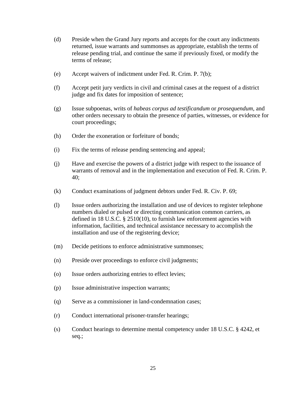- (d) Preside when the Grand Jury reports and accepts for the court any indictments returned, issue warrants and summonses as appropriate, establish the terms of release pending trial, and continue the same if previously fixed, or modify the terms of release;
- (e) Accept waivers of indictment under Fed. R. Crim. P. 7(b);
- (f) Accept petit jury verdicts in civil and criminal cases at the request of a district judge and fix dates for imposition of sentence;
- (g) Issue subpoenas, writs of *habeas corpus ad testificandum* or *prosequendum*, and other orders necessary to obtain the presence of parties, witnesses, or evidence for court proceedings;
- (h) Order the exoneration or forfeiture of bonds;
- (i) Fix the terms of release pending sentencing and appeal;
- (j) Have and exercise the powers of a district judge with respect to the issuance of warrants of removal and in the implementation and execution of Fed. R. Crim. P. 40;
- (k) Conduct examinations of judgment debtors under Fed. R. Civ. P. 69;
- (l) Issue orders authorizing the installation and use of devices to register telephone numbers dialed or pulsed or directing communication common carriers, as defined in 18 U.S.C. § 2510(10), to furnish law enforcement agencies with information, facilities, and technical assistance necessary to accomplish the installation and use of the registering device;
- (m) Decide petitions to enforce administrative summonses;
- (n) Preside over proceedings to enforce civil judgments;
- (o) Issue orders authorizing entries to effect levies;
- (p) Issue administrative inspection warrants;
- (q) Serve as a commissioner in land-condemnation cases;
- (r) Conduct international prisoner-transfer hearings;
- (s) Conduct hearings to determine mental competency under 18 U.S.C. § 4242, et seq.;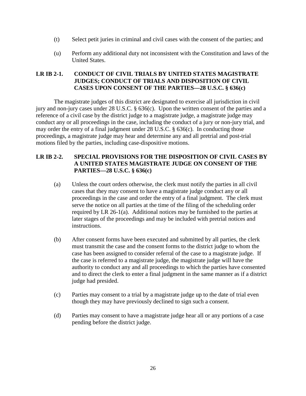- (t) Select petit juries in criminal and civil cases with the consent of the parties; and
- (u) Perform any additional duty not inconsistent with the Constitution and laws of the United States.

## <span id="page-35-0"></span>**LR IB 2-1. CONDUCT OF CIVIL TRIALS BY UNITED STATES MAGISTRATE JUDGES; CONDUCT OF TRIALS AND DISPOSITION OF CIVIL CASES UPON CONSENT OF THE PARTIES—28 U.S.C. § 636(c)**

The magistrate judges of this district are designated to exercise all jurisdiction in civil jury and non-jury cases under 28 U.S.C. § 636(c). Upon the written consent of the parties and a reference of a civil case by the district judge to a magistrate judge, a magistrate judge may conduct any or all proceedings in the case, including the conduct of a jury or non-jury trial, and may order the entry of a final judgment under 28 U.S.C. § 636(c). In conducting those proceedings, a magistrate judge may hear and determine any and all pretrial and post-trial motions filed by the parties, including case-dispositive motions.

### <span id="page-35-1"></span>**LR IB 2-2. SPECIAL PROVISIONS FOR THE DISPOSITION OF CIVIL CASES BY A UNITED STATES MAGISTRATE JUDGE ON CONSENT OF THE PARTIES—28 U.S.C. § 636(c)**

- (a) Unless the court orders otherwise, the clerk must notify the parties in all civil cases that they may consent to have a magistrate judge conduct any or all proceedings in the case and order the entry of a final judgment. The clerk must serve the notice on all parties at the time of the filing of the scheduling order required by LR 26-1(a). Additional notices may be furnished to the parties at later stages of the proceedings and may be included with pretrial notices and instructions.
- (b) After consent forms have been executed and submitted by all parties, the clerk must transmit the case and the consent forms to the district judge to whom the case has been assigned to consider referral of the case to a magistrate judge. If the case is referred to a magistrate judge, the magistrate judge will have the authority to conduct any and all proceedings to which the parties have consented and to direct the clerk to enter a final judgment in the same manner as if a district judge had presided.
- (c) Parties may consent to a trial by a magistrate judge up to the date of trial even though they may have previously declined to sign such a consent.
- (d) Parties may consent to have a magistrate judge hear all or any portions of a case pending before the district judge.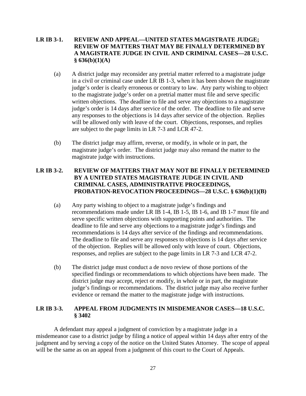### **LR IB 3-1. REVIEW AND APPEAL—UNITED STATES MAGISTRATE JUDGE; REVIEW OF MATTERS THAT MAY BE FINALLY DETERMINED BY A MAGISTRATE JUDGE IN CIVIL AND CRIMINAL CASES—28 U.S.C. § 636(b)(1)(A)**

- (a) A district judge may reconsider any pretrial matter referred to a magistrate judge in a civil or criminal case under LR IB 1-3, when it has been shown the magistrate judge's order is clearly erroneous or contrary to law. Any party wishing to object to the magistrate judge's order on a pretrial matter must file and serve specific written objections. The deadline to file and serve any objections to a magistrate judge's order is 14 days after service of the order. The deadline to file and serve any responses to the objections is 14 days after service of the objection. Replies will be allowed only with leave of the court. Objections, responses, and replies are subject to the page limits in LR 7-3 and LCR 47-2.
- (b) The district judge may affirm, reverse, or modify, in whole or in part, the magistrate judge's order. The district judge may also remand the matter to the magistrate judge with instructions.

# **LR IB 3-2. REVIEW OF MATTERS THAT MAY NOT BE FINALLY DETERMINED BY A UNITED STATES MAGISTRATE JUDGE IN CIVIL AND CRIMINAL CASES, ADMINISTRATIVE PROCEEDINGS, PROBATION-REVOCATION PROCEEDINGS—28 U.S.C. § 636(b)(1)(B)**

- (a) Any party wishing to object to a magistrate judge's findings and recommendations made under LR IB 1-4, IB 1-5, IB 1-6, and IB 1-7 must file and serve specific written objections with supporting points and authorities. The deadline to file and serve any objections to a magistrate judge's findings and recommendations is 14 days after service of the findings and recommendations. The deadline to file and serve any responses to objections is 14 days after service of the objection. Replies will be allowed only with leave of court. Objections, responses, and replies are subject to the page limits in LR 7-3 and LCR 47-2.
- (b) The district judge must conduct a de novo review of those portions of the specified findings or recommendations to which objections have been made. The district judge may accept, reject or modify, in whole or in part, the magistrate judge's findings or recommendations. The district judge may also receive further evidence or remand the matter to the magistrate judge with instructions.

# **LR IB 3-3. APPEAL FROM JUDGMENTS IN MISDEMEANOR CASES—18 U.S.C. § 3402**

A defendant may appeal a judgment of conviction by a magistrate judge in a misdemeanor case to a district judge by filing a notice of appeal within 14 days after entry of the judgment and by serving a copy of the notice on the United States Attorney. The scope of appeal will be the same as on an appeal from a judgment of this court to the Court of Appeals.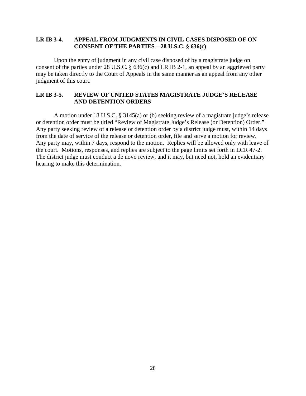### **LR IB 3-4. APPEAL FROM JUDGMENTS IN CIVIL CASES DISPOSED OF ON CONSENT OF THE PARTIES—28 U.S.C. § 636(c)**

Upon the entry of judgment in any civil case disposed of by a magistrate judge on consent of the parties under 28 U.S.C. § 636(c) and LR IB 2-1, an appeal by an aggrieved party may be taken directly to the Court of Appeals in the same manner as an appeal from any other judgment of this court.

#### **LR IB 3-5. REVIEW OF UNITED STATES MAGISTRATE JUDGE'S RELEASE AND DETENTION ORDERS**

A motion under 18 U.S.C. § 3145(a) or (b) seeking review of a magistrate judge's release or detention order must be titled "Review of Magistrate Judge's Release (or Detention) Order." Any party seeking review of a release or detention order by a district judge must, within 14 days from the date of service of the release or detention order, file and serve a motion for review. Any party may, within 7 days, respond to the motion. Replies will be allowed only with leave of the court. Motions, responses, and replies are subject to the page limits set forth in LCR 47-2. The district judge must conduct a de novo review, and it may, but need not, hold an evidentiary hearing to make this determination.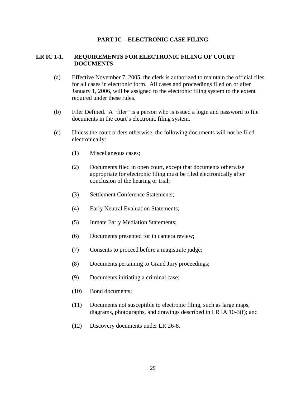### **PART IC—ELECTRONIC CASE FILING**

### **LR IC 1-1. REQUIREMENTS FOR ELECTRONIC FILING OF COURT DOCUMENTS**

- (a) Effective November 7, 2005, the clerk is authorized to maintain the official files for all cases in electronic form. All cases and proceedings filed on or after January 1, 2006, will be assigned to the electronic filing system to the extent required under these rules.
- (b) Filer Defined. A "filer" is a person who is issued a login and password to file documents in the court's electronic filing system.
- (c) Unless the court orders otherwise, the following documents will not be filed electronically:
	- (1) Miscellaneous cases;
	- (2) Documents filed in open court, except that documents otherwise appropriate for electronic filing must be filed electronically after conclusion of the hearing or trial;
	- (3) Settlement Conference Statements;
	- (4) Early Neutral Evaluation Statements;
	- (5) Inmate Early Mediation Statements;
	- (6) Documents presented for in camera review;
	- (7) Consents to proceed before a magistrate judge;
	- (8) Documents pertaining to Grand Jury proceedings;
	- (9) Documents initiating a criminal case;
	- (10) Bond documents;
	- (11) Documents not susceptible to electronic filing, such as large maps, diagrams, photographs, and drawings described in LR IA 10-3(f); and
	- (12) Discovery documents under LR 26-8.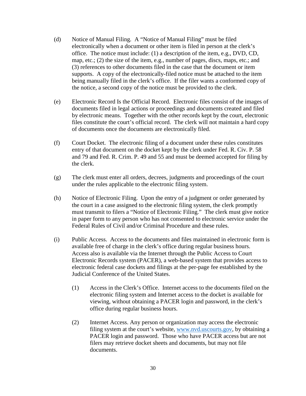- (d) Notice of Manual Filing. A "Notice of Manual Filing" must be filed electronically when a document or other item is filed in person at the clerk's office. The notice must include: (1) a description of the item, e.g., DVD, CD, map, etc.; (2) the size of the item, e.g., number of pages, discs, maps, etc.; and (3) references to other documents filed in the case that the document or item supports. A copy of the electronically-filed notice must be attached to the item being manually filed in the clerk's office. If the filer wants a conformed copy of the notice, a second copy of the notice must be provided to the clerk.
- (e) Electronic Record Is the Official Record. Electronic files consist of the images of documents filed in legal actions or proceedings and documents created and filed by electronic means. Together with the other records kept by the court, electronic files constitute the court's official record. The clerk will not maintain a hard copy of documents once the documents are electronically filed.
- (f) Court Docket. The electronic filing of a document under these rules constitutes entry of that document on the docket kept by the clerk under Fed. R. Civ. P. 58 and 79 and Fed. R. Crim. P. 49 and 55 and must be deemed accepted for filing by the clerk.
- (g) The clerk must enter all orders, decrees, judgments and proceedings of the court under the rules applicable to the electronic filing system.
- (h) Notice of Electronic Filing. Upon the entry of a judgment or order generated by the court in a case assigned to the electronic filing system, the clerk promptly must transmit to filers a "Notice of Electronic Filing." The clerk must give notice in paper form to any person who has not consented to electronic service under the Federal Rules of Civil and/or Criminal Procedure and these rules.
- (i) Public Access. Access to the documents and files maintained in electronic form is available free of charge in the clerk's office during regular business hours. Access also is available via the Internet through the Public Access to Court Electronic Records system (PACER), a web-based system that provides access to electronic federal case dockets and filings at the per-page fee established by the Judicial Conference of the United States.
	- (1) Access in the Clerk's Office. Internet access to the documents filed on the electronic filing system and Internet access to the docket is available for viewing, without obtaining a PACER login and password, in the clerk's office during regular business hours.
	- (2) Internet Access. Any person or organization may access the electronic filing system at the court's website, [www.nvd.uscourts.gov,](http://www.nvd.uscourts.gov/) by obtaining a PACER login and password. Those who have PACER access but are not filers may retrieve docket sheets and documents, but may not file documents.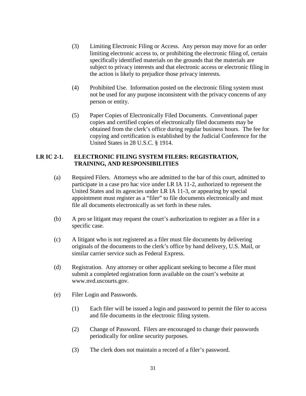- (3) Limiting Electronic Filing or Access. Any person may move for an order limiting electronic access to, or prohibiting the electronic filing of, certain specifically identified materials on the grounds that the materials are subject to privacy interests and that electronic access or electronic filing in the action is likely to prejudice those privacy interests.
- (4) Prohibited Use. Information posted on the electronic filing system must not be used for any purpose inconsistent with the privacy concerns of any person or entity.
- (5) Paper Copies of Electronically Filed Documents. Conventional paper copies and certified copies of electronically filed documents may be obtained from the clerk's office during regular business hours. The fee for copying and certification is established by the Judicial Conference for the United States in 28 U.S.C. § 1914.

### **LR IC 2-1. ELECTRONIC FILING SYSTEM FILERS: REGISTRATION, TRAINING, AND RESPONSIBILITIES**

- (a) Required Filers. Attorneys who are admitted to the bar of this court, admitted to participate in a case pro hac vice under LR IA 11-2, authorized to represent the United States and its agencies under LR IA 11-3, or appearing by special appointment must register as a "filer" to file documents electronically and must file all documents electronically as set forth in these rules.
- (b) A pro se litigant may request the court's authorization to register as a filer in a specific case.
- (c) A litigant who is not registered as a filer must file documents by delivering originals of the documents to the clerk's office by hand delivery, U.S. Mail, or similar carrier service such as Federal Express.
- (d) Registration. Any attorney or other applicant seeking to become a filer must submit a completed registration form available on the court's website at www.nvd.uscourts.gov.
- (e) Filer Login and Passwords.
	- (1) Each filer will be issued a login and password to permit the filer to access and file documents in the electronic filing system.
	- (2) Change of Password. Filers are encouraged to change their passwords periodically for online security purposes.
	- (3) The clerk does not maintain a record of a filer's password.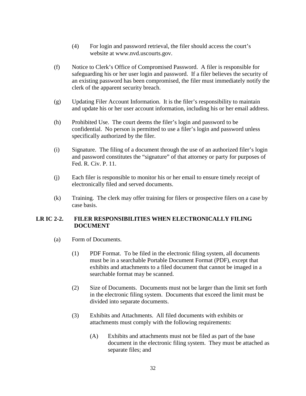- (4) For login and password retrieval, the filer should access the court's website at www.nvd.uscourts.gov.
- (f) Notice to Clerk's Office of Compromised Password. A filer is responsible for safeguarding his or her user login and password. If a filer believes the security of an existing password has been compromised, the filer must immediately notify the clerk of the apparent security breach.
- (g) Updating Filer Account Information. It is the filer's responsibility to maintain and update his or her user account information, including his or her email address.
- (h) Prohibited Use. The court deems the filer's login and password to be confidential. No person is permitted to use a filer's login and password unless specifically authorized by the filer.
- (i) Signature. The filing of a document through the use of an authorized filer's login and password constitutes the "signature" of that attorney or party for purposes of Fed. R. Civ. P. 11.
- (j) Each filer is responsible to monitor his or her email to ensure timely receipt of electronically filed and served documents.
- (k) Training. The clerk may offer training for filers or prospective filers on a case by case basis.

# **LR IC 2-2. FILER RESPONSIBILITIES WHEN ELECTRONICALLY FILING DOCUMENT**

- (a) Form of Documents.
	- (1) PDF Format. To be filed in the electronic filing system, all documents must be in a searchable Portable Document Format (PDF), except that exhibits and attachments to a filed document that cannot be imaged in a searchable format may be scanned.
	- (2) Size of Documents. Documents must not be larger than the limit set forth in the electronic filing system. Documents that exceed the limit must be divided into separate documents.
	- (3) Exhibits and Attachments. All filed documents with exhibits or attachments must comply with the following requirements:
		- (A) Exhibits and attachments must not be filed as part of the base document in the electronic filing system. They must be attached as separate files; and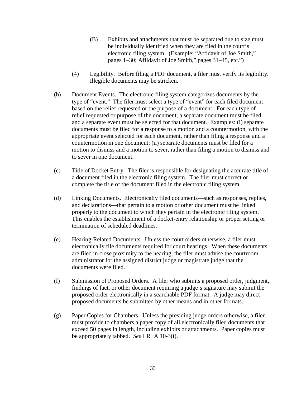- (B) Exhibits and attachments that must be separated due to size must be individually identified when they are filed in the court's electronic filing system. (Example: "Affidavit of Joe Smith," pages 1–30; Affidavit of Joe Smith," pages 31–45, etc.")
- (4) Legibility. Before filing a PDF document, a filer must verify its legibility. Illegible documents may be stricken.
- (b) Document Events. The electronic filing system categorizes documents by the type of "event." The filer must select a type of "event" for each filed document based on the relief requested or the purpose of a document. For each type of relief requested or purpose of the document, a separate document must be filed and a separate event must be selected for that document. Examples: (i) separate documents must be filed for a response to a motion and a countermotion, with the appropriate event selected for each document, rather than filing a response and a countermotion in one document; (ii) separate documents must be filed for a motion to dismiss and a motion to sever, rather than filing a motion to dismiss and to sever in one document.
- (c) Title of Docket Entry. The filer is responsible for designating the accurate title of a document filed in the electronic filing system. The filer must correct or complete the title of the document filed in the electronic filing system.
- (d) Linking Documents. Electronically filed documents—such as responses, replies, and declarations—that pertain to a motion or other document must be linked properly to the document to which they pertain in the electronic filing system. This enables the establishment of a docket-entry relationship or proper setting or termination of scheduled deadlines.
- (e) Hearing-Related Documents. Unless the court orders otherwise, a filer must electronically file documents required for court hearings. When these documents are filed in close proximity to the hearing, the filer must advise the courtroom administrator for the assigned district judge or magistrate judge that the documents were filed.
- (f) Submission of Proposed Orders. A filer who submits a proposed order, judgment, findings of fact, or other document requiring a judge's signature may submit the proposed order electronically in a searchable PDF format. A judge may direct proposed documents be submitted by other means and in other formats.
- (g) Paper Copies for Chambers. Unless the presiding judge orders otherwise, a filer must provide to chambers a paper copy of all electronically filed documents that exceed 50 pages in length, including exhibits or attachments. Paper copies must be appropriately tabbed. *See* LR IA 10-3(i).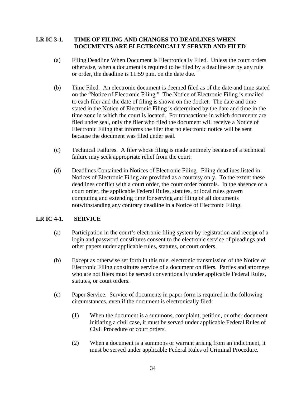### **LR IC 3-1. TIME OF FILING AND CHANGES TO DEADLINES WHEN DOCUMENTS ARE ELECTRONICALLY SERVED AND FILED**

- (a) Filing Deadline When Document Is Electronically Filed. Unless the court orders otherwise, when a document is required to be filed by a deadline set by any rule or order, the deadline is 11:59 p.m. on the date due.
- (b) Time Filed. An electronic document is deemed filed as of the date and time stated on the "Notice of Electronic Filing." The Notice of Electronic Filing is emailed to each filer and the date of filing is shown on the docket. The date and time stated in the Notice of Electronic Filing is determined by the date and time in the time zone in which the court is located. For transactions in which documents are filed under seal, only the filer who filed the document will receive a Notice of Electronic Filing that informs the filer that no electronic notice will be sent because the document was filed under seal.
- (c) Technical Failures. A filer whose filing is made untimely because of a technical failure may seek appropriate relief from the court.
- (d) Deadlines Contained in Notices of Electronic Filing. Filing deadlines listed in Notices of Electronic Filing are provided as a courtesy only. To the extent these deadlines conflict with a court order, the court order controls. In the absence of a court order, the applicable Federal Rules, statutes, or local rules govern computing and extending time for serving and filing of all documents notwithstanding any contrary deadline in a Notice of Electronic Filing.

# **LR IC 4-1. SERVICE**

- (a) Participation in the court's electronic filing system by registration and receipt of a login and password constitutes consent to the electronic service of pleadings and other papers under applicable rules, statutes, or court orders.
- (b) Except as otherwise set forth in this rule, electronic transmission of the Notice of Electronic Filing constitutes service of a document on filers. Parties and attorneys who are not filers must be served conventionally under applicable Federal Rules, statutes, or court orders.
- (c) Paper Service. Service of documents in paper form is required in the following circumstances, even if the document is electronically filed:
	- (1) When the document is a summons, complaint, petition, or other document initiating a civil case, it must be served under applicable Federal Rules of Civil Procedure or court orders.
	- (2) When a document is a summons or warrant arising from an indictment, it must be served under applicable Federal Rules of Criminal Procedure.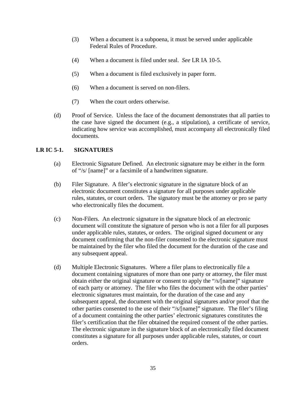- (3) When a document is a subpoena, it must be served under applicable Federal Rules of Procedure.
- (4) When a document is filed under seal. *See* LR IA 10-5.
- (5) When a document is filed exclusively in paper form.
- (6) When a document is served on non-filers.
- (7) When the court orders otherwise.
- (d) Proof of Service. Unless the face of the document demonstrates that all parties to the case have signed the document (e.g., a stipulation), a certificate of service, indicating how service was accomplished, must accompany all electronically filed documents.

# **LR IC 5-1. SIGNATURES**

- (a) Electronic Signature Defined. An electronic signature may be either in the form of "/s/ [name]" or a facsimile of a handwritten signature.
- (b) Filer Signature. A filer's electronic signature in the signature block of an electronic document constitutes a signature for all purposes under applicable rules, statutes, or court orders. The signatory must be the attorney or pro se party who electronically files the document.
- (c) Non-Filers. An electronic signature in the signature block of an electronic document will constitute the signature of person who is not a filer for all purposes under applicable rules, statutes, or orders. The original signed document or any document confirming that the non-filer consented to the electronic signature must be maintained by the filer who filed the document for the duration of the case and any subsequent appeal.
- (d) Multiple Electronic Signatures. Where a filer plans to electronically file a document containing signatures of more than one party or attorney, the filer must obtain either the original signature or consent to apply the "/s/[name]" signature of each party or attorney. The filer who files the document with the other parties' electronic signatures must maintain, for the duration of the case and any subsequent appeal, the document with the original signatures and/or proof that the other parties consented to the use of their "/s/[name]" signature. The filer's filing of a document containing the other parties' electronic signatures constitutes the filer's certification that the filer obtained the required consent of the other parties. The electronic signature in the signature block of an electronically filed document constitutes a signature for all purposes under applicable rules, statutes, or court orders.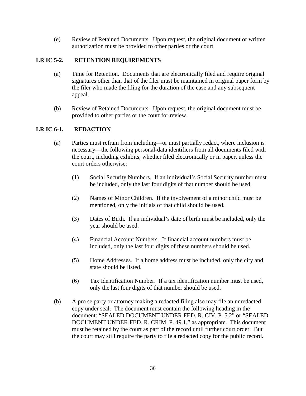(e) Review of Retained Documents. Upon request, the original document or written authorization must be provided to other parties or the court.

# **LR IC 5-2. RETENTION REQUIREMENTS**

- (a) Time for Retention. Documents that are electronically filed and require original signatures other than that of the filer must be maintained in original paper form by the filer who made the filing for the duration of the case and any subsequent appeal.
- (b) Review of Retained Documents. Upon request, the original document must be provided to other parties or the court for review.

# **LR IC 6-1. REDACTION**

- (a) Parties must refrain from including—or must partially redact, where inclusion is necessary—the following personal-data identifiers from all documents filed with the court, including exhibits, whether filed electronically or in paper, unless the court orders otherwise:
	- (1) Social Security Numbers. If an individual's Social Security number must be included, only the last four digits of that number should be used.
	- (2) Names of Minor Children. If the involvement of a minor child must be mentioned, only the initials of that child should be used.
	- (3) Dates of Birth. If an individual's date of birth must be included, only the year should be used.
	- (4) Financial Account Numbers. If financial account numbers must be included, only the last four digits of these numbers should be used.
	- (5) Home Addresses. If a home address must be included, only the city and state should be listed.
	- (6) Tax Identification Number. If a tax identification number must be used, only the last four digits of that number should be used.
- (b) A pro se party or attorney making a redacted filing also may file an unredacted copy under seal. The document must contain the following heading in the document: "SEALED DOCUMENT UNDER FED. R. CIV. P. 5.2" or "SEALED DOCUMENT UNDER FED. R. CRIM. P. 49.1," as appropriate. This document must be retained by the court as part of the record until further court order. But the court may still require the party to file a redacted copy for the public record.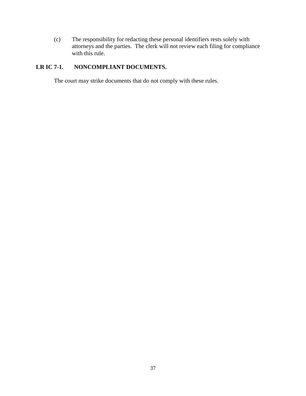(c) The responsibility for redacting these personal identifiers rests solely with attorneys and the parties. The clerk will not review each filing for compliance with this rule.

# **LR IC 7-1. NONCOMPLIANT DOCUMENTS.**

The court may strike documents that do not comply with these rules.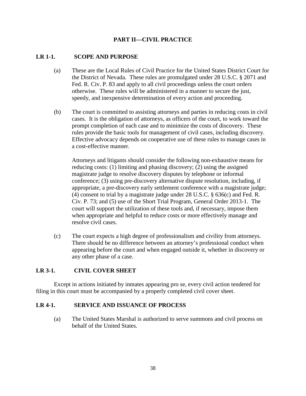### **PART II—CIVIL PRACTICE**

### **LR 1-1. SCOPE AND PURPOSE**

- (a) These are the Local Rules of Civil Practice for the United States District Court for the District of Nevada. These rules are promulgated under 28 U.S.C. § 2071 and Fed. R. Civ. P. 83 and apply to all civil proceedings unless the court orders otherwise. These rules will be administered in a manner to secure the just, speedy, and inexpensive determination of every action and proceeding.
- (b) The court is committed to assisting attorneys and parties in reducing costs in civil cases. It is the obligation of attorneys, as officers of the court, to work toward the prompt completion of each case and to minimize the costs of discovery. These rules provide the basic tools for management of civil cases, including discovery. Effective advocacy depends on cooperative use of these rules to manage cases in a cost-effective manner.

Attorneys and litigants should consider the following non-exhaustive means for reducing costs: (1) limiting and phasing discovery; (2) using the assigned magistrate judge to resolve discovery disputes by telephone or informal conference; (3) using pre-discovery alternative dispute resolution, including, if appropriate, a pre-discovery early settlement conference with a magistrate judge; (4) consent to trial by a magistrate judge under 28 U.S.C. § 636(c) and Fed. R. Civ. P. 73; and (5) use of the Short Trial Program, General Order 2013-1. The court will support the utilization of these tools and, if necessary, impose them when appropriate and helpful to reduce costs or more effectively manage and resolve civil cases.

(c) The court expects a high degree of professionalism and civility from attorneys. There should be no difference between an attorney's professional conduct when appearing before the court and when engaged outside it, whether in discovery or any other phase of a case.

### **LR 3-1. CIVIL COVER SHEET**

Except in actions initiated by inmates appearing pro se, every civil action tendered for filing in this court must be accompanied by a properly completed civil cover sheet.

#### **LR 4-1. SERVICE AND ISSUANCE OF PROCESS**

(a) The United States Marshal is authorized to serve summons and civil process on behalf of the United States.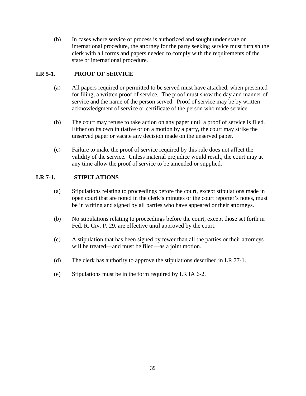(b) In cases where service of process is authorized and sought under state or international procedure, the attorney for the party seeking service must furnish the clerk with all forms and papers needed to comply with the requirements of the state or international procedure.

# **LR 5-1. PROOF OF SERVICE**

- (a) All papers required or permitted to be served must have attached, when presented for filing, a written proof of service. The proof must show the day and manner of service and the name of the person served. Proof of service may be by written acknowledgment of service or certificate of the person who made service.
- (b) The court may refuse to take action on any paper until a proof of service is filed. Either on its own initiative or on a motion by a party, the court may strike the unserved paper or vacate any decision made on the unserved paper.
- (c) Failure to make the proof of service required by this rule does not affect the validity of the service. Unless material prejudice would result, the court may at any time allow the proof of service to be amended or supplied.

# **LR 7-1. STIPULATIONS**

- (a) Stipulations relating to proceedings before the court, except stipulations made in open court that are noted in the clerk's minutes or the court reporter's notes, must be in writing and signed by all parties who have appeared or their attorneys.
- (b) No stipulations relating to proceedings before the court, except those set forth in Fed. R. Civ. P. 29, are effective until approved by the court.
- (c) A stipulation that has been signed by fewer than all the parties or their attorneys will be treated—and must be filed—as a joint motion.
- (d) The clerk has authority to approve the stipulations described in LR 77-1.
- (e) Stipulations must be in the form required by LR IA 6-2.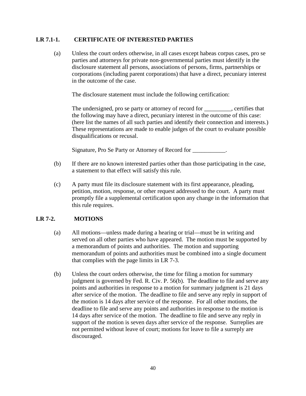# **LR 7.1-1. CERTIFICATE OF INTERESTED PARTIES**

(a) Unless the court orders otherwise, in all cases except habeas corpus cases, pro se parties and attorneys for private non-governmental parties must identify in the disclosure statement all persons, associations of persons, firms, partnerships or corporations (including parent corporations) that have a direct, pecuniary interest in the outcome of the case.

The disclosure statement must include the following certification:

The undersigned, pro se party or attorney of record for \_\_\_\_\_\_\_\_, certifies that the following may have a direct, pecuniary interest in the outcome of this case: (here list the names of all such parties and identify their connection and interests.) These representations are made to enable judges of the court to evaluate possible disqualifications or recusal.

Signature, Pro Se Party or Attorney of Record for \_\_\_\_\_\_\_\_\_\_.

- (b) If there are no known interested parties other than those participating in the case, a statement to that effect will satisfy this rule.
- (c) A party must file its disclosure statement with its first appearance, pleading, petition, motion, response, or other request addressed to the court. A party must promptly file a supplemental certification upon any change in the information that this rule requires.

# **LR 7-2. MOTIONS**

- (a) All motions—unless made during a hearing or trial—must be in writing and served on all other parties who have appeared. The motion must be supported by a memorandum of points and authorities. The motion and supporting memorandum of points and authorities must be combined into a single document that complies with the page limits in LR 7-3.
- (b) Unless the court orders otherwise, the time for filing a motion for summary judgment is governed by Fed. R. Civ. P. 56(b). The deadline to file and serve any points and authorities in response to a motion for summary judgment is 21 days after service of the motion. The deadline to file and serve any reply in support of the motion is 14 days after service of the response. For all other motions, the deadline to file and serve any points and authorities in response to the motion is 14 days after service of the motion. The deadline to file and serve any reply in support of the motion is seven days after service of the response. Surreplies are not permitted without leave of court; motions for leave to file a surreply are discouraged.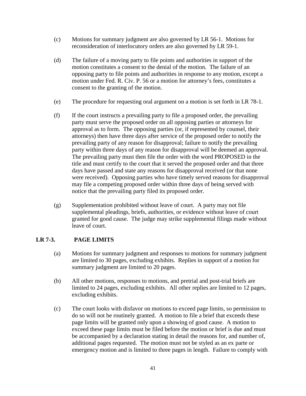- (c) Motions for summary judgment are also governed by LR 56-1. Motions for reconsideration of interlocutory orders are also governed by LR 59-1.
- (d) The failure of a moving party to file points and authorities in support of the motion constitutes a consent to the denial of the motion. The failure of an opposing party to file points and authorities in response to any motion, except a motion under Fed. R. Civ. P. 56 or a motion for attorney's fees, constitutes a consent to the granting of the motion.
- (e) The procedure for requesting oral argument on a motion is set forth in LR 78-1.
- (f) If the court instructs a prevailing party to file a proposed order, the prevailing party must serve the proposed order on all opposing parties or attorneys for approval as to form. The opposing parties (or, if represented by counsel, their attorneys) then have three days after service of the proposed order to notify the prevailing party of any reason for disapproval; failure to notify the prevailing party within three days of any reason for disapproval will be deemed an approval. The prevailing party must then file the order with the word PROPOSED in the title and must certify to the court that it served the proposed order and that three days have passed and state any reasons for disapproval received (or that none were received). Opposing parties who have timely served reasons for disapproval may file a competing proposed order within three days of being served with notice that the prevailing party filed its proposed order.
- (g) Supplementation prohibited without leave of court. A party may not file supplemental pleadings, briefs, authorities, or evidence without leave of court granted for good cause. The judge may strike supplemental filings made without leave of court.

# **LR 7-3. PAGE LIMITS**

- (a) Motions for summary judgment and responses to motions for summary judgment are limited to 30 pages, excluding exhibits. Replies in support of a motion for summary judgment are limited to 20 pages.
- (b) All other motions, responses to motions, and pretrial and post-trial briefs are limited to 24 pages, excluding exhibits. All other replies are limited to 12 pages, excluding exhibits.
- (c) The court looks with disfavor on motions to exceed page limits, so permission to do so will not be routinely granted. A motion to file a brief that exceeds these page limits will be granted only upon a showing of good cause. A motion to exceed these page limits must be filed before the motion or brief is due and must be accompanied by a declaration stating in detail the reasons for, and number of, additional pages requested. The motion must not be styled as an ex parte or emergency motion and is limited to three pages in length. Failure to comply with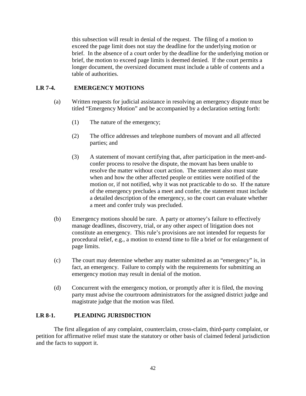this subsection will result in denial of the request. The filing of a motion to exceed the page limit does not stay the deadline for the underlying motion or brief. In the absence of a court order by the deadline for the underlying motion or brief, the motion to exceed page limits is deemed denied. If the court permits a longer document, the oversized document must include a table of contents and a table of authorities.

# **LR 7-4. EMERGENCY MOTIONS**

- (a) Written requests for judicial assistance in resolving an emergency dispute must be titled "Emergency Motion" and be accompanied by a declaration setting forth:
	- (1) The nature of the emergency;
	- (2) The office addresses and telephone numbers of movant and all affected parties; and
	- (3) A statement of movant certifying that, after participation in the meet-andconfer process to resolve the dispute, the movant has been unable to resolve the matter without court action. The statement also must state when and how the other affected people or entities were notified of the motion or, if not notified, why it was not practicable to do so. If the nature of the emergency precludes a meet and confer, the statement must include a detailed description of the emergency, so the court can evaluate whether a meet and confer truly was precluded.
- (b) Emergency motions should be rare. A party or attorney's failure to effectively manage deadlines, discovery, trial, or any other aspect of litigation does not constitute an emergency. This rule's provisions are not intended for requests for procedural relief, e.g., a motion to extend time to file a brief or for enlargement of page limits.
- (c) The court may determine whether any matter submitted as an "emergency" is, in fact, an emergency. Failure to comply with the requirements for submitting an emergency motion may result in denial of the motion.
- (d) Concurrent with the emergency motion, or promptly after it is filed, the moving party must advise the courtroom administrators for the assigned district judge and magistrate judge that the motion was filed.

#### **LR 8-1. PLEADING JURISDICTION**

The first allegation of any complaint, counterclaim, cross-claim, third-party complaint, or petition for affirmative relief must state the statutory or other basis of claimed federal jurisdiction and the facts to support it.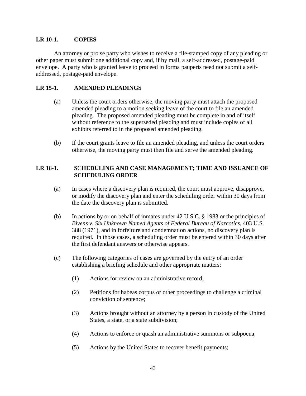### **LR 10-1. COPIES**

An attorney or pro se party who wishes to receive a file-stamped copy of any pleading or other paper must submit one additional copy and, if by mail, a self-addressed, postage-paid envelope. A party who is granted leave to proceed in forma pauperis need not submit a selfaddressed, postage-paid envelope.

### **LR 15-1. AMENDED PLEADINGS**

- (a) Unless the court orders otherwise, the moving party must attach the proposed amended pleading to a motion seeking leave of the court to file an amended pleading. The proposed amended pleading must be complete in and of itself without reference to the superseded pleading and must include copies of all exhibits referred to in the proposed amended pleading.
- (b) If the court grants leave to file an amended pleading, and unless the court orders otherwise, the moving party must then file and serve the amended pleading.

#### **LR 16-1. S**C**HEDULING AND CASE MANAGEMENT; TIME AND ISSUANCE OF SCHEDULING ORDER**

- (a) In cases where a discovery plan is required, the court must approve, disapprove, or modify the discovery plan and enter the scheduling order within 30 days from the date the discovery plan is submitted.
- (b) In actions by or on behalf of inmates under 42 U.S.C. § 1983 or the principles of *Bivens v. Six Unknown Named Agents of Federal Bureau of Narcotics*, 403 U.S. 388 (1971), and in forfeiture and condemnation actions, no discovery plan is required. In those cases, a scheduling order must be entered within 30 days after the first defendant answers or otherwise appears.
- (c) The following categories of cases are governed by the entry of an order establishing a briefing schedule and other appropriate matters:
	- (1) Actions for review on an administrative record;
	- (2) Petitions for habeas corpus or other proceedings to challenge a criminal conviction of sentence;
	- (3) Actions brought without an attorney by a person in custody of the United States, a state, or a state subdivision;
	- (4) Actions to enforce or quash an administrative summons or subpoena;
	- (5) Actions by the United States to recover benefit payments;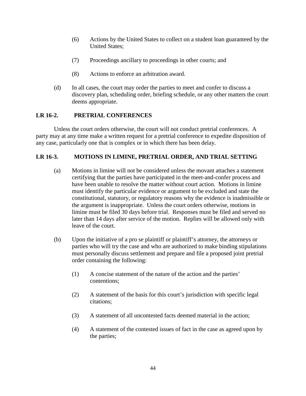- (6) Actions by the United States to collect on a student loan guaranteed by the United States;
- (7) Proceedings ancillary to proceedings in other courts; and
- (8) Actions to enforce an arbitration award.
- (d) In all cases, the court may order the parties to meet and confer to discuss a discovery plan, scheduling order, briefing schedule, or any other matters the court deems appropriate.

# **LR 16-2. PRETRIAL CONFERENCES**

Unless the court orders otherwise, the court will not conduct pretrial conferences. A party may at any time make a written request for a pretrial conference to expedite disposition of any case, particularly one that is complex or in which there has been delay.

### **LR 16-3. MOTIONS IN LIMINE, PRETRIAL ORDER, AND TRIAL SETTING**

- (a) Motions in limine will not be considered unless the movant attaches a statement certifying that the parties have participated in the meet-and-confer process and have been unable to resolve the matter without court action. Motions in limine must identify the particular evidence or argument to be excluded and state the constitutional, statutory, or regulatory reasons why the evidence is inadmissible or the argument is inappropriate. Unless the court orders otherwise, motions in limine must be filed 30 days before trial. Responses must be filed and served no later than 14 days after service of the motion. Replies will be allowed only with leave of the court.
- (b) Upon the initiative of a pro se plaintiff or plaintiff's attorney, the attorneys or parties who will try the case and who are authorized to make binding stipulations must personally discuss settlement and prepare and file a proposed joint pretrial order containing the following:
	- (1) A concise statement of the nature of the action and the parties' contentions;
	- (2) A statement of the basis for this court's jurisdiction with specific legal citations;
	- (3) A statement of all uncontested facts deemed material in the action;
	- (4) A statement of the contested issues of fact in the case as agreed upon by the parties;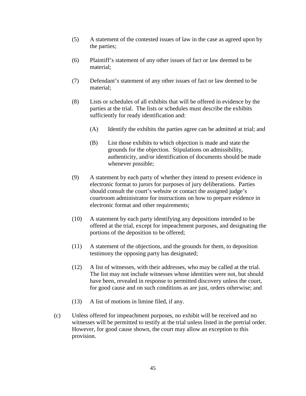- (5) A statement of the contested issues of law in the case as agreed upon by the parties;
- (6) Plaintiff's statement of any other issues of fact or law deemed to be material;
- (7) Defendant's statement of any other issues of fact or law deemed to be material;
- (8) Lists or schedules of all exhibits that will be offered in evidence by the parties at the trial. The lists or schedules must describe the exhibits sufficiently for ready identification and:
	- (A) Identify the exhibits the parties agree can be admitted at trial; and
	- (B) List those exhibits to which objection is made and state the grounds for the objection. Stipulations on admissibility, authenticity, and/or identification of documents should be made whenever possible;
- (9) A statement by each party of whether they intend to present evidence in electronic format to jurors for purposes of jury deliberations. Parties should consult the court's website or contact the assigned judge's courtroom administrator for instructions on how to prepare evidence in electronic format and other requirements;
- (10) A statement by each party identifying any depositions intended to be offered at the trial, except for impeachment purposes, and designating the portions of the deposition to be offered;
- (11) A statement of the objections, and the grounds for them, to deposition testimony the opposing party has designated;
- (12) A list of witnesses, with their addresses, who may be called at the trial. The list may not include witnesses whose identities were not, but should have been, revealed in response to permitted discovery unless the court, for good cause and on such conditions as are just, orders otherwise; and
- (13) A list of motions in limine filed, if any.
- (c) Unless offered for impeachment purposes, no exhibit will be received and no witnesses will be permitted to testify at the trial unless listed in the pretrial order. However, for good cause shown, the court may allow an exception to this provision.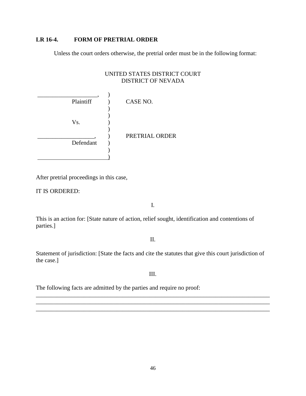### **LR 16-4. FORM OF PRETRIAL ORDER**

Unless the court orders otherwise, the pretrial order must be in the following format:

### UNITED STATES DISTRICT COURT DISTRICT OF NEVADA



After pretrial proceedings in this case,

IT IS ORDERED:

I.

This is an action for: [State nature of action, relief sought, identification and contentions of parties.]

II.

Statement of jurisdiction: [State the facts and cite the statutes that give this court jurisdiction of the case.]

III.

\_\_\_\_\_\_\_\_\_\_\_\_\_\_\_\_\_\_\_\_\_\_\_\_\_\_\_\_\_\_\_\_\_\_\_\_\_\_\_\_\_\_\_\_\_\_\_\_\_\_\_\_\_\_\_\_\_\_\_\_\_\_\_\_\_\_\_\_\_\_\_\_\_\_\_\_\_\_ \_\_\_\_\_\_\_\_\_\_\_\_\_\_\_\_\_\_\_\_\_\_\_\_\_\_\_\_\_\_\_\_\_\_\_\_\_\_\_\_\_\_\_\_\_\_\_\_\_\_\_\_\_\_\_\_\_\_\_\_\_\_\_\_\_\_\_\_\_\_\_\_\_\_\_\_\_\_ \_\_\_\_\_\_\_\_\_\_\_\_\_\_\_\_\_\_\_\_\_\_\_\_\_\_\_\_\_\_\_\_\_\_\_\_\_\_\_\_\_\_\_\_\_\_\_\_\_\_\_\_\_\_\_\_\_\_\_\_\_\_\_\_\_\_\_\_\_\_\_\_\_\_\_\_\_\_

The following facts are admitted by the parties and require no proof: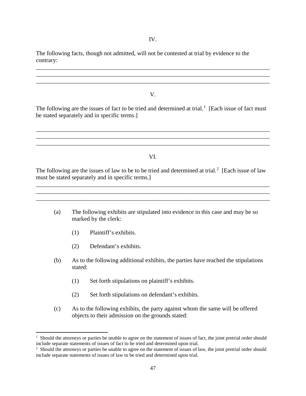IV.

The following facts, though not admitted, will not be contested at trial by evidence to the contrary:

#### V.

\_\_\_\_\_\_\_\_\_\_\_\_\_\_\_\_\_\_\_\_\_\_\_\_\_\_\_\_\_\_\_\_\_\_\_\_\_\_\_\_\_\_\_\_\_\_\_\_\_\_\_\_\_\_\_\_\_\_\_\_\_\_\_\_\_\_\_\_\_\_\_\_\_\_\_\_\_\_ \_\_\_\_\_\_\_\_\_\_\_\_\_\_\_\_\_\_\_\_\_\_\_\_\_\_\_\_\_\_\_\_\_\_\_\_\_\_\_\_\_\_\_\_\_\_\_\_\_\_\_\_\_\_\_\_\_\_\_\_\_\_\_\_\_\_\_\_\_\_\_\_\_\_\_\_\_\_ \_\_\_\_\_\_\_\_\_\_\_\_\_\_\_\_\_\_\_\_\_\_\_\_\_\_\_\_\_\_\_\_\_\_\_\_\_\_\_\_\_\_\_\_\_\_\_\_\_\_\_\_\_\_\_\_\_\_\_\_\_\_\_\_\_\_\_\_\_\_\_\_\_\_\_\_\_\_

The following are the issues of fact to be tried and determined at trial.<sup>[1](#page-56-0)</sup> [Each issue of fact must be stated separately and in specific terms.]

\_\_\_\_\_\_\_\_\_\_\_\_\_\_\_\_\_\_\_\_\_\_\_\_\_\_\_\_\_\_\_\_\_\_\_\_\_\_\_\_\_\_\_\_\_\_\_\_\_\_\_\_\_\_\_\_\_\_\_\_\_\_\_\_\_\_\_\_\_\_\_\_\_\_\_\_\_\_ \_\_\_\_\_\_\_\_\_\_\_\_\_\_\_\_\_\_\_\_\_\_\_\_\_\_\_\_\_\_\_\_\_\_\_\_\_\_\_\_\_\_\_\_\_\_\_\_\_\_\_\_\_\_\_\_\_\_\_\_\_\_\_\_\_\_\_\_\_\_\_\_\_\_\_\_\_\_ \_\_\_\_\_\_\_\_\_\_\_\_\_\_\_\_\_\_\_\_\_\_\_\_\_\_\_\_\_\_\_\_\_\_\_\_\_\_\_\_\_\_\_\_\_\_\_\_\_\_\_\_\_\_\_\_\_\_\_\_\_\_\_\_\_\_\_\_\_\_\_\_\_\_\_\_\_\_

#### VI.

The following are the issues of law to be to be tried and determined at trial.<sup>[2](#page-56-1)</sup> [Each issue of law must be stated separately and in specific terms.]

\_\_\_\_\_\_\_\_\_\_\_\_\_\_\_\_\_\_\_\_\_\_\_\_\_\_\_\_\_\_\_\_\_\_\_\_\_\_\_\_\_\_\_\_\_\_\_\_\_\_\_\_\_\_\_\_\_\_\_\_\_\_\_\_\_\_\_\_\_\_\_\_\_\_\_\_\_\_ \_\_\_\_\_\_\_\_\_\_\_\_\_\_\_\_\_\_\_\_\_\_\_\_\_\_\_\_\_\_\_\_\_\_\_\_\_\_\_\_\_\_\_\_\_\_\_\_\_\_\_\_\_\_\_\_\_\_\_\_\_\_\_\_\_\_\_\_\_\_\_\_\_\_\_\_\_\_ \_\_\_\_\_\_\_\_\_\_\_\_\_\_\_\_\_\_\_\_\_\_\_\_\_\_\_\_\_\_\_\_\_\_\_\_\_\_\_\_\_\_\_\_\_\_\_\_\_\_\_\_\_\_\_\_\_\_\_\_\_\_\_\_\_\_\_\_\_\_\_\_\_\_\_\_\_\_

- (a) The following exhibits are stipulated into evidence in this case and may be so marked by the clerk:
	- (1) Plaintiff's exhibits.
	- (2) Defendant's exhibits.

 $\overline{\phantom{a}}$ 

- (b) As to the following additional exhibits, the parties have reached the stipulations stated:
	- (1) Set forth stipulations on plaintiff's exhibits.
	- (2) Set forth stipulations on defendant's exhibits.
- (c) As to the following exhibits, the party against whom the same will be offered objects to their admission on the grounds stated:

<span id="page-56-0"></span><sup>&</sup>lt;sup>1</sup> Should the attorneys or parties be unable to agree on the statement of issues of fact, the joint pretrial order should include separate statements of issues of fact to be tried and determined upon trial.

<span id="page-56-1"></span> $2$  Should the attorneys or parties be unable to agree on the statement of issues of law, the joint pretrial order should include separate statements of issues of law to be tried and determined upon trial.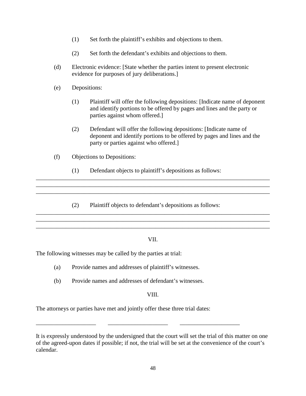- (1) Set forth the plaintiff's exhibits and objections to them.
- (2) Set forth the defendant's exhibits and objections to them.
- (d) Electronic evidence: [State whether the parties intent to present electronic evidence for purposes of jury deliberations.]
- (e) Depositions:
	- (1) Plaintiff will offer the following depositions: [Indicate name of deponent and identify portions to be offered by pages and lines and the party or parties against whom offered.]
	- (2) Defendant will offer the following depositions: [Indicate name of deponent and identify portions to be offered by pages and lines and the party or parties against who offered.]
- (f) Objections to Depositions:
	- (1) Defendant objects to plaintiff's depositions as follows:

\_\_\_\_\_\_\_\_\_\_\_\_\_\_\_\_\_\_\_\_\_\_\_\_\_\_\_\_\_\_\_\_\_\_\_\_\_\_\_\_\_\_\_\_\_\_\_\_\_\_\_\_\_\_\_\_\_\_\_\_\_\_\_\_\_\_\_\_\_\_\_\_\_\_\_\_\_\_ \_\_\_\_\_\_\_\_\_\_\_\_\_\_\_\_\_\_\_\_\_\_\_\_\_\_\_\_\_\_\_\_\_\_\_\_\_\_\_\_\_\_\_\_\_\_\_\_\_\_\_\_\_\_\_\_\_\_\_\_\_\_\_\_\_\_\_\_\_\_\_\_\_\_\_\_\_\_ \_\_\_\_\_\_\_\_\_\_\_\_\_\_\_\_\_\_\_\_\_\_\_\_\_\_\_\_\_\_\_\_\_\_\_\_\_\_\_\_\_\_\_\_\_\_\_\_\_\_\_\_\_\_\_\_\_\_\_\_\_\_\_\_\_\_\_\_\_\_\_\_\_\_\_\_\_\_

(2) Plaintiff objects to defendant's depositions as follows:

#### VII.

\_\_\_\_\_\_\_\_\_\_\_\_\_\_\_\_\_\_\_\_\_\_\_\_\_\_\_\_\_\_\_\_\_\_\_\_\_\_\_\_\_\_\_\_\_\_\_\_\_\_\_\_\_\_\_\_\_\_\_\_\_\_\_\_\_\_\_\_\_\_\_\_\_\_\_\_\_\_ \_\_\_\_\_\_\_\_\_\_\_\_\_\_\_\_\_\_\_\_\_\_\_\_\_\_\_\_\_\_\_\_\_\_\_\_\_\_\_\_\_\_\_\_\_\_\_\_\_\_\_\_\_\_\_\_\_\_\_\_\_\_\_\_\_\_\_\_\_\_\_\_\_\_\_\_\_\_ \_\_\_\_\_\_\_\_\_\_\_\_\_\_\_\_\_\_\_\_\_\_\_\_\_\_\_\_\_\_\_\_\_\_\_\_\_\_\_\_\_\_\_\_\_\_\_\_\_\_\_\_\_\_\_\_\_\_\_\_\_\_\_\_\_\_\_\_\_\_\_\_\_\_\_\_\_\_

The following witnesses may be called by the parties at trial:

- (a) Provide names and addresses of plaintiff's witnesses.
- (b) Provide names and addresses of defendant's witnesses.

#### VIII.

The attorneys or parties have met and jointly offer these three trial dates:

\_\_\_\_\_\_\_\_\_\_\_\_\_\_\_\_\_\_\_\_ \_\_\_\_\_\_\_\_\_\_\_\_\_\_\_\_\_\_\_\_ \_\_\_\_\_\_\_\_\_\_\_\_\_\_\_\_\_\_\_\_

It is expressly understood by the undersigned that the court will set the trial of this matter on one of the agreed-upon dates if possible; if not, the trial will be set at the convenience of the court's calendar.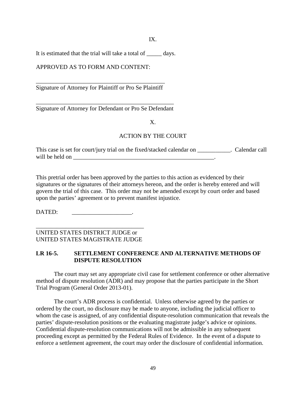IX.

It is estimated that the trial will take a total of \_\_\_\_\_\_ days.

APPROVED AS TO FORM AND CONTENT:

\_\_\_\_\_\_\_\_\_\_\_\_\_\_\_\_\_\_\_\_\_\_\_\_\_\_\_\_\_\_\_\_\_\_\_\_\_\_\_\_\_\_\_ Signature of Attorney for Plaintiff or Pro Se Plaintiff

\_\_\_\_\_\_\_\_\_\_\_\_\_\_\_\_\_\_\_\_\_\_\_\_\_\_\_\_\_\_\_\_\_\_\_\_\_\_\_\_\_\_\_\_\_\_ Signature of Attorney for Defendant or Pro Se Defendant

X.

### ACTION BY THE COURT

This case is set for court/jury trial on the fixed/stacked calendar on \_\_\_\_\_\_\_\_\_\_\_. Calendar call will be held on  $\blacksquare$ 

This pretrial order has been approved by the parties to this action as evidenced by their signatures or the signatures of their attorneys hereon, and the order is hereby entered and will govern the trial of this case. This order may not be amended except by court order and based upon the parties' agreement or to prevent manifest injustice.

DATED:

\_\_\_\_\_\_\_\_\_\_\_\_\_\_\_\_\_\_\_\_\_\_\_\_\_\_\_\_\_\_\_\_\_\_\_\_ UNITED STATES DISTRICT JUDGE or UNITED STATES MAGISTRATE JUDGE

# **LR 16-5. SETTLEMENT CONFERENCE AND ALTERNATIVE METHODS OF DISPUTE RESOLUTION**

The court may set any appropriate civil case for settlement conference or other alternative method of dispute resolution (ADR) and may propose that the parties participate in the Short Trial Program (General Order 2013-01).

The court's ADR process is confidential. Unless otherwise agreed by the parties or ordered by the court, no disclosure may be made to anyone, including the judicial officer to whom the case is assigned, of any confidential dispute-resolution communication that reveals the parties' dispute-resolution positions or the evaluating magistrate judge's advice or opinions. Confidential dispute-resolution communications will not be admissible in any subsequent proceeding except as permitted by the Federal Rules of Evidence. In the event of a dispute to enforce a settlement agreement, the court may order the disclosure of confidential information.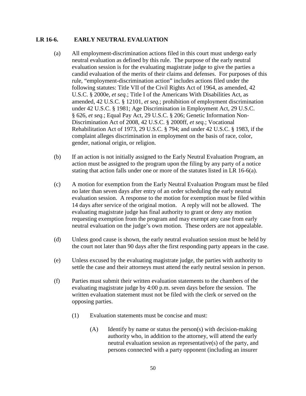### **LR 16-6. EARLY NEUTRAL EVALUATION**

- (a) All employment-discrimination actions filed in this court must undergo early neutral evaluation as defined by this rule. The purpose of the early neutral evaluation session is for the evaluating magistrate judge to give the parties a candid evaluation of the merits of their claims and defenses. For purposes of this rule, "employment-discrimination action" includes actions filed under the following statutes: Title VII of the Civil Rights Act of 1964, as amended, 42 U.S.C. § 2000e, *et seq.*; Title I of the Americans With Disabilities Act, as amended, 42 U.S.C. § 12101, *et seq.*; prohibition of employment discrimination under 42 U.S.C. § 1981; Age Discrimination in Employment Act, 29 U.S.C. § 626, *et seq.*; Equal Pay Act, 29 U.S.C. § 206; Genetic Information Non-Discrimination Act of 2008, 42 U.S.C. § 2000ff, *et seq.*; Vocational Rehabilitation Act of 1973, 29 U.S.C. § 794; and under 42 U.S.C. § 1983, if the complaint alleges discrimination in employment on the basis of race, color, gender, national origin, or religion.
- (b) If an action is not initially assigned to the Early Neutral Evaluation Program, an action must be assigned to the program upon the filing by any party of a notice stating that action falls under one or more of the statutes listed in LR 16-6(a).
- (c) A motion for exemption from the Early Neutral Evaluation Program must be filed no later than seven days after entry of an order scheduling the early neutral evaluation session. A response to the motion for exemption must be filed within 14 days after service of the original motion. A reply will not be allowed. The evaluating magistrate judge has final authority to grant or deny any motion requesting exemption from the program and may exempt any case from early neutral evaluation on the judge's own motion. These orders are not appealable.
- (d) Unless good cause is shown, the early neutral evaluation session must be held by the court not later than 90 days after the first responding party appears in the case.
- (e) Unless excused by the evaluating magistrate judge, the parties with authority to settle the case and their attorneys must attend the early neutral session in person.
- (f) Parties must submit their written evaluation statements to the chambers of the evaluating magistrate judge by 4:00 p.m. seven days before the session. The written evaluation statement must not be filed with the clerk or served on the opposing parties.
	- (1) Evaluation statements must be concise and must:
		- (A) Identify by name or status the person(s) with decision-making authority who, in addition to the attorney, will attend the early neutral evaluation session as representative(s) of the party, and persons connected with a party opponent (including an insurer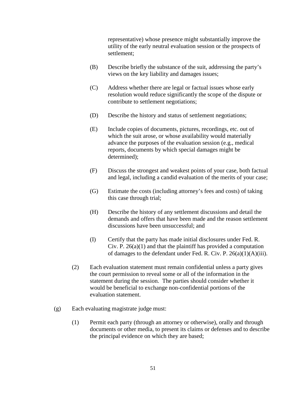representative) whose presence might substantially improve the utility of the early neutral evaluation session or the prospects of settlement;

- (B) Describe briefly the substance of the suit, addressing the party's views on the key liability and damages issues;
- (C) Address whether there are legal or factual issues whose early resolution would reduce significantly the scope of the dispute or contribute to settlement negotiations;
- (D) Describe the history and status of settlement negotiations;
- (E) Include copies of documents, pictures, recordings, etc. out of which the suit arose, or whose availability would materially advance the purposes of the evaluation session (e.g., medical reports, documents by which special damages might be determined);
- (F) Discuss the strongest and weakest points of your case, both factual and legal, including a candid evaluation of the merits of your case;
- (G) Estimate the costs (including attorney's fees and costs) of taking this case through trial;
- (H) Describe the history of any settlement discussions and detail the demands and offers that have been made and the reason settlement discussions have been unsuccessful; and
- (I) Certify that the party has made initial disclosures under Fed. R. Civ. P. 26(a)(1) and that the plaintiff has provided a computation of damages to the defendant under Fed. R. Civ. P. 26(a)(1)(A)(iii).
- (2) Each evaluation statement must remain confidential unless a party gives the court permission to reveal some or all of the information in the statement during the session. The parties should consider whether it would be beneficial to exchange non-confidential portions of the evaluation statement.
- (g) Each evaluating magistrate judge must:
	- (1) Permit each party (through an attorney or otherwise), orally and through documents or other media, to present its claims or defenses and to describe the principal evidence on which they are based;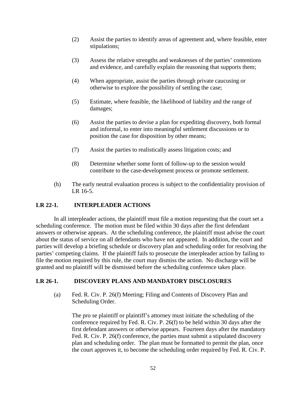- (2) Assist the parties to identify areas of agreement and, where feasible, enter stipulations;
- (3) Assess the relative strengths and weaknesses of the parties' contentions and evidence, and carefully explain the reasoning that supports them;
- (4) When appropriate, assist the parties through private caucusing or otherwise to explore the possibility of settling the case;
- (5) Estimate, where feasible, the likelihood of liability and the range of damages;
- (6) Assist the parties to devise a plan for expediting discovery, both formal and informal, to enter into meaningful settlement discussions or to position the case for disposition by other means;
- (7) Assist the parties to realistically assess litigation costs; and
- (8) Determine whether some form of follow-up to the session would contribute to the case-development process or promote settlement.
- (h) The early neutral evaluation process is subject to the confidentiality provision of LR 16-5.

# **LR 22-1. INTERPLEADER ACTIONS**

In all interpleader actions, the plaintiff must file a motion requesting that the court set a scheduling conference. The motion must be filed within 30 days after the first defendant answers or otherwise appears. At the scheduling conference, the plaintiff must advise the court about the status of service on all defendants who have not appeared. In addition, the court and parties will develop a briefing schedule or discovery plan and scheduling order for resolving the parties' competing claims. If the plaintiff fails to prosecute the interpleader action by failing to file the motion required by this rule, the court may dismiss the action. No discharge will be granted and no plaintiff will be dismissed before the scheduling conference takes place.

# **LR 26-1. DISCOVERY PLANS AND MANDATORY DISCLOSURES**

(a) Fed. R. Civ. P. 26(f) Meeting; Filing and Contents of Discovery Plan and Scheduling Order.

The pro se plaintiff or plaintiff's attorney must initiate the scheduling of the conference required by Fed. R. Civ. P. 26(f) to be held within 30 days after the first defendant answers or otherwise appears. Fourteen days after the mandatory Fed. R. Civ. P. 26(f) conference, the parties must submit a stipulated discovery plan and scheduling order. The plan must be formatted to permit the plan, once the court approves it, to become the scheduling order required by Fed. R. Civ. P.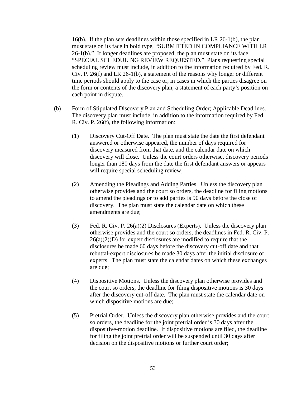16(b). If the plan sets deadlines within those specified in LR 26-1(b), the plan must state on its face in bold type, "SUBMITTED IN COMPLIANCE WITH LR 26-1(b)." If longer deadlines are proposed, the plan must state on its face "SPECIAL SCHEDULING REVIEW REQUESTED." Plans requesting special scheduling review must include, in addition to the information required by Fed. R. Civ. P. 26(f) and LR 26-1(b), a statement of the reasons why longer or different time periods should apply to the case or, in cases in which the parties disagree on the form or contents of the discovery plan, a statement of each party's position on each point in dispute.

- (b) Form of Stipulated Discovery Plan and Scheduling Order; Applicable Deadlines. The discovery plan must include, in addition to the information required by Fed. R. Civ. P. 26(f), the following information:
	- (1) Discovery Cut-Off Date. The plan must state the date the first defendant answered or otherwise appeared, the number of days required for discovery measured from that date, and the calendar date on which discovery will close. Unless the court orders otherwise, discovery periods longer than 180 days from the date the first defendant answers or appears will require special scheduling review;
	- (2) Amending the Pleadings and Adding Parties. Unless the discovery plan otherwise provides and the court so orders, the deadline for filing motions to amend the pleadings or to add parties is 90 days before the close of discovery. The plan must state the calendar date on which these amendments are due;
	- (3) Fed. R. Civ. P. 26(a)(2) Disclosures (Experts). Unless the discovery plan otherwise provides and the court so orders, the deadlines in Fed. R. Civ. P.  $26(a)(2)(D)$  for expert disclosures are modified to require that the disclosures be made 60 days before the discovery cut-off date and that rebuttal-expert disclosures be made 30 days after the initial disclosure of experts. The plan must state the calendar dates on which these exchanges are due;
	- (4) Dispositive Motions. Unless the discovery plan otherwise provides and the court so orders, the deadline for filing dispositive motions is 30 days after the discovery cut-off date. The plan must state the calendar date on which dispositive motions are due;
	- (5) Pretrial Order. Unless the discovery plan otherwise provides and the court so orders, the deadline for the joint pretrial order is 30 days after the dispositive-motion deadline. If dispositive motions are filed, the deadline for filing the joint pretrial order will be suspended until 30 days after decision on the dispositive motions or further court order;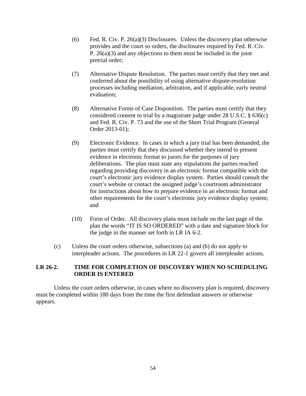- (6) Fed. R. Civ. P. 26(a)(3) Disclosures. Unless the discovery plan otherwise provides and the court so orders, the disclosures required by Fed. R. Civ. P. 26(a)(3) and any objections to them must be included in the joint pretrial order;
- (7) Alternative Dispute Resolution. The parties must certify that they met and conferred about the possibility of using alternative dispute-resolution processes including mediation, arbitration, and if applicable, early neutral evaluation;
- (8) Alternative Forms of Case Disposition. The parties must certify that they considered consent to trial by a magistrate judge under 28 U.S.C. § 636(c) and Fed. R. Civ. P. 73 and the use of the Short Trial Program (General Order 2013-01);
- (9) Electronic Evidence. In cases in which a jury trial has been demanded, the parties must certify that they discussed whether they intend to present evidence in electronic format to jurors for the purposes of jury deliberations. The plan must state any stipulations the parties reached regarding providing discovery in an electronic format compatible with the court's electronic jury evidence display system. Parties should consult the court's website or contact the assigned judge's courtroom administrator for instructions about how to prepare evidence in an electronic format and other requirements for the court's electronic jury evidence display system; and
- (10) Form of Order. All discovery plans must include on the last page of the plan the words "IT IS SO ORDERED" with a date and signature block for the judge in the manner set forth in LR IA 6-2.
- (c) Unless the court orders otherwise, subsections (a) and (b) do not apply to interpleader actions. The procedures in LR 22-1 govern all interpleader actions.

### **LR 26-2. TIME FOR COMPLETION OF DISCOVERY WHEN NO SCHEDULING ORDER IS ENTERED**

Unless the court orders otherwise, in cases where no discovery plan is required, discovery must be completed within 180 days from the time the first defendant answers or otherwise appears.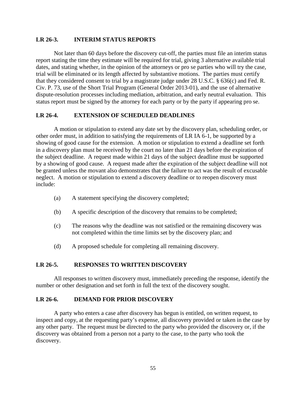#### **LR 26-3. INTERIM STATUS REPORTS**

Not later than 60 days before the discovery cut-off, the parties must file an interim status report stating the time they estimate will be required for trial, giving 3 alternative available trial dates, and stating whether, in the opinion of the attorneys or pro se parties who will try the case, trial will be eliminated or its length affected by substantive motions. The parties must certify that they considered consent to trial by a magistrate judge under 28 U.S.C. § 636(c) and Fed. R. Civ. P. 73, use of the Short Trial Program (General Order 2013-01), and the use of alternative dispute-resolution processes including mediation, arbitration, and early neutral evaluation. This status report must be signed by the attorney for each party or by the party if appearing pro se.

#### **LR 26-4. EXTENSION OF SCHEDULED DEADLINES**

A motion or stipulation to extend any date set by the discovery plan, scheduling order, or other order must, in addition to satisfying the requirements of LR IA 6-1, be supported by a showing of good cause for the extension. A motion or stipulation to extend a deadline set forth in a discovery plan must be received by the court no later than 21 days before the expiration of the subject deadline. A request made within 21 days of the subject deadline must be supported by a showing of good cause. A request made after the expiration of the subject deadline will not be granted unless the movant also demonstrates that the failure to act was the result of excusable neglect. A motion or stipulation to extend a discovery deadline or to reopen discovery must include:

- (a) A statement specifying the discovery completed;
- (b) A specific description of the discovery that remains to be completed;
- (c) The reasons why the deadline was not satisfied or the remaining discovery was not completed within the time limits set by the discovery plan; and
- (d) A proposed schedule for completing all remaining discovery.

### **LR 26-5. RESPONSES TO WRITTEN DISCOVERY**

All responses to written discovery must, immediately preceding the response, identify the number or other designation and set forth in full the text of the discovery sought.

#### **LR 26-6. DEMAND FOR PRIOR DISCOVERY**

A party who enters a case after discovery has begun is entitled, on written request, to inspect and copy, at the requesting party's expense, all discovery provided or taken in the case by any other party. The request must be directed to the party who provided the discovery or, if the discovery was obtained from a person not a party to the case, to the party who took the discovery.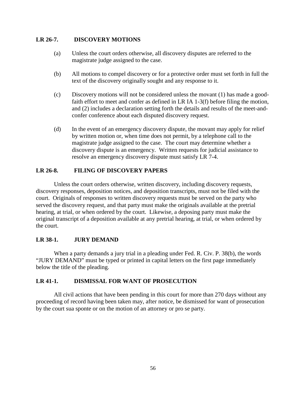# **LR 26-7. DISCOVERY MOTIONS**

- (a) Unless the court orders otherwise, all discovery disputes are referred to the magistrate judge assigned to the case.
- (b) All motions to compel discovery or for a protective order must set forth in full the text of the discovery originally sought and any response to it.
- (c) Discovery motions will not be considered unless the movant (1) has made a goodfaith effort to meet and confer as defined in LR IA 1-3(f) before filing the motion, and (2) includes a declaration setting forth the details and results of the meet-andconfer conference about each disputed discovery request.
- (d) In the event of an emergency discovery dispute, the movant may apply for relief by written motion or, when time does not permit, by a telephone call to the magistrate judge assigned to the case. The court may determine whether a discovery dispute is an emergency. Written requests for judicial assistance to resolve an emergency discovery dispute must satisfy LR 7-4.

# **LR 26-8. FILING OF DISCOVERY PAPERS**

Unless the court orders otherwise, written discovery, including discovery requests, discovery responses, deposition notices, and deposition transcripts, must not be filed with the court. Originals of responses to written discovery requests must be served on the party who served the discovery request, and that party must make the originals available at the pretrial hearing, at trial, or when ordered by the court. Likewise, a deposing party must make the original transcript of a deposition available at any pretrial hearing, at trial, or when ordered by the court.

# **LR 38-1. JURY DEMAND**

When a party demands a jury trial in a pleading under Fed. R. Civ. P. 38(b), the words "JURY DEMAND" must be typed or printed in capital letters on the first page immediately below the title of the pleading.

# **LR 41-1. DISMISSAL FOR WANT OF PROSECUTION**

All civil actions that have been pending in this court for more than 270 days without any proceeding of record having been taken may, after notice, be dismissed for want of prosecution by the court sua sponte or on the motion of an attorney or pro se party.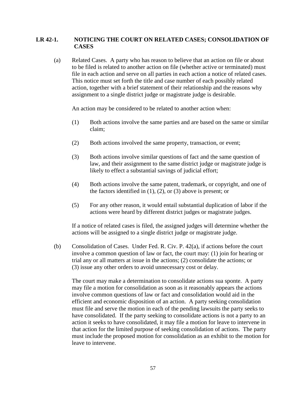### **LR 42-1. NOTICING THE COURT ON RELATED CASES; CONSOLIDATION OF CASES**

(a) Related Cases. A party who has reason to believe that an action on file or about to be filed is related to another action on file (whether active or terminated) must file in each action and serve on all parties in each action a notice of related cases. This notice must set forth the title and case number of each possibly related action, together with a brief statement of their relationship and the reasons why assignment to a single district judge or magistrate judge is desirable.

An action may be considered to be related to another action when:

- (1) Both actions involve the same parties and are based on the same or similar claim;
- (2) Both actions involved the same property, transaction, or event;
- (3) Both actions involve similar questions of fact and the same question of law, and their assignment to the same district judge or magistrate judge is likely to effect a substantial savings of judicial effort;
- (4) Both actions involve the same patent, trademark, or copyright, and one of the factors identified in  $(1)$ ,  $(2)$ , or  $(3)$  above is present; or
- (5) For any other reason, it would entail substantial duplication of labor if the actions were heard by different district judges or magistrate judges.

If a notice of related cases is filed, the assigned judges will determine whether the actions will be assigned to a single district judge or magistrate judge.

(b) Consolidation of Cases. Under Fed. R. Civ. P. 42(a), if actions before the court involve a common question of law or fact, the court may: (1) join for hearing or trial any or all matters at issue in the actions; (2) consolidate the actions; or (3) issue any other orders to avoid unnecessary cost or delay.

The court may make a determination to consolidate actions sua sponte. A party may file a motion for consolidation as soon as it reasonably appears the actions involve common questions of law or fact and consolidation would aid in the efficient and economic disposition of an action. A party seeking consolidation must file and serve the motion in each of the pending lawsuits the party seeks to have consolidated. If the party seeking to consolidate actions is not a party to an action it seeks to have consolidated, it may file a motion for leave to intervene in that action for the limited purpose of seeking consolidation of actions. The party must include the proposed motion for consolidation as an exhibit to the motion for leave to intervene.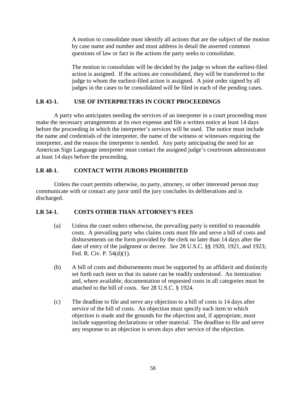A motion to consolidate must identify all actions that are the subject of the motion by case name and number and must address in detail the asserted common questions of law or fact in the actions the party seeks to consolidate.

The motion to consolidate will be decided by the judge to whom the earliest-filed action is assigned. If the actions are consolidated, they will be transferred to the judge to whom the earliest-filed action is assigned. A joint order signed by all judges in the cases to be consolidated will be filed in each of the pending cases.

### **LR 43-1. USE OF INTERPRETERS IN COURT PROCEEDINGS**

A party who anticipates needing the services of an interpreter in a court proceeding must make the necessary arrangements at its own expense and file a written notice at least 14 days before the proceeding in which the interpreter's services will be used. The notice must include the name and credentials of the interpreter, the name of the witness or witnesses requiring the interpreter, and the reason the interpreter is needed. Any party anticipating the need for an American Sign Language interpreter must contact the assigned judge's courtroom administrator at least 14 days before the proceeding.

# **LR 48-1. CONTACT WITH JURORS PROHIBITED**

Unless the court permits otherwise, no party, attorney, or other interested person may communicate with or contact any juror until the jury concludes its deliberations and is discharged.

# **LR 54-1. COSTS OTHER THAN ATTORNEY'S FEES**

- (a) Unless the court orders otherwise, the prevailing party is entitled to reasonable costs. A prevailing party who claims costs must file and serve a bill of costs and disbursements on the form provided by the clerk no later than 14 days after the date of entry of the judgment or decree. *See* 28 U.S.C. §§ 1920, 1921, and 1923; Fed. R. Civ. P. 54(d)(1).
- (b) A bill of costs and disbursements must be supported by an affidavit and distinctly set forth each item so that its nature can be readily understood. An itemization and, where available, documentation of requested costs in all categories must be attached to the bill of costs. *See* 28 U.S.C. § 1924.
- (c) The deadline to file and serve any objection to a bill of costs is 14 days after service of the bill of costs. An objection must specify each item to which objection is made and the grounds for the objection and, if appropriate, must include supporting declarations or other material. The deadline to file and serve any response to an objection is seven days after service of the objection.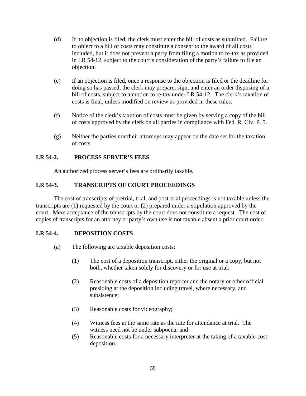- (d) If no objection is filed, the clerk must enter the bill of costs as submitted. Failure to object to a bill of costs may constitute a consent to the award of all costs included, but it does not prevent a party from filing a motion to re-tax as provided in LR 54-12, subject to the court's consideration of the party's failure to file an objection.
- (e) If an objection is filed, once a response to the objection is filed or the deadline for doing so has passed, the clerk may prepare, sign, and enter an order disposing of a bill of costs, subject to a motion to re-tax under LR 54-12. The clerk's taxation of costs is final, unless modified on review as provided in these rules.
- (f) Notice of the clerk's taxation of costs must be given by serving a copy of the bill of costs approved by the clerk on all parties in compliance with Fed. R. Civ. P. 5.
- (g) Neither the parties nor their attorneys may appear on the date set for the taxation of costs.

### **LR 54-2. PROCESS SERVER'S FEES**

An authorized process server's fees are ordinarily taxable.

# **LR 54-3. TRANSCRIPTS OF COURT PROCEEDINGS**

The cost of transcripts of pretrial, trial, and post-trial proceedings is not taxable unless the transcripts are (1) requested by the court or (2) prepared under a stipulation approved by the court. Mere acceptance of the transcripts by the court does not constitute a request. The cost of copies of transcripts for an attorney or party's own use is not taxable absent a prior court order.

#### **LR 54-4. DEPOSITION COSTS**

- (a) The following are taxable deposition costs:
	- (1) The cost of a deposition transcript, either the original or a copy, but not both, whether taken solely for discovery or for use at trial;
	- (2) Reasonable costs of a deposition reporter and the notary or other official presiding at the deposition including travel, where necessary, and subsistence;
	- (3) Reasonable costs for videography;
	- (4) Witness fees at the same rate as the rate for attendance at trial. The witness need not be under subpoena; and
	- (5) Reasonable costs for a necessary interpreter at the taking of a taxable-cost deposition.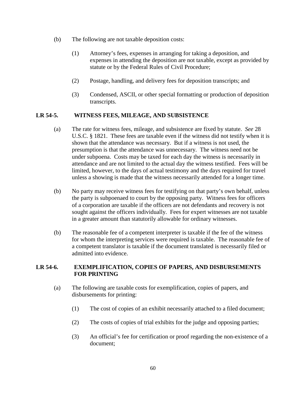- (b) The following are not taxable deposition costs:
	- (1) Attorney's fees, expenses in arranging for taking a deposition, and expenses in attending the deposition are not taxable, except as provided by statute or by the Federal Rules of Civil Procedure;
	- (2) Postage, handling, and delivery fees for deposition transcripts; and
	- (3) Condensed, ASCII, or other special formatting or production of deposition transcripts.

#### **LR 54-5. WITNESS FEES, MILEAGE, AND SUBSISTENCE**

- (a) The rate for witness fees, mileage, and subsistence are fixed by statute. *See* 28 U.S.C. § 1821. These fees are taxable even if the witness did not testify when it is shown that the attendance was necessary. But if a witness is not used, the presumption is that the attendance was unnecessary. The witness need not be under subpoena. Costs may be taxed for each day the witness is necessarily in attendance and are not limited to the actual day the witness testified. Fees will be limited, however, to the days of actual testimony and the days required for travel unless a showing is made that the witness necessarily attended for a longer time.
- (b) No party may receive witness fees for testifying on that party's own behalf, unless the party is subpoenaed to court by the opposing party. Witness fees for officers of a corporation are taxable if the officers are not defendants and recovery is not sought against the officers individually. Fees for expert witnesses are not taxable in a greater amount than statutorily allowable for ordinary witnesses.
- (b) The reasonable fee of a competent interpreter is taxable if the fee of the witness for whom the interpreting services were required is taxable. The reasonable fee of a competent translator is taxable if the document translated is necessarily filed or admitted into evidence.

#### **LR 54-6. EXEMPLIFICATION, COPIES OF PAPERS, AND DISBURSEMENTS FOR PRINTING**

- (a) The following are taxable costs for exemplification, copies of papers, and disbursements for printing:
	- (1) The cost of copies of an exhibit necessarily attached to a filed document;
	- (2) The costs of copies of trial exhibits for the judge and opposing parties;
	- (3) An official's fee for certification or proof regarding the non-existence of a document;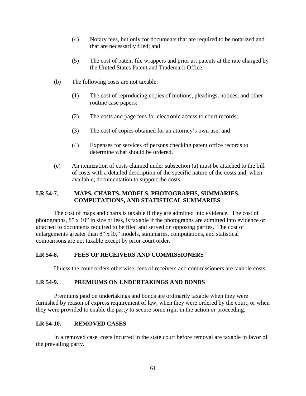- (4) Notary fees, but only for documents that are required to be notarized and that are necessarily filed; and
- (5) The cost of patent file wrappers and prior art patents at the rate charged by the United States Patent and Trademark Office.
- (b) The following costs are not taxable:
	- (1) The cost of reproducing copies of motions, pleadings, notices, and other routine case papers;
	- (2) The costs and page fees for electronic access to court records;
	- (3) The cost of copies obtained for an attorney's own use; and
	- (4) Expenses for services of persons checking patent office records to determine what should be ordered.
- (c) An itemization of costs claimed under subsection (a) must be attached to the bill of costs with a detailed description of the specific nature of the costs and, when available, documentation to support the costs.

# **LR 54-7. MAPS, CHARTS, MODELS, PHOTOGRAPHS, SUMMARIES, COMPUTATIONS, AND STATISTICAL SUMMARIES**

The cost of maps and charts is taxable if they are admitted into evidence. The cost of photographs, 8" x 10" in size or less, is taxable if the photographs are admitted into evidence or attached to documents required to be filed and served on opposing parties. The cost of enlargements greater than 8" x l0," models, summaries, computations, and statistical comparisons are not taxable except by prior court order.

# **LR 54-8. FEES OF RECEIVERS AND COMMISSIONERS**

Unless the court orders otherwise, fees of receivers and commissioners are taxable costs.

#### **LR 54-9. PREMIUMS ON UNDERTAKINGS AND BONDS**

Premiums paid on undertakings and bonds are ordinarily taxable when they were furnished by reason of express requirement of law, when they were ordered by the court, or when they were provided to enable the party to secure some right in the action or proceeding.

#### **LR 54-10. REMOVED CASES**

In a removed case, costs incurred in the state court before removal are taxable in favor of the prevailing party.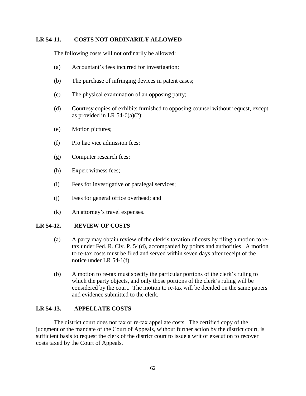### **LR 54-11. COSTS NOT ORDINARILY ALLOWED**

The following costs will not ordinarily be allowed:

- (a) Accountant's fees incurred for investigation;
- (b) The purchase of infringing devices in patent cases;
- (c) The physical examination of an opposing party;
- (d) Courtesy copies of exhibits furnished to opposing counsel without request, except as provided in LR 54-6(a)(2);
- (e) Motion pictures;
- (f) Pro hac vice admission fees;
- (g) Computer research fees;
- (h) Expert witness fees;
- (i) Fees for investigative or paralegal services;
- (j) Fees for general office overhead; and
- (k) An attorney's travel expenses.

#### **LR 54-12. REVIEW OF COSTS**

- (a) A party may obtain review of the clerk's taxation of costs by filing a motion to retax under Fed. R. Civ. P. 54(d), accompanied by points and authorities. A motion to re-tax costs must be filed and served within seven days after receipt of the notice under LR 54-1(f).
- (b) A motion to re-tax must specify the particular portions of the clerk's ruling to which the party objects, and only those portions of the clerk's ruling will be considered by the court. The motion to re-tax will be decided on the same papers and evidence submitted to the clerk.

# **LR 54-13. APPELLATE COSTS**

The district court does not tax or re-tax appellate costs. The certified copy of the judgment or the mandate of the Court of Appeals, without further action by the district court, is sufficient basis to request the clerk of the district court to issue a writ of execution to recover costs taxed by the Court of Appeals.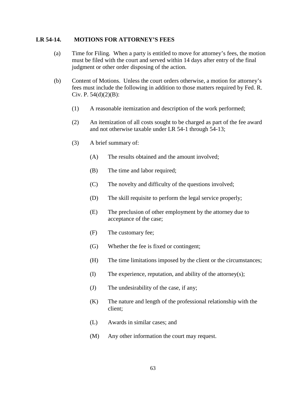### **LR 54-14. MOTIONS FOR ATTORNEY'S FEES**

- (a) Time for Filing. When a party is entitled to move for attorney's fees, the motion must be filed with the court and served within 14 days after entry of the final judgment or other order disposing of the action.
- (b) Content of Motions. Unless the court orders otherwise, a motion for attorney's fees must include the following in addition to those matters required by Fed. R. Civ. P. 54(d)(2)(B):
	- (1) A reasonable itemization and description of the work performed;
	- (2) An itemization of all costs sought to be charged as part of the fee award and not otherwise taxable under LR 54-1 through 54-13;
	- (3) A brief summary of:
		- (A) The results obtained and the amount involved;
		- (B) The time and labor required;
		- (C) The novelty and difficulty of the questions involved;
		- (D) The skill requisite to perform the legal service properly;
		- (E) The preclusion of other employment by the attorney due to acceptance of the case;
		- (F) The customary fee;
		- (G) Whether the fee is fixed or contingent;
		- (H) The time limitations imposed by the client or the circumstances;
		- (I) The experience, reputation, and ability of the attorney(s);
		- (J) The undesirability of the case, if any;
		- (K) The nature and length of the professional relationship with the client;
		- (L) Awards in similar cases; and
		- (M) Any other information the court may request.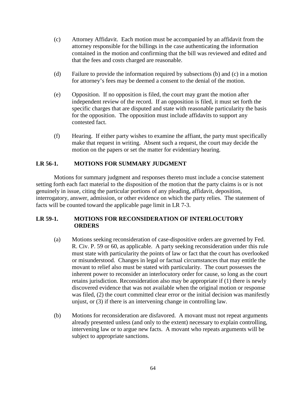- (c) Attorney Affidavit. Each motion must be accompanied by an affidavit from the attorney responsible for the billings in the case authenticating the information contained in the motion and confirming that the bill was reviewed and edited and that the fees and costs charged are reasonable.
- (d) Failure to provide the information required by subsections (b) and (c) in a motion for attorney's fees may be deemed a consent to the denial of the motion.
- (e) Opposition. If no opposition is filed, the court may grant the motion after independent review of the record. If an opposition is filed, it must set forth the specific charges that are disputed and state with reasonable particularity the basis for the opposition. The opposition must include affidavits to support any contested fact.
- (f) Hearing. If either party wishes to examine the affiant, the party must specifically make that request in writing. Absent such a request, the court may decide the motion on the papers or set the matter for evidentiary hearing.

## **LR 56-1. MOTIONS FOR SUMMARY JUDGMENT**

Motions for summary judgment and responses thereto must include a concise statement setting forth each fact material to the disposition of the motion that the party claims is or is not genuinely in issue, citing the particular portions of any pleading, affidavit, deposition, interrogatory, answer, admission, or other evidence on which the party relies. The statement of facts will be counted toward the applicable page limit in LR 7-3.

## **LR 59-1. MOTIONS FOR RECONSIDERATION OF INTERLOCUTORY ORDERS**

- (a) Motions seeking reconsideration of case-dispositive orders are governed by Fed. R. Civ. P. 59 or 60, as applicable. A party seeking reconsideration under this rule must state with particularity the points of law or fact that the court has overlooked or misunderstood. Changes in legal or factual circumstances that may entitle the movant to relief also must be stated with particularity. The court possesses the inherent power to reconsider an interlocutory order for cause, so long as the court retains jurisdiction. Reconsideration also may be appropriate if (1) there is newly discovered evidence that was not available when the original motion or response was filed, (2) the court committed clear error or the initial decision was manifestly unjust, or (3) if there is an intervening change in controlling law.
- (b) Motions for reconsideration are disfavored. A movant must not repeat arguments already presented unless (and only to the extent) necessary to explain controlling, intervening law or to argue new facts. A movant who repeats arguments will be subject to appropriate sanctions.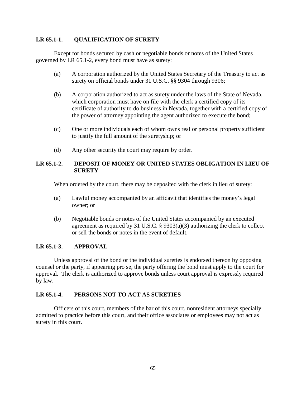## **LR 65.1-1. QUALIFICATION OF SURETY**

Except for bonds secured by cash or negotiable bonds or notes of the United States governed by LR 65.1-2, every bond must have as surety:

- (a) A corporation authorized by the United States Secretary of the Treasury to act as surety on official bonds under 31 U.S.C. §§ 9304 through 9306;
- (b) A corporation authorized to act as surety under the laws of the State of Nevada, which corporation must have on file with the clerk a certified copy of its certificate of authority to do business in Nevada, together with a certified copy of the power of attorney appointing the agent authorized to execute the bond;
- (c) One or more individuals each of whom owns real or personal property sufficient to justify the full amount of the suretyship; or
- (d) Any other security the court may require by order.

## **LR 65.1-2. DEPOSIT OF MONEY OR UNITED STATES OBLIGATION IN LIEU OF SURETY**

When ordered by the court, there may be deposited with the clerk in lieu of surety:

- (a) Lawful money accompanied by an affidavit that identifies the money's legal owner; or
- (b) Negotiable bonds or notes of the United States accompanied by an executed agreement as required by 31 U.S.C. § 9303(a)(3) authorizing the clerk to collect or sell the bonds or notes in the event of default.

## **LR 65.1-3. APPROVAL**

Unless approval of the bond or the individual sureties is endorsed thereon by opposing counsel or the party, if appearing pro se, the party offering the bond must apply to the court for approval. The clerk is authorized to approve bonds unless court approval is expressly required by law.

## **LR 65.1-4. PERSONS NOT TO ACT AS SURETIES**

Officers of this court, members of the bar of this court, nonresident attorneys specially admitted to practice before this court, and their office associates or employees may not act as surety in this court.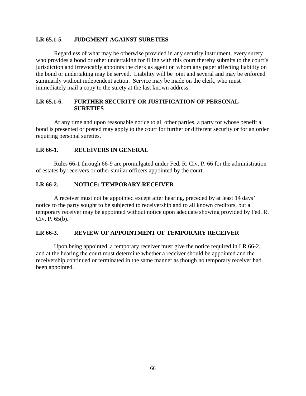## **LR 65.1-5. JUDGMENT AGAINST SURETIES**

Regardless of what may be otherwise provided in any security instrument, every surety who provides a bond or other undertaking for filing with this court thereby submits to the court's jurisdiction and irrevocably appoints the clerk as agent on whom any paper affecting liability on the bond or undertaking may be served. Liability will be joint and several and may be enforced summarily without independent action. Service may be made on the clerk, who must immediately mail a copy to the surety at the last known address.

### **LR 65.1-6. FURTHER SECURITY OR JUSTIFICATION OF PERSONAL SURETIES**

At any time and upon reasonable notice to all other parties, a party for whose benefit a bond is presented or posted may apply to the court for further or different security or for an order requiring personal sureties.

### **LR 66-1. RECEIVERS IN GENERAL**

Rules 66-1 through 66-9 are promulgated under Fed. R. Civ. P. 66 for the administration of estates by receivers or other similar officers appointed by the court.

## **LR 66-2. NOTICE; TEMPORARY RECEIVER**

A receiver must not be appointed except after hearing, preceded by at least 14 days' notice to the party sought to be subjected to receivership and to all known creditors, but a temporary receiver may be appointed without notice upon adequate showing provided by Fed. R. Civ. P. 65(b).

### **LR 66-3. REVIEW OF APPOINTMENT OF TEMPORARY RECEIVER**

Upon being appointed, a temporary receiver must give the notice required in LR 66-2, and at the hearing the court must determine whether a receiver should be appointed and the receivership continued or terminated in the same manner as though no temporary receiver had been appointed.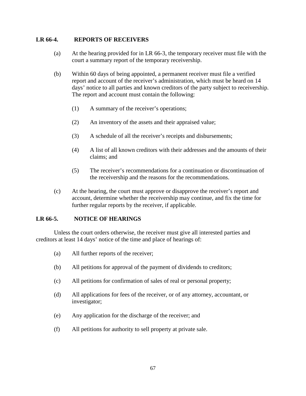## **LR 66-4. REPORTS OF RECEIVERS**

- (a) At the hearing provided for in LR 66-3, the temporary receiver must file with the court a summary report of the temporary receivership.
- (b) Within 60 days of being appointed, a permanent receiver must file a verified report and account of the receiver's administration, which must be heard on 14 days' notice to all parties and known creditors of the party subject to receivership. The report and account must contain the following:
	- (1) A summary of the receiver's operations;
	- (2) An inventory of the assets and their appraised value;
	- (3) A schedule of all the receiver's receipts and disbursements;
	- (4) A list of all known creditors with their addresses and the amounts of their claims; and
	- (5) The receiver's recommendations for a continuation or discontinuation of the receivership and the reasons for the recommendations.
- (c) At the hearing, the court must approve or disapprove the receiver's report and account, determine whether the receivership may continue, and fix the time for further regular reports by the receiver, if applicable.

## **LR 66-5. NOTICE OF HEARINGS**

Unless the court orders otherwise, the receiver must give all interested parties and creditors at least 14 days' notice of the time and place of hearings of:

- (a) All further reports of the receiver;
- (b) All petitions for approval of the payment of dividends to creditors;
- (c) All petitions for confirmation of sales of real or personal property;
- (d) All applications for fees of the receiver, or of any attorney, accountant, or investigator;
- (e) Any application for the discharge of the receiver; and
- (f) All petitions for authority to sell property at private sale.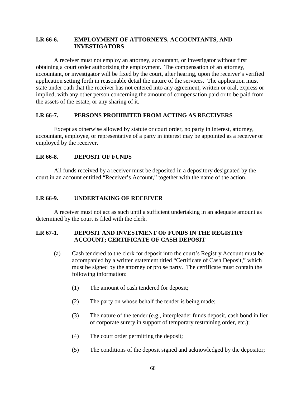### **LR 66-6. EMPLOYMENT OF ATTORNEYS, ACCOUNTANTS, AND INVESTIGATORS**

A receiver must not employ an attorney, accountant, or investigator without first obtaining a court order authorizing the employment. The compensation of an attorney, accountant, or investigator will be fixed by the court, after hearing, upon the receiver's verified application setting forth in reasonable detail the nature of the services. The application must state under oath that the receiver has not entered into any agreement, written or oral, express or implied, with any other person concerning the amount of compensation paid or to be paid from the assets of the estate, or any sharing of it.

### **LR 66-7. PERSONS PROHIBITED FROM ACTING AS RECEIVERS**

Except as otherwise allowed by statute or court order, no party in interest, attorney, accountant, employee, or representative of a party in interest may be appointed as a receiver or employed by the receiver.

### **LR 66-8. DEPOSIT OF FUNDS**

All funds received by a receiver must be deposited in a depository designated by the court in an account entitled "Receiver's Account," together with the name of the action.

## **LR 66-9. UNDERTAKING OF RECEIVER**

A receiver must not act as such until a sufficient undertaking in an adequate amount as determined by the court is filed with the clerk.

### **LR 67-1. DEPOSIT AND INVESTMENT OF FUNDS IN THE REGISTRY ACCOUNT; CERTIFICATE OF CASH DEPOSIT**

- (a) Cash tendered to the clerk for deposit into the court's Registry Account must be accompanied by a written statement titled "Certificate of Cash Deposit," which must be signed by the attorney or pro se party. The certificate must contain the following information:
	- (1) The amount of cash tendered for deposit;
	- (2) The party on whose behalf the tender is being made;
	- (3) The nature of the tender (e.g., interpleader funds deposit, cash bond in lieu of corporate surety in support of temporary restraining order, etc.);
	- (4) The court order permitting the deposit;
	- (5) The conditions of the deposit signed and acknowledged by the depositor;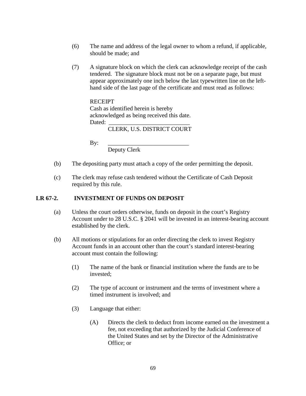- (6) The name and address of the legal owner to whom a refund, if applicable, should be made; and
- (7) A signature block on which the clerk can acknowledge receipt of the cash tendered. The signature block must not be on a separate page, but must appear approximately one inch below the last typewritten line on the lefthand side of the last page of the certificate and must read as follows:

**RECEIPT** Cash as identified herein is hereby acknowledged as being received this date. Dated: CLERK, U.S. DISTRICT COURT

By: \_\_\_\_\_\_\_\_\_\_\_\_\_\_\_\_\_\_\_\_\_\_\_\_\_\_\_

Deputy Clerk

- (b) The depositing party must attach a copy of the order permitting the deposit.
- (c) The clerk may refuse cash tendered without the Certificate of Cash Deposit required by this rule.

## **LR 67-2. INVESTMENT OF FUNDS ON DEPOSIT**

- (a) Unless the court orders otherwise, funds on deposit in the court's Registry Account under to 28 U.S.C. § 2041 will be invested in an interest-bearing account established by the clerk.
- (b) All motions or stipulations for an order directing the clerk to invest Registry Account funds in an account other than the court's standard interest-bearing account must contain the following:
	- (1) The name of the bank or financial institution where the funds are to be invested;
	- (2) The type of account or instrument and the terms of investment where a timed instrument is involved; and
	- (3) Language that either:
		- (A) Directs the clerk to deduct from income earned on the investment a fee, not exceeding that authorized by the Judicial Conference of the United States and set by the Director of the Administrative Office; or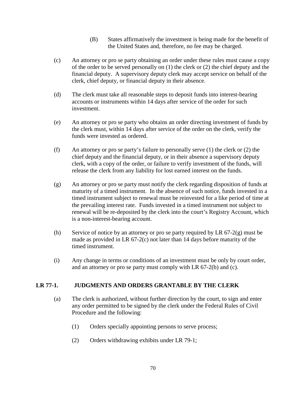- (B) States affirmatively the investment is being made for the benefit of the United States and, therefore, no fee may be charged.
- (c) An attorney or pro se party obtaining an order under these rules must cause a copy of the order to be served personally on (1) the clerk or (2) the chief deputy and the financial deputy. A supervisory deputy clerk may accept service on behalf of the clerk, chief deputy, or financial deputy in their absence.
- (d) The clerk must take all reasonable steps to deposit funds into interest-bearing accounts or instruments within 14 days after service of the order for such investment.
- (e) An attorney or pro se party who obtains an order directing investment of funds by the clerk must, within 14 days after service of the order on the clerk, verify the funds were invested as ordered.
- (f) An attorney or pro se party's failure to personally serve (1) the clerk or (2) the chief deputy and the financial deputy, or in their absence a supervisory deputy clerk, with a copy of the order, or failure to verify investment of the funds, will release the clerk from any liability for lost earned interest on the funds.
- (g) An attorney or pro se party must notify the clerk regarding disposition of funds at maturity of a timed instrument. In the absence of such notice, funds invested in a timed instrument subject to renewal must be reinvested for a like period of time at the prevailing interest rate. Funds invested in a timed instrument not subject to renewal will be re-deposited by the clerk into the court's Registry Account, which is a non-interest-bearing account.
- (h) Service of notice by an attorney or pro se party required by LR 67-2(g) must be made as provided in LR 67-2(c) not later than 14 days before maturity of the timed instrument.
- (i) Any change in terms or conditions of an investment must be only by court order, and an attorney or pro se party must comply with LR 67-2(b) and (c).

## **LR 77-1. JUDGMENTS AND ORDERS GRANTABLE BY THE CLERK**

- (a) The clerk is authorized, without further direction by the court, to sign and enter any order permitted to be signed by the clerk under the Federal Rules of Civil Procedure and the following:
	- (1) Orders specially appointing persons to serve process;
	- (2) Orders withdrawing exhibits under LR 79-1;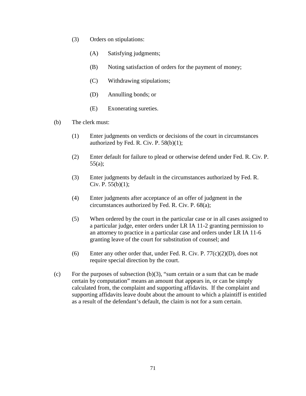- (3) Orders on stipulations:
	- (A) Satisfying judgments;
	- (B) Noting satisfaction of orders for the payment of money;
	- (C) Withdrawing stipulations;
	- (D) Annulling bonds; or
	- (E) Exonerating sureties.
- (b) The clerk must:
	- (1) Enter judgments on verdicts or decisions of the court in circumstances authorized by Fed. R. Civ. P.  $58(b)(1)$ ;
	- (2) Enter default for failure to plead or otherwise defend under Fed. R. Civ. P. 55(a);
	- (3) Enter judgments by default in the circumstances authorized by Fed. R. Civ. P. 55(b)(1);
	- (4) Enter judgments after acceptance of an offer of judgment in the circumstances authorized by Fed. R. Civ. P. 68(a);
	- (5) When ordered by the court in the particular case or in all cases assigned to a particular judge, enter orders under LR IA 11-2 granting permission to an attorney to practice in a particular case and orders under LR IA 11-6 granting leave of the court for substitution of counsel; and
	- (6) Enter any other order that, under Fed. R. Civ. P.  $77(c)(2)(D)$ , does not require special direction by the court.
- (c) For the purposes of subsection  $(b)(3)$ , "sum certain or a sum that can be made certain by computation" means an amount that appears in, or can be simply calculated from, the complaint and supporting affidavits. If the complaint and supporting affidavits leave doubt about the amount to which a plaintiff is entitled as a result of the defendant's default, the claim is not for a sum certain.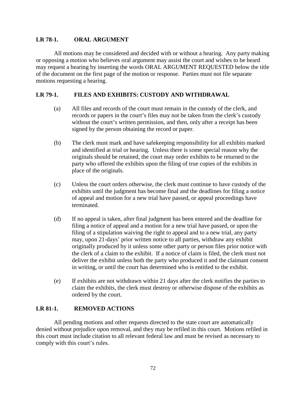### **LR 78-1. ORAL ARGUMENT**

All motions may be considered and decided with or without a hearing. Any party making or opposing a motion who believes oral argument may assist the court and wishes to be heard may request a hearing by inserting the words ORAL ARGUMENT REQUESTED below the title of the document on the first page of the motion or response. Parties must not file separate motions requesting a hearing.

## **LR 79-1. FILES AND EXHIBITS: CUSTODY AND WITHDRAWAL**

- (a) All files and records of the court must remain in the custody of the clerk, and records or papers in the court's files may not be taken from the clerk's custody without the court's written permission, and then, only after a receipt has been signed by the person obtaining the record or paper.
- (b) The clerk must mark and have safekeeping responsibility for all exhibits marked and identified at trial or hearing. Unless there is some special reason why the originals should be retained, the court may order exhibits to be returned to the party who offered the exhibits upon the filing of true copies of the exhibits in place of the originals.
- (c) Unless the court orders otherwise, the clerk must continue to have custody of the exhibits until the judgment has become final and the deadlines for filing a notice of appeal and motion for a new trial have passed, or appeal proceedings have terminated.
- (d) If no appeal is taken, after final judgment has been entered and the deadline for filing a notice of appeal and a motion for a new trial have passed, or upon the filing of a stipulation waiving the right to appeal and to a new trial, any party may, upon 21-days' prior written notice to all parties, withdraw any exhibit originally produced by it unless some other party or person files prior notice with the clerk of a claim to the exhibit. If a notice of claim is filed, the clerk must not deliver the exhibit unless both the party who produced it and the claimant consent in writing, or until the court has determined who is entitled to the exhibit.
- (e) If exhibits are not withdrawn within 21 days after the clerk notifies the parties to claim the exhibits, the clerk must destroy or otherwise dispose of the exhibits as ordered by the court.

## **LR 81-1. REMOVED ACTIONS**

All pending motions and other requests directed to the state court are automatically denied without prejudice upon removal, and they may be refiled in this court. Motions refiled in this court must include citation to all relevant federal law and must be revised as necessary to comply with this court's rules.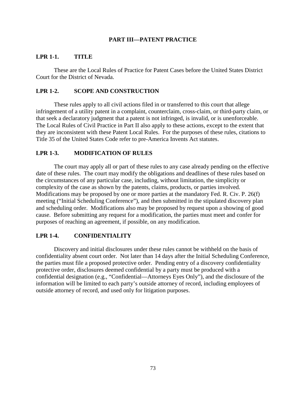#### **PART III—PATENT PRACTICE**

#### **LPR 1-1. TITLE**

These are the Local Rules of Practice for Patent Cases before the United States District Court for the District of Nevada.

### **LPR 1-2. SCOPE AND CONSTRUCTION**

These rules apply to all civil actions filed in or transferred to this court that allege infringement of a utility patent in a complaint, counterclaim, cross-claim, or third-party claim, or that seek a declaratory judgment that a patent is not infringed, is invalid, or is unenforceable. The Local Rules of Civil Practice in Part II also apply to these actions, except to the extent that they are inconsistent with these Patent Local Rules. For the purposes of these rules, citations to Title 35 of the United States Code refer to pre-America Invents Act statutes.

### **LPR 1-3. MODIFICATION OF RULES**

The court may apply all or part of these rules to any case already pending on the effective date of these rules. The court may modify the obligations and deadlines of these rules based on the circumstances of any particular case, including, without limitation, the simplicity or complexity of the case as shown by the patents, claims, products, or parties involved. Modifications may be proposed by one or more parties at the mandatory Fed. R. Civ. P. 26(f) meeting ("Initial Scheduling Conference"), and then submitted in the stipulated discovery plan and scheduling order. Modifications also may be proposed by request upon a showing of good cause. Before submitting any request for a modification, the parties must meet and confer for purposes of reaching an agreement, if possible, on any modification.

#### **LPR 1-4. CONFIDENTIALITY**

Discovery and initial disclosures under these rules cannot be withheld on the basis of confidentiality absent court order. Not later than 14 days after the Initial Scheduling Conference, the parties must file a proposed protective order. Pending entry of a discovery confidentiality protective order, disclosures deemed confidential by a party must be produced with a confidential designation (e.g., "Confidential—Attorneys Eyes Only"), and the disclosure of the information will be limited to each party's outside attorney of record, including employees of outside attorney of record, and used only for litigation purposes.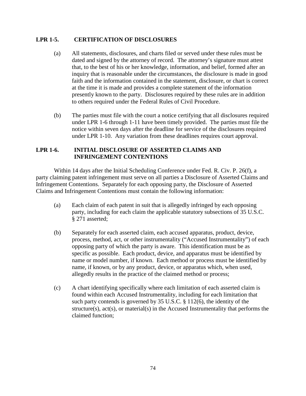## **LPR 1-5. CERTIFICATION OF DISCLOSURES**

- (a) All statements, disclosures, and charts filed or served under these rules must be dated and signed by the attorney of record. The attorney's signature must attest that, to the best of his or her knowledge, information, and belief, formed after an inquiry that is reasonable under the circumstances, the disclosure is made in good faith and the information contained in the statement, disclosure, or chart is correct at the time it is made and provides a complete statement of the information presently known to the party. Disclosures required by these rules are in addition to others required under the Federal Rules of Civil Procedure.
- (b) The parties must file with the court a notice certifying that all disclosures required under LPR 1-6 through 1-11 have been timely provided. The parties must file the notice within seven days after the deadline for service of the disclosures required under LPR 1-10. Any variation from these deadlines requires court approval.

## **LPR 1-6. INITIAL DISCLOSURE OF ASSERTED CLAIMS AND INFRINGEMENT CONTENTIONS**

Within 14 days after the Initial Scheduling Conference under Fed. R. Civ. P. 26(f), a party claiming patent infringement must serve on all parties a Disclosure of Asserted Claims and Infringement Contentions. Separately for each opposing party, the Disclosure of Asserted Claims and Infringement Contentions must contain the following information:

- (a) Each claim of each patent in suit that is allegedly infringed by each opposing party, including for each claim the applicable statutory subsections of 35 U.S.C. § 271 asserted;
- (b) Separately for each asserted claim, each accused apparatus, product, device, process, method, act, or other instrumentality ("Accused Instrumentality") of each opposing party of which the party is aware. This identification must be as specific as possible. Each product, device, and apparatus must be identified by name or model number, if known. Each method or process must be identified by name, if known, or by any product, device, or apparatus which, when used, allegedly results in the practice of the claimed method or process;
- (c) A chart identifying specifically where each limitation of each asserted claim is found within each Accused Instrumentality, including for each limitation that such party contends is governed by 35 U.S.C. § 112(6), the identity of the structure(s), act(s), or material(s) in the Accused Instrumentality that performs the claimed function;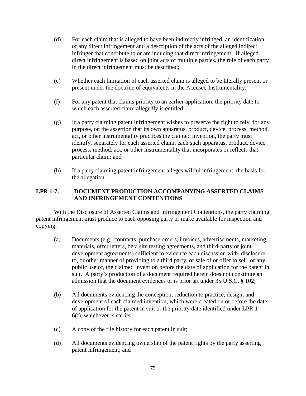- (d) For each claim that is alleged to have been indirectly infringed, an identification of any direct infringement and a description of the acts of the alleged indirect infringer that contribute to or are inducing that direct infringement. If alleged direct infringement is based on joint acts of multiple parties, the role of each party in the direct infringement must be described;
- (e) Whether each limitation of each asserted claim is alleged to be literally present or present under the doctrine of equivalents in the Accused Instrumentality;
- (f) For any patent that claims priority to an earlier application, the priority date to which each asserted claim allegedly is entitled;
- (g) If a party claiming patent infringement wishes to preserve the right to rely, for any purpose, on the assertion that its own apparatus, product, device, process, method, act, or other instrumentality practices the claimed invention, the party must identify, separately for each asserted claim, each such apparatus, product, device, process, method, act, or other instrumentality that incorporates or reflects that particular claim; and
- (h) If a party claiming patent infringement alleges willful infringement, the basis for the allegation.

## **LPR 1-7. DOCUMENT PRODUCTION ACCOMPANYING ASSERTED CLAIMS AND INFRINGEMENT CONTENTIONS**

With the Disclosure of Asserted Claims and Infringement Contentions, the party claiming patent infringement must produce to each opposing party or make available for inspection and copying:

- (a) Documents (e.g., contracts, purchase orders, invoices, advertisements, marketing materials, offer letters, beta site testing agreements, and third-party or joint development agreements) sufficient to evidence each discussion with, disclosure to, or other manner of providing to a third party, or sale of or offer to sell, or any public use of, the claimed invention before the date of application for the patent in suit. A party's production of a document required herein does not constitute an admission that the document evidences or is prior art under 35 U.S.C. § 102;
- (b) All documents evidencing the conception, reduction to practice, design, and development of each claimed invention, which were created on or before the date of application for the patent in suit or the priority date identified under LPR 1- 6(f), whichever is earlier;
- (c) A copy of the file history for each patent in suit;
- (d) All documents evidencing ownership of the patent rights by the party asserting patent infringement; and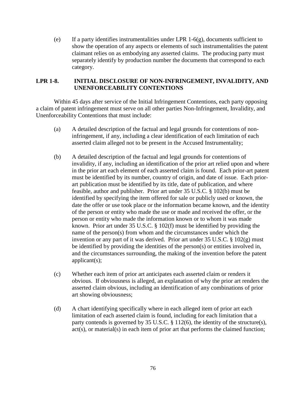(e) If a party identifies instrumentalities under LPR 1-6(g), documents sufficient to show the operation of any aspects or elements of such instrumentalities the patent claimant relies on as embodying any asserted claims. The producing party must separately identify by production number the documents that correspond to each category.

### **LPR 1-8. INITIAL DISCLOSURE OF NON-INFRINGEMENT, INVALIDITY, AND UNENFORCEABILITY CONTENTIONS**

Within 45 days after service of the Initial Infringement Contentions, each party opposing a claim of patent infringement must serve on all other parties Non-Infringement, Invalidity, and Unenforceability Contentions that must include:

- (a) A detailed description of the factual and legal grounds for contentions of noninfringement, if any, including a clear identification of each limitation of each asserted claim alleged not to be present in the Accused Instrumentality;
- (b) A detailed description of the factual and legal grounds for contentions of invalidity, if any, including an identification of the prior art relied upon and where in the prior art each element of each asserted claim is found. Each prior-art patent must be identified by its number, country of origin, and date of issue. Each priorart publication must be identified by its title, date of publication, and where feasible, author and publisher. Prior art under 35 U.S.C. § 102(b) must be identified by specifying the item offered for sale or publicly used or known, the date the offer or use took place or the information became known, and the identity of the person or entity who made the use or made and received the offer, or the person or entity who made the information known or to whom it was made known. Prior art under 35 U.S.C. § 102(f) must be identified by providing the name of the person(s) from whom and the circumstances under which the invention or any part of it was derived. Prior art under 35 U.S.C. § 102(g) must be identified by providing the identities of the person(s) or entities involved in, and the circumstances surrounding, the making of the invention before the patent applicant(s);
- (c) Whether each item of prior art anticipates each asserted claim or renders it obvious. If obviousness is alleged, an explanation of why the prior art renders the asserted claim obvious, including an identification of any combinations of prior art showing obviousness;
- (d) A chart identifying specifically where in each alleged item of prior art each limitation of each asserted claim is found, including for each limitation that a party contends is governed by 35 U.S.C. § 112(6), the identity of the structure(s), act(s), or material(s) in each item of prior art that performs the claimed function;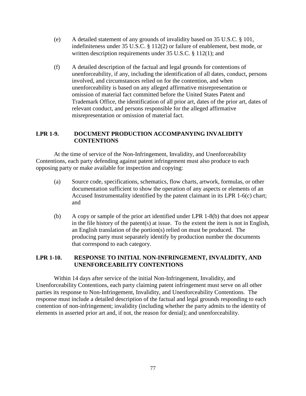- (e) A detailed statement of any grounds of invalidity based on 35 U.S.C. § 101, indefiniteness under 35 U.S.C. § 112(2) or failure of enablement, best mode, or written description requirements under 35 U.S.C. § 112(1); and
- (f) A detailed description of the factual and legal grounds for contentions of unenforceability, if any, including the identification of all dates, conduct, persons involved, and circumstances relied on for the contention, and when unenforceability is based on any alleged affirmative misrepresentation or omission of material fact committed before the United States Patent and Trademark Office, the identification of all prior art, dates of the prior art, dates of relevant conduct, and persons responsible for the alleged affirmative misrepresentation or omission of material fact.

## **LPR 1-9. DOCUMENT PRODUCTION ACCOMPANYING INVALIDITY CONTENTIONS**

At the time of service of the Non-Infringement, Invalidity, and Unenforceability Contentions, each party defending against patent infringement must also produce to each opposing party or make available for inspection and copying:

- (a) Source code, specifications, schematics, flow charts, artwork, formulas, or other documentation sufficient to show the operation of any aspects or elements of an Accused Instrumentality identified by the patent claimant in its LPR 1-6(c) chart; and
- (b) A copy or sample of the prior art identified under LPR 1-8(b) that does not appear in the file history of the patent(s) at issue. To the extent the item is not in English, an English translation of the portion(s) relied on must be produced. The producing party must separately identify by production number the documents that correspond to each category.

## **LPR 1-10. RESPONSE TO INITIAL NON-INFRINGEMENT, INVALIDITY, AND UNENFORCEABILITY CONTENTIONS**

Within 14 days after service of the initial Non-Infringement, Invalidity, and Unenforceability Contentions, each party claiming patent infringement must serve on all other parties its response to Non-Infringement, Invalidity, and Unenforceability Contentions. The response must include a detailed description of the factual and legal grounds responding to each contention of non-infringement; invalidity (including whether the party admits to the identity of elements in asserted prior art and, if not, the reason for denial); and unenforceability.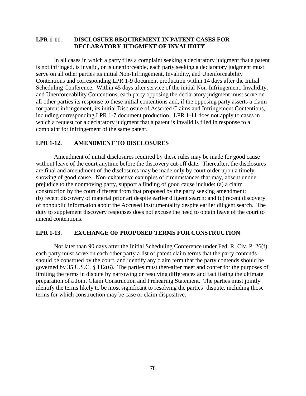### **LPR 1-11. DISCLOSURE REQUIREMENT IN PATENT CASES FOR DECLARATORY JUDGMENT OF INVALIDITY**

In all cases in which a party files a complaint seeking a declaratory judgment that a patent is not infringed, is invalid, or is unenforceable, each party seeking a declaratory judgment must serve on all other parties its initial Non-Infringement, Invalidity, and Unenforceability Contentions and corresponding LPR 1-9 document production within 14 days after the Initial Scheduling Conference. Within 45 days after service of the initial Non-Infringement, Invalidity, and Unenforceability Contentions, each party opposing the declaratory judgment must serve on all other parties its response to these initial contentions and, if the opposing party asserts a claim for patent infringement, its initial Disclosure of Asserted Claims and Infringement Contentions, including corresponding LPR 1-7 document production. LPR 1-11 does not apply to cases in which a request for a declaratory judgment that a patent is invalid is filed in response to a complaint for infringement of the same patent.

### **LPR 1-12. AMENDMENT TO DISCLOSURES**

Amendment of initial disclosures required by these rules may be made for good cause without leave of the court anytime before the discovery cut-off date. Thereafter, the disclosures are final and amendment of the disclosures may be made only by court order upon a timely showing of good cause. Non-exhaustive examples of circumstances that may, absent undue prejudice to the nonmoving party, support a finding of good cause include: (a) a claim construction by the court different from that proposed by the party seeking amendment; (b) recent discovery of material prior art despite earlier diligent search; and (c) recent discovery of nonpublic information about the Accused Instrumentality despite earlier diligent search. The duty to supplement discovery responses does not excuse the need to obtain leave of the court to amend contentions.

### **LPR 1-13. EXCHANGE OF PROPOSED TERMS FOR CONSTRUCTION**

Not later than 90 days after the Initial Scheduling Conference under Fed. R. Civ. P. 26(f), each party must serve on each other party a list of patent claim terms that the party contends should be construed by the court, and identify any claim term that the party contends should be governed by 35 U.S.C. § 112(6). The parties must thereafter meet and confer for the purposes of limiting the terms in dispute by narrowing or resolving differences and facilitating the ultimate preparation of a Joint Claim Construction and Prehearing Statement. The parties must jointly identify the terms likely to be most significant to resolving the parties' dispute, including those terms for which construction may be case or claim dispositive.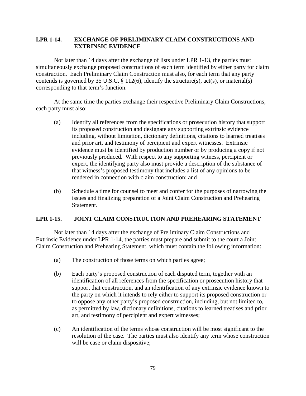## **LPR 1-14. EXCHANGE OF PRELIMINARY CLAIM CONSTRUCTIONS AND EXTRINSIC EVIDENCE**

Not later than 14 days after the exchange of lists under LPR 1-13, the parties must simultaneously exchange proposed constructions of each term identified by either party for claim construction. Each Preliminary Claim Construction must also, for each term that any party contends is governed by 35 U.S.C.  $\S$  112(6), identify the structure(s), act(s), or material(s) corresponding to that term's function.

At the same time the parties exchange their respective Preliminary Claim Constructions, each party must also:

- (a) Identify all references from the specifications or prosecution history that support its proposed construction and designate any supporting extrinsic evidence including, without limitation, dictionary definitions, citations to learned treatises and prior art, and testimony of percipient and expert witnesses. Extrinsic evidence must be identified by production number or by producing a copy if not previously produced. With respect to any supporting witness, percipient or expert, the identifying party also must provide a description of the substance of that witness's proposed testimony that includes a list of any opinions to be rendered in connection with claim construction; and
- (b) Schedule a time for counsel to meet and confer for the purposes of narrowing the issues and finalizing preparation of a Joint Claim Construction and Prehearing Statement.

### **LPR 1-15. JOINT CLAIM CONSTRUCTION AND PREHEARING STATEMENT**

Not later than 14 days after the exchange of Preliminary Claim Constructions and Extrinsic Evidence under LPR 1-14, the parties must prepare and submit to the court a Joint Claim Construction and Prehearing Statement, which must contain the following information:

- (a) The construction of those terms on which parties agree;
- (b) Each party's proposed construction of each disputed term, together with an identification of all references from the specification or prosecution history that support that construction, and an identification of any extrinsic evidence known to the party on which it intends to rely either to support its proposed construction or to oppose any other party's proposed construction, including, but not limited to, as permitted by law, dictionary definitions, citations to learned treatises and prior art, and testimony of percipient and expert witnesses;
- (c) An identification of the terms whose construction will be most significant to the resolution of the case. The parties must also identify any term whose construction will be case or claim dispositive;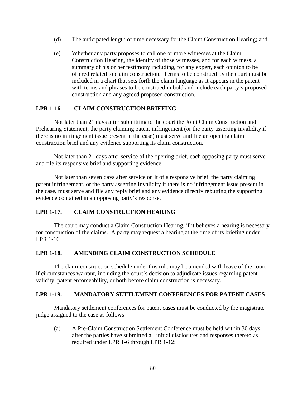- (d) The anticipated length of time necessary for the Claim Construction Hearing; and
- (e) Whether any party proposes to call one or more witnesses at the Claim Construction Hearing, the identity of those witnesses, and for each witness, a summary of his or her testimony including, for any expert, each opinion to be offered related to claim construction. Terms to be construed by the court must be included in a chart that sets forth the claim language as it appears in the patent with terms and phrases to be construed in bold and include each party's proposed construction and any agreed proposed construction.

### **LPR 1-16. CLAIM CONSTRUCTION BRIEFING**

Not later than 21 days after submitting to the court the Joint Claim Construction and Prehearing Statement, the party claiming patent infringement (or the party asserting invalidity if there is no infringement issue present in the case) must serve and file an opening claim construction brief and any evidence supporting its claim construction.

Not later than 21 days after service of the opening brief, each opposing party must serve and file its responsive brief and supporting evidence.

Not later than seven days after service on it of a responsive brief, the party claiming patent infringement, or the party asserting invalidity if there is no infringement issue present in the case, must serve and file any reply brief and any evidence directly rebutting the supporting evidence contained in an opposing party's response.

## **LPR 1-17. CLAIM CONSTRUCTION HEARING**

The court may conduct a Claim Construction Hearing, if it believes a hearing is necessary for construction of the claims. A party may request a hearing at the time of its briefing under LPR 1-16.

### **LPR 1-18. AMENDING CLAIM CONSTRUCTION SCHEDULE**

The claim-construction schedule under this rule may be amended with leave of the court if circumstances warrant, including the court's decision to adjudicate issues regarding patent validity, patent enforceability, or both before claim construction is necessary.

### **LPR 1-19. MANDATORY SETTLEMENT CONFERENCES FOR PATENT CASES**

Mandatory settlement conferences for patent cases must be conducted by the magistrate judge assigned to the case as follows:

(a) A Pre-Claim Construction Settlement Conference must be held within 30 days after the parties have submitted all initial disclosures and responses thereto as required under LPR 1-6 through LPR 1-12;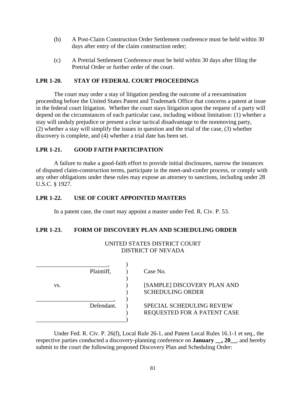- (b) A Post-Claim Construction Order Settlement conference must be held within 30 days after entry of the claim construction order;
- (c) A Pretrial Settlement Conference must be held within 30 days after filing the Pretrial Order or further order of the court.

### **LPR 1-20. STAY OF FEDERAL COURT PROCEEDINGS**

The court may order a stay of litigation pending the outcome of a reexamination proceeding before the United States Patent and Trademark Office that concerns a patent at issue in the federal court litigation. Whether the court stays litigation upon the request of a party will depend on the circumstances of each particular case, including without limitation: (1) whether a stay will unduly prejudice or present a clear tactical disadvantage to the nonmoving party, (2) whether a stay will simplify the issues in question and the trial of the case, (3) whether discovery is complete, and (4) whether a trial date has been set.

## **LPR 1-21. GOOD FAITH PARTICIPATION**

A failure to make a good-faith effort to provide initial disclosures, narrow the instances of disputed claim-construction terms, participate in the meet-and-confer process, or comply with any other obligations under these rules may expose an attorney to sanctions, including under 28 U.S.C. § 1927.

### **LPR 1-22. USE OF COURT APPOINTED MASTERS**

In a patent case, the court may appoint a master under Fed. R. Civ. P. 53.

### **LPR 1-23. FORM OF DISCOVERY PLAN AND SCHEDULING ORDER**



UNITED STATES DISTRICT COURT DISTRICT OF NEVADA

Under Fed. R. Civ. P. 26(f), Local Rule 26-1, and Patent Local Rules 16.1-1 et seq., the respective parties conducted a discovery-planning conference on **January \_\_, 20\_\_**, and hereby submit to the court the following proposed Discovery Plan and Scheduling Order: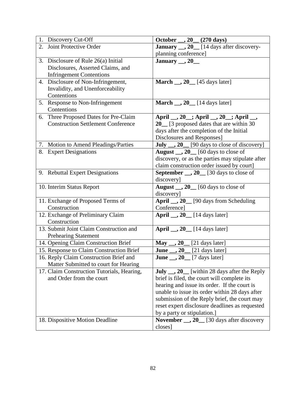| 1. Discovery Cut-Off                       | October $\_\_$ , 20 $\_\_$ (270 days)                                                                                                                                                                                                   |
|--------------------------------------------|-----------------------------------------------------------------------------------------------------------------------------------------------------------------------------------------------------------------------------------------|
| 2. Joint Protective Order                  | January __, 20 __ [14 days after discovery-                                                                                                                                                                                             |
|                                            | planning conference]                                                                                                                                                                                                                    |
| 3. Disclosure of Rule 26(a) Initial        | January $\_, 20$                                                                                                                                                                                                                        |
| Disclosures, Asserted Claims, and          |                                                                                                                                                                                                                                         |
| <b>Infringement Contentions</b>            |                                                                                                                                                                                                                                         |
| 4. Disclosure of Non-Infringement,         | March $\_\_$ , 20 $\_\_$ [45 days later]                                                                                                                                                                                                |
| Invalidity, and Unenforceability           |                                                                                                                                                                                                                                         |
| Contentions                                |                                                                                                                                                                                                                                         |
| 5. Response to Non-Infringement            | March $\_\_$ , 20 $\_\_$ [14 days later]                                                                                                                                                                                                |
| Contentions                                |                                                                                                                                                                                                                                         |
| Three Proposed Dates for Pre-Claim<br>6.   | April __, 20__; April __, 20__; April __,                                                                                                                                                                                               |
| <b>Construction Settlement Conference</b>  | 20 [3 proposed dates that are within 30                                                                                                                                                                                                 |
|                                            | days after the completion of the Initial                                                                                                                                                                                                |
|                                            | Disclosures and Responses]                                                                                                                                                                                                              |
| 7. Motion to Amend Pleadings/Parties       | July _, 20_ [90 days to close of discovery]                                                                                                                                                                                             |
| 8. Expert Designations                     | <b>August</b> $\_\_$ , 20 $\_\_$ [60 days to close of                                                                                                                                                                                   |
|                                            | discovery, or as the parties may stipulate after                                                                                                                                                                                        |
|                                            | claim construction order issued by court]                                                                                                                                                                                               |
| 9. Rebuttal Expert Designations            | <b>September</b> $\_\_$ , 20 $\_\_$ [30 days to close of                                                                                                                                                                                |
|                                            | discovery]                                                                                                                                                                                                                              |
| 10. Interim Status Report                  | August $\_\_$ , 20 $\_\_$ [60 days to close of                                                                                                                                                                                          |
|                                            | discovery]                                                                                                                                                                                                                              |
| 11. Exchange of Proposed Terms of          | April __, 20_ [90 days from Scheduling                                                                                                                                                                                                  |
| Construction                               | Conference]                                                                                                                                                                                                                             |
| 12. Exchange of Preliminary Claim          | April __, 20_[14 days later]                                                                                                                                                                                                            |
| Construction                               |                                                                                                                                                                                                                                         |
| 13. Submit Joint Claim Construction and    | <b>April</b> __, 20_ [14 days later]                                                                                                                                                                                                    |
| <b>Prehearing Statement</b>                |                                                                                                                                                                                                                                         |
| 14. Opening Claim Construction Brief       | $May \_\_220$<br>[21 days later]                                                                                                                                                                                                        |
| 15. Response to Claim Construction Brief   | June $\_,20$<br>[21 days later]                                                                                                                                                                                                         |
| 16. Reply Claim Construction Brief and     | , 20<br>[7 days later]<br>June                                                                                                                                                                                                          |
| Matter Submitted to court for Hearing      |                                                                                                                                                                                                                                         |
| 17. Claim Construction Tutorials, Hearing, | <b>July</b> $\_\_$ , 20 $\_\_$ [within 28 days after the Reply                                                                                                                                                                          |
| and Order from the court                   | brief is filed, the court will complete its                                                                                                                                                                                             |
|                                            | hearing and issue its order. If the court is                                                                                                                                                                                            |
|                                            |                                                                                                                                                                                                                                         |
|                                            |                                                                                                                                                                                                                                         |
|                                            |                                                                                                                                                                                                                                         |
|                                            |                                                                                                                                                                                                                                         |
|                                            |                                                                                                                                                                                                                                         |
| 18. Dispositive Motion Deadline            | unable to issue its order within 28 days after<br>submission of the Reply brief, the court may<br>reset expert disclosure deadlines as requested<br>by a party or stipulation.]<br>November __, 20_ [30 days after discovery<br>closes] |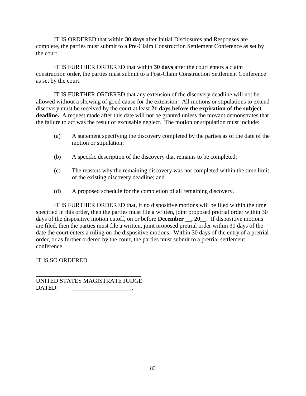IT IS ORDERED that within **30 days** after Initial Disclosures and Responses are complete, the parties must submit to a Pre-Claim Construction Settlement Conference as set by the court.

IT IS FURTHER ORDERED that within **30 days** after the court enters a claim construction order, the parties must submit to a Post-Claim Construction Settlement Conference as set by the court.

IT IS FURTHER ORDERED that any extension of the discovery deadline will not be allowed without a showing of good cause for the extension. All motions or stipulations to extend discovery must be received by the court at least **21 days before the expiration of the subject deadline.** A request made after this date will not be granted unless the movant demonstrates that the failure to act was the result of excusable neglect. The motion or stipulation must include:

- (a) A statement specifying the discovery completed by the parties as of the date of the motion or stipulation;
- (b) A specific description of the discovery that remains to be completed;
- (c) The reasons why the remaining discovery was not completed within the time limit of the existing discovery deadline; and
- (d) A proposed schedule for the completion of all remaining discovery.

IT IS FURTHER ORDERED that, if no dispositive motions will be filed within the time specified in this order, then the parties must file a written, joint proposed pretrial order within 30 days of the dispositive motion cutoff, on or before **December \_\_, 20\_\_**. If dispositive motions are filed, then the parties must file a written, joint proposed pretrial order within 30 days of the date the court enters a ruling on the dispositive motions. Within 30 days of the entry of a pretrial order, or as further ordered by the court, the parties must submit to a pretrial settlement conference.

IT IS SO ORDERED.

\_\_\_\_\_\_\_\_\_\_\_\_\_\_\_\_\_\_\_\_\_\_\_\_\_\_\_\_\_\_\_\_\_\_\_ UNITED STATES MAGISTRATE JUDGE DATED: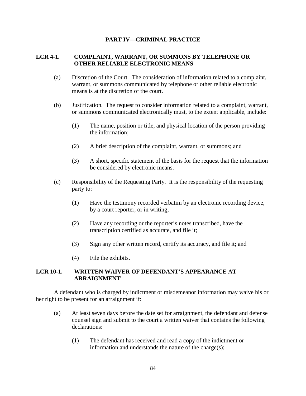### **PART IV—CRIMINAL PRACTICE**

### **LCR 4-1. COMPLAINT, WARRANT, OR SUMMONS BY TELEPHONE OR OTHER RELIABLE ELECTRONIC MEANS**

- (a) Discretion of the Court. The consideration of information related to a complaint, warrant, or summons communicated by telephone or other reliable electronic means is at the discretion of the court.
- (b) Justification. The request to consider information related to a complaint, warrant, or summons communicated electronically must, to the extent applicable, include:
	- (1) The name, position or title, and physical location of the person providing the information;
	- (2) A brief description of the complaint, warrant, or summons; and
	- (3) A short, specific statement of the basis for the request that the information be considered by electronic means.
- (c) Responsibility of the Requesting Party. It is the responsibility of the requesting party to:
	- (1) Have the testimony recorded verbatim by an electronic recording device, by a court reporter, or in writing;
	- (2) Have any recording or the reporter's notes transcribed, have the transcription certified as accurate, and file it;
	- (3) Sign any other written record, certify its accuracy, and file it; and
	- (4) File the exhibits.

### **LCR 10-1. WRITTEN WAIVER OF DEFENDANT'S APPEARANCE AT ARRAIGNMENT**

A defendant who is charged by indictment or misdemeanor information may waive his or her right to be present for an arraignment if:

- (a) At least seven days before the date set for arraignment, the defendant and defense counsel sign and submit to the court a written waiver that contains the following declarations:
	- (1) The defendant has received and read a copy of the indictment or information and understands the nature of the charge(s);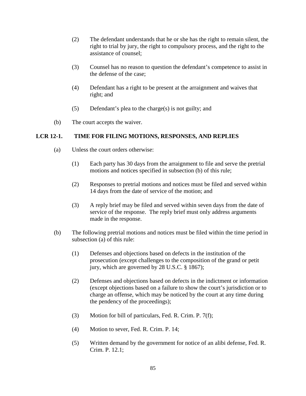- (2) The defendant understands that he or she has the right to remain silent, the right to trial by jury, the right to compulsory process, and the right to the assistance of counsel;
- (3) Counsel has no reason to question the defendant's competence to assist in the defense of the case;
- (4) Defendant has a right to be present at the arraignment and waives that right; and
- (5) Defendant's plea to the charge(s) is not guilty; and
- (b) The court accepts the waiver.

### **LCR 12-1. TIME FOR FILING MOTIONS, RESPONSES, AND REPLIES**

- (a) Unless the court orders otherwise:
	- (1) Each party has 30 days from the arraignment to file and serve the pretrial motions and notices specified in subsection (b) of this rule;
	- (2) Responses to pretrial motions and notices must be filed and served within 14 days from the date of service of the motion; and
	- (3) A reply brief may be filed and served within seven days from the date of service of the response. The reply brief must only address arguments made in the response.
- (b) The following pretrial motions and notices must be filed within the time period in subsection (a) of this rule:
	- (1) Defenses and objections based on defects in the institution of the prosecution (except challenges to the composition of the grand or petit jury, which are governed by 28 U.S.C. § 1867);
	- (2) Defenses and objections based on defects in the indictment or information (except objections based on a failure to show the court's jurisdiction or to charge an offense, which may be noticed by the court at any time during the pendency of the proceedings);
	- (3) Motion for bill of particulars, Fed. R. Crim. P. 7(f);
	- (4) Motion to sever, Fed. R. Crim. P. 14;
	- (5) Written demand by the government for notice of an alibi defense, Fed. R. Crim. P. 12.1;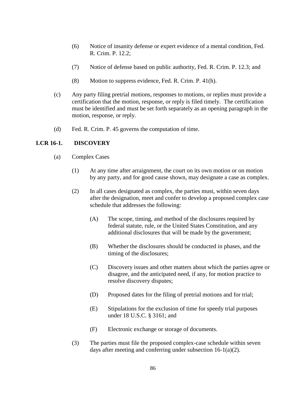- (6) Notice of insanity defense or expert evidence of a mental condition, Fed. R. Crim. P. 12.2;
- (7) Notice of defense based on public authority, Fed. R. Crim. P. 12.3; and
- (8) Motion to suppress evidence, Fed. R. Crim. P. 41(h).
- (c) Any party filing pretrial motions, responses to motions, or replies must provide a certification that the motion, response, or reply is filed timely. The certification must be identified and must be set forth separately as an opening paragraph in the motion, response, or reply.
- (d) Fed. R. Crim. P. 45 governs the computation of time.

## **LCR 16-1. DISCOVERY**

- (a) Complex Cases
	- (1) At any time after arraignment, the court on its own motion or on motion by any party, and for good cause shown, may designate a case as complex.
	- (2) In all cases designated as complex, the parties must, within seven days after the designation, meet and confer to develop a proposed complex case schedule that addresses the following:
		- (A) The scope, timing, and method of the disclosures required by federal statute, rule, or the United States Constitution, and any additional disclosures that will be made by the government;
		- (B) Whether the disclosures should be conducted in phases, and the timing of the disclosures;
		- (C) Discovery issues and other matters about which the parties agree or disagree, and the anticipated need, if any, for motion practice to resolve discovery disputes;
		- (D) Proposed dates for the filing of pretrial motions and for trial;
		- (E) Stipulations for the exclusion of time for speedy trial purposes under 18 U.S.C. § 3161; and
		- (F) Electronic exchange or storage of documents.
	- (3) The parties must file the proposed complex-case schedule within seven days after meeting and conferring under subsection 16-1(a)(2).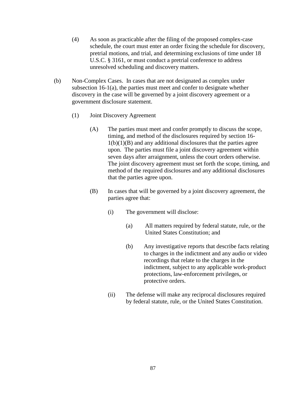- (4) As soon as practicable after the filing of the proposed complex-case schedule, the court must enter an order fixing the schedule for discovery, pretrial motions, and trial, and determining exclusions of time under 18 U.S.C. § 3161, or must conduct a pretrial conference to address unresolved scheduling and discovery matters.
- (b) Non-Complex Cases. In cases that are not designated as complex under subsection  $16-1(a)$ , the parties must meet and confer to designate whether discovery in the case will be governed by a joint discovery agreement or a government disclosure statement.
	- (1) Joint Discovery Agreement
		- (A) The parties must meet and confer promptly to discuss the scope, timing, and method of the disclosures required by section 16-  $1(b)(1)(B)$  and any additional disclosures that the parties agree upon. The parties must file a joint discovery agreement within seven days after arraignment, unless the court orders otherwise. The joint discovery agreement must set forth the scope, timing, and method of the required disclosures and any additional disclosures that the parties agree upon.
		- (B) In cases that will be governed by a joint discovery agreement, the parties agree that:
			- (i) The government will disclose:
				- (a) All matters required by federal statute, rule, or the United States Constitution; and
				- (b) Any investigative reports that describe facts relating to charges in the indictment and any audio or video recordings that relate to the charges in the indictment, subject to any applicable work-product protections, law-enforcement privileges, or protective orders.
			- (ii) The defense will make any reciprocal disclosures required by federal statute, rule, or the United States Constitution.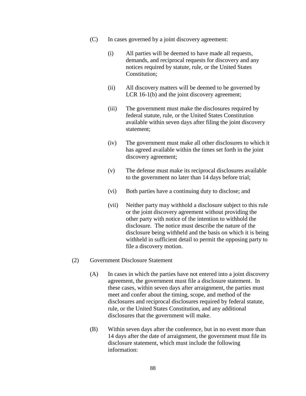- (C) In cases governed by a joint discovery agreement:
	- (i) All parties will be deemed to have made all requests, demands, and reciprocal requests for discovery and any notices required by statute, rule, or the United States Constitution;
	- (ii) All discovery matters will be deemed to be governed by LCR 16-1(b) and the joint discovery agreement;
	- (iii) The government must make the disclosures required by federal statute, rule, or the United States Constitution available within seven days after filing the joint discovery statement;
	- (iv) The government must make all other disclosures to which it has agreed available within the times set forth in the joint discovery agreement;
	- (v) The defense must make its reciprocal disclosures available to the government no later than 14 days before trial;
	- (vi) Both parties have a continuing duty to disclose; and
	- (vii) Neither party may withhold a disclosure subject to this rule or the joint discovery agreement without providing the other party with notice of the intention to withhold the disclosure. The notice must describe the nature of the disclosure being withheld and the basis on which it is being withheld in sufficient detail to permit the opposing party to file a discovery motion.
- (2) Government Disclosure Statement
	- (A) In cases in which the parties have not entered into a joint discovery agreement, the government must file a disclosure statement. In these cases, within seven days after arraignment, the parties must meet and confer about the timing, scope, and method of the disclosures and reciprocal disclosures required by federal statute, rule, or the United States Constitution, and any additional disclosures that the government will make.
	- (B) Within seven days after the conference, but in no event more than 14 days after the date of arraignment, the government must file its disclosure statement, which must include the following information: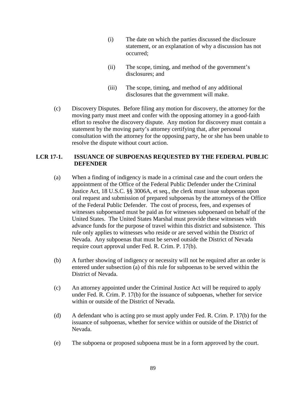- (i) The date on which the parties discussed the disclosure statement, or an explanation of why a discussion has not occurred;
- (ii) The scope, timing, and method of the government's disclosures; and
- (iii) The scope, timing, and method of any additional disclosures that the government will make.
- (c) Discovery Disputes. Before filing any motion for discovery, the attorney for the moving party must meet and confer with the opposing attorney in a good-faith effort to resolve the discovery dispute. Any motion for discovery must contain a statement by the moving party's attorney certifying that, after personal consultation with the attorney for the opposing party, he or she has been unable to resolve the dispute without court action.

## **LCR 17-1. ISSUANCE OF SUBPOENAS REQUESTED BY THE FEDERAL PUBLIC DEFENDER**

- (a) When a finding of indigency is made in a criminal case and the court orders the appointment of the Office of the Federal Public Defender under the Criminal Justice Act, 18 U.S.C. §§ 3006A, et seq., the clerk must issue subpoenas upon oral request and submission of prepared subpoenas by the attorneys of the Office of the Federal Public Defender. The cost of process, fees, and expenses of witnesses subpoenaed must be paid as for witnesses subpoenaed on behalf of the United States. The United States Marshal must provide these witnesses with advance funds for the purpose of travel within this district and subsistence. This rule only applies to witnesses who reside or are served within the District of Nevada. Any subpoenas that must be served outside the District of Nevada require court approval under Fed. R. Crim. P. 17(b).
- (b) A further showing of indigency or necessity will not be required after an order is entered under subsection (a) of this rule for subpoenas to be served within the District of Nevada.
- (c) An attorney appointed under the Criminal Justice Act will be required to apply under Fed. R. Crim. P. 17(b) for the issuance of subpoenas, whether for service within or outside of the District of Nevada.
- (d) A defendant who is acting pro se must apply under Fed. R. Crim. P. 17(b) for the issuance of subpoenas, whether for service within or outside of the District of Nevada.
- (e) The subpoena or proposed subpoena must be in a form approved by the court.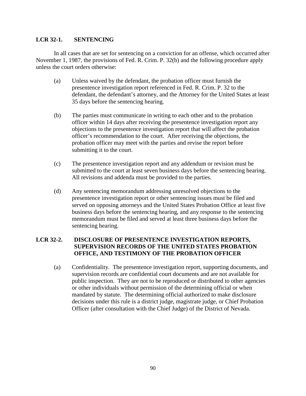### **LCR 32-1. SENTENCING**

In all cases that are set for sentencing on a conviction for an offense, which occurred after November 1, 1987, the provisions of Fed. R. Crim. P. 32(b) and the following procedure apply unless the court orders otherwise:

- (a) Unless waived by the defendant, the probation officer must furnish the presentence investigation report referenced in Fed. R. Crim. P. 32 to the defendant, the defendant's attorney, and the Attorney for the United States at least 35 days before the sentencing hearing.
- (b) The parties must communicate in writing to each other and to the probation officer within 14 days after receiving the presentence investigation report any objections to the presentence investigation report that will affect the probation officer's recommendation to the court. After receiving the objections, the probation officer may meet with the parties and revise the report before submitting it to the court.
- (c) The presentence investigation report and any addendum or revision must be submitted to the court at least seven business days before the sentencing hearing. All revisions and addenda must be provided to the parties.
- (d) Any sentencing memorandum addressing unresolved objections to the presentence investigation report or other sentencing issues must be filed and served on opposing attorneys and the United States Probation Office at least five business days before the sentencing hearing, and any response to the sentencing memorandum must be filed and served at least three business days before the sentencing hearing.

## **LCR 32-2. DISCLOSURE OF PRESENTENCE INVESTIGATION REPORTS, SUPERVISION RECORDS OF THE UNITED STATES PROBATION OFFICE, AND TESTIMONY OF THE PROBATION OFFICER**

(a) Confidentiality. The presentence investigation report, supporting documents, and supervision records are confidential court documents and are not available for public inspection. They are not to be reproduced or distributed to other agencies or other individuals without permission of the determining official or when mandated by statute. The determining official authorized to make disclosure decisions under this rule is a district judge, magistrate judge, or Chief Probation Officer (after consultation with the Chief Judge) of the District of Nevada.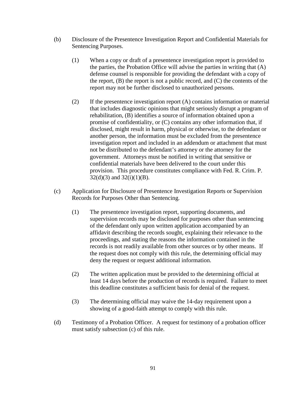- (b) Disclosure of the Presentence Investigation Report and Confidential Materials for Sentencing Purposes.
	- (1) When a copy or draft of a presentence investigation report is provided to the parties, the Probation Office will advise the parties in writing that (A) defense counsel is responsible for providing the defendant with a copy of the report,  $(B)$  the report is not a public record, and  $(C)$  the contents of the report may not be further disclosed to unauthorized persons.
	- (2) If the presentence investigation report (A) contains information or material that includes diagnostic opinions that might seriously disrupt a program of rehabilitation, (B) identifies a source of information obtained upon a promise of confidentiality, or (C) contains any other information that, if disclosed, might result in harm, physical or otherwise, to the defendant or another person, the information must be excluded from the presentence investigation report and included in an addendum or attachment that must not be distributed to the defendant's attorney or the attorney for the government. Attorneys must be notified in writing that sensitive or confidential materials have been delivered to the court under this provision. This procedure constitutes compliance with Fed. R. Crim. P.  $32(d)(3)$  and  $32(i)(1)(B)$ .
- (c) Application for Disclosure of Presentence Investigation Reports or Supervision Records for Purposes Other than Sentencing.
	- (1) The presentence investigation report, supporting documents, and supervision records may be disclosed for purposes other than sentencing of the defendant only upon written application accompanied by an affidavit describing the records sought, explaining their relevance to the proceedings, and stating the reasons the information contained in the records is not readily available from other sources or by other means. If the request does not comply with this rule, the determining official may deny the request or request additional information.
	- (2) The written application must be provided to the determining official at least 14 days before the production of records is required. Failure to meet this deadline constitutes a sufficient basis for denial of the request.
	- (3) The determining official may waive the 14-day requirement upon a showing of a good-faith attempt to comply with this rule.
- (d) Testimony of a Probation Officer. A request for testimony of a probation officer must satisfy subsection (c) of this rule.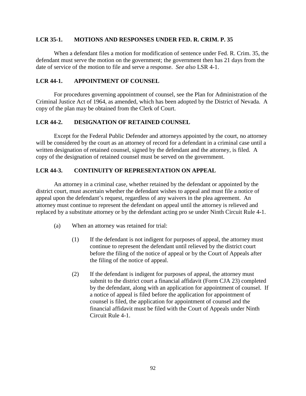### **LCR 35-1. MOTIONS AND RESPONSES UNDER FED. R. CRIM. P. 35**

When a defendant files a motion for modification of sentence under Fed. R. Crim. 35, the defendant must serve the motion on the government; the government then has 21 days from the date of service of the motion to file and serve a response. *See also* LSR 4-1.

### **LCR 44-1. APPOINTMENT OF COUNSEL**

For procedures governing appointment of counsel, see the Plan for Administration of the Criminal Justice Act of 1964, as amended, which has been adopted by the District of Nevada. A copy of the plan may be obtained from the Clerk of Court.

## **LCR 44-2. DESIGNATION OF RETAINED COUNSEL**

Except for the Federal Public Defender and attorneys appointed by the court, no attorney will be considered by the court as an attorney of record for a defendant in a criminal case until a written designation of retained counsel, signed by the defendant and the attorney, is filed. A copy of the designation of retained counsel must be served on the government.

## **LCR 44-3. CONTINUITY OF REPRESENTATION ON APPEAL**

An attorney in a criminal case, whether retained by the defendant or appointed by the district court, must ascertain whether the defendant wishes to appeal and must file a notice of appeal upon the defendant's request, regardless of any waivers in the plea agreement. An attorney must continue to represent the defendant on appeal until the attorney is relieved and replaced by a substitute attorney or by the defendant acting pro se under Ninth Circuit Rule 4-1.

- (a) When an attorney was retained for trial:
	- (1) If the defendant is not indigent for purposes of appeal, the attorney must continue to represent the defendant until relieved by the district court before the filing of the notice of appeal or by the Court of Appeals after the filing of the notice of appeal.
	- (2) If the defendant is indigent for purposes of appeal, the attorney must submit to the district court a financial affidavit (Form CJA 23) completed by the defendant, along with an application for appointment of counsel. If a notice of appeal is filed before the application for appointment of counsel is filed, the application for appointment of counsel and the financial affidavit must be filed with the Court of Appeals under Ninth Circuit Rule 4-1.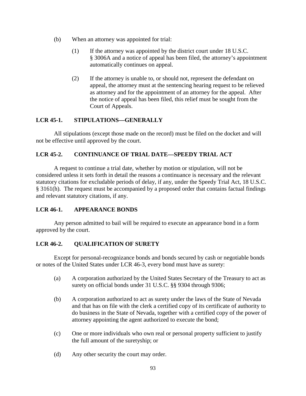- (b) When an attorney was appointed for trial:
	- (1) If the attorney was appointed by the district court under 18 U.S.C. § 3006A and a notice of appeal has been filed, the attorney's appointment automatically continues on appeal.
	- (2) If the attorney is unable to, or should not, represent the defendant on appeal, the attorney must at the sentencing hearing request to be relieved as attorney and for the appointment of an attorney for the appeal. After the notice of appeal has been filed, this relief must be sought from the Court of Appeals.

## **LCR 45-1. STIPULATIONS—GENERALLY**

All stipulations (except those made on the record) must be filed on the docket and will not be effective until approved by the court.

# **LCR 45-2. CONTINUANCE OF TRIAL DATE—SPEEDY TRIAL ACT**

A request to continue a trial date, whether by motion or stipulation, will not be considered unless it sets forth in detail the reasons a continuance is necessary and the relevant statutory citations for excludable periods of delay, if any, under the Speedy Trial Act, 18 U.S.C. § 3161(h). The request must be accompanied by a proposed order that contains factual findings and relevant statutory citations, if any.

## **LCR 46-1. APPEARANCE BONDS**

Any person admitted to bail will be required to execute an appearance bond in a form approved by the court.

## **LCR 46-2. QUALIFICATION OF SURETY**

Except for personal-recognizance bonds and bonds secured by cash or negotiable bonds or notes of the United States under LCR 46-3, every bond must have as surety:

- (a) A corporation authorized by the United States Secretary of the Treasury to act as surety on official bonds under 31 U.S.C. §§ 9304 through 9306;
- (b) A corporation authorized to act as surety under the laws of the State of Nevada and that has on file with the clerk a certified copy of its certificate of authority to do business in the State of Nevada, together with a certified copy of the power of attorney appointing the agent authorized to execute the bond;
- (c) One or more individuals who own real or personal property sufficient to justify the full amount of the suretyship; or
- (d) Any other security the court may order.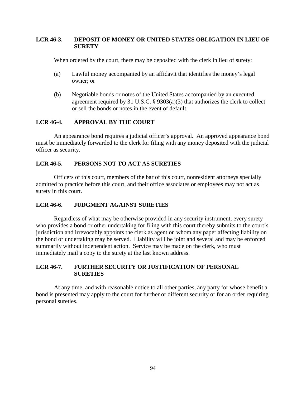### **LCR 46-3. DEPOSIT OF MONEY OR UNITED STATES OBLIGATION IN LIEU OF SURETY**

When ordered by the court, there may be deposited with the clerk in lieu of surety:

- (a) Lawful money accompanied by an affidavit that identifies the money's legal owner; or
- (b) Negotiable bonds or notes of the United States accompanied by an executed agreement required by 31 U.S.C. § 9303(a)(3) that authorizes the clerk to collect or sell the bonds or notes in the event of default.

## **LCR 46-4. APPROVAL BY THE COURT**

An appearance bond requires a judicial officer's approval. An approved appearance bond must be immediately forwarded to the clerk for filing with any money deposited with the judicial officer as security.

## **LCR 46-5. PERSONS NOT TO ACT AS SURETIES**

Officers of this court, members of the bar of this court, nonresident attorneys specially admitted to practice before this court, and their office associates or employees may not act as surety in this court.

## **LCR 46-6. JUDGMENT AGAINST SURETIES**

Regardless of what may be otherwise provided in any security instrument, every surety who provides a bond or other undertaking for filing with this court thereby submits to the court's jurisdiction and irrevocably appoints the clerk as agent on whom any paper affecting liability on the bond or undertaking may be served. Liability will be joint and several and may be enforced summarily without independent action. Service may be made on the clerk, who must immediately mail a copy to the surety at the last known address.

### **LCR 46-7. FURTHER SECURITY OR JUSTIFICATION OF PERSONAL SURETIES**

At any time, and with reasonable notice to all other parties, any party for whose benefit a bond is presented may apply to the court for further or different security or for an order requiring personal sureties.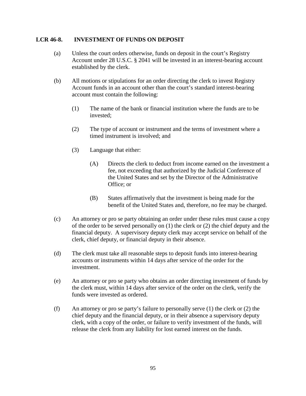### **LCR 46-8. INVESTMENT OF FUNDS ON DEPOSIT**

- (a) Unless the court orders otherwise, funds on deposit in the court's Registry Account under 28 U.S.C. § 2041 will be invested in an interest-bearing account established by the clerk.
- (b) All motions or stipulations for an order directing the clerk to invest Registry Account funds in an account other than the court's standard interest-bearing account must contain the following:
	- (1) The name of the bank or financial institution where the funds are to be invested;
	- (2) The type of account or instrument and the terms of investment where a timed instrument is involved; and
	- (3) Language that either:
		- (A) Directs the clerk to deduct from income earned on the investment a fee, not exceeding that authorized by the Judicial Conference of the United States and set by the Director of the Administrative Office; or
		- (B) States affirmatively that the investment is being made for the benefit of the United States and, therefore, no fee may be charged.
- (c) An attorney or pro se party obtaining an order under these rules must cause a copy of the order to be served personally on (1) the clerk or (2) the chief deputy and the financial deputy. A supervisory deputy clerk may accept service on behalf of the clerk, chief deputy, or financial deputy in their absence.
- (d) The clerk must take all reasonable steps to deposit funds into interest-bearing accounts or instruments within 14 days after service of the order for the investment.
- (e) An attorney or pro se party who obtains an order directing investment of funds by the clerk must, within 14 days after service of the order on the clerk, verify the funds were invested as ordered.
- (f) An attorney or pro se party's failure to personally serve (1) the clerk or (2) the chief deputy and the financial deputy, or in their absence a supervisory deputy clerk, with a copy of the order, or failure to verify investment of the funds, will release the clerk from any liability for lost earned interest on the funds.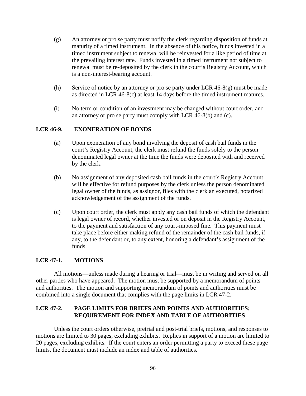- (g) An attorney or pro se party must notify the clerk regarding disposition of funds at maturity of a timed instrument. In the absence of this notice, funds invested in a timed instrument subject to renewal will be reinvested for a like period of time at the prevailing interest rate. Funds invested in a timed instrument not subject to renewal must be re-deposited by the clerk in the court's Registry Account, which is a non-interest-bearing account.
- (h) Service of notice by an attorney or pro se party under LCR 46-8(g) must be made as directed in LCR 46-8(c) at least 14 days before the timed instrument matures.
- (i) No term or condition of an investment may be changed without court order, and an attorney or pro se party must comply with LCR 46-8(b) and (c).

### **LCR 46-9. EXONERATION OF BONDS**

- (a) Upon exoneration of any bond involving the deposit of cash bail funds in the court's Registry Account, the clerk must refund the funds solely to the person denominated legal owner at the time the funds were deposited with and received by the clerk.
- (b) No assignment of any deposited cash bail funds in the court's Registry Account will be effective for refund purposes by the clerk unless the person denominated legal owner of the funds, as assignor, files with the clerk an executed, notarized acknowledgement of the assignment of the funds.
- (c) Upon court order, the clerk must apply any cash bail funds of which the defendant is legal owner of record, whether invested or on deposit in the Registry Account, to the payment and satisfaction of any court-imposed fine. This payment must take place before either making refund of the remainder of the cash bail funds, if any, to the defendant or, to any extent, honoring a defendant's assignment of the funds.

### **LCR 47-1. MOTIONS**

All motions—unless made during a hearing or trial—must be in writing and served on all other parties who have appeared. The motion must be supported by a memorandum of points and authorities. The motion and supporting memorandum of points and authorities must be combined into a single document that complies with the page limits in LCR 47-2.

### **LCR 47-2. PAGE LIMITS FOR BRIEFS AND POINTS AND AUTHORITIES; REQUIREMENT FOR INDEX AND TABLE OF AUTHORITIES**

Unless the court orders otherwise, pretrial and post-trial briefs, motions, and responses to motions are limited to 30 pages, excluding exhibits. Replies in support of a motion are limited to 20 pages, excluding exhibits. If the court enters an order permitting a party to exceed these page limits, the document must include an index and table of authorities.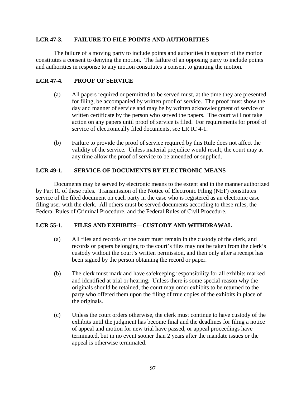## **LCR 47-3. FAILURE TO FILE POINTS AND AUTHORITIES**

The failure of a moving party to include points and authorities in support of the motion constitutes a consent to denying the motion. The failure of an opposing party to include points and authorities in response to any motion constitutes a consent to granting the motion.

### **LCR 47-4. PROOF OF SERVICE**

- (a) All papers required or permitted to be served must, at the time they are presented for filing, be accompanied by written proof of service. The proof must show the day and manner of service and may be by written acknowledgment of service or written certificate by the person who served the papers. The court will not take action on any papers until proof of service is filed. For requirements for proof of service of electronically filed documents, see LR IC 4-1.
- (b) Failure to provide the proof of service required by this Rule does not affect the validity of the service. Unless material prejudice would result, the court may at any time allow the proof of service to be amended or supplied.

### **LCR 49-1. SERVICE OF DOCUMENTS BY ELECTRONIC MEANS**

Documents may be served by electronic means to the extent and in the manner authorized by Part IC of these rules. Transmission of the Notice of Electronic Filing (NEF) constitutes service of the filed document on each party in the case who is registered as an electronic case filing user with the clerk. All others must be served documents according to these rules, the Federal Rules of Criminal Procedure, and the Federal Rules of Civil Procedure.

## **LCR 55-1. FILES AND EXHIBITS—CUSTODY AND WITHDRAWAL**

- (a) All files and records of the court must remain in the custody of the clerk, and records or papers belonging to the court's files may not be taken from the clerk's custody without the court's written permission, and then only after a receipt has been signed by the person obtaining the record or paper.
- (b) The clerk must mark and have safekeeping responsibility for all exhibits marked and identified at trial or hearing. Unless there is some special reason why the originals should be retained, the court may order exhibits to be returned to the party who offered them upon the filing of true copies of the exhibits in place of the originals.
- (c) Unless the court orders otherwise, the clerk must continue to have custody of the exhibits until the judgment has become final and the deadlines for filing a notice of appeal and motion for new trial have passed, or appeal proceedings have terminated, but in no event sooner than 2 years after the mandate issues or the appeal is otherwise terminated.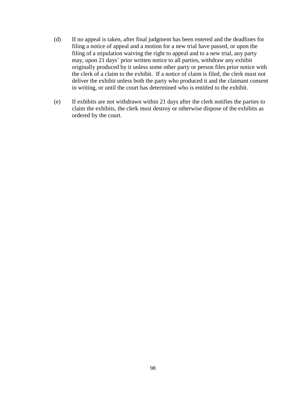- (d) If no appeal is taken, after final judgment has been entered and the deadlines for filing a notice of appeal and a motion for a new trial have passed, or upon the filing of a stipulation waiving the right to appeal and to a new trial, any party may, upon 21 days' prior written notice to all parties, withdraw any exhibit originally produced by it unless some other party or person files prior notice with the clerk of a claim to the exhibit. If a notice of claim is filed, the clerk must not deliver the exhibit unless both the party who produced it and the claimant consent in writing, or until the court has determined who is entitled to the exhibit.
- (e) If exhibits are not withdrawn within 21 days after the clerk notifies the parties to claim the exhibits, the clerk must destroy or otherwise dispose of the exhibits as ordered by the court.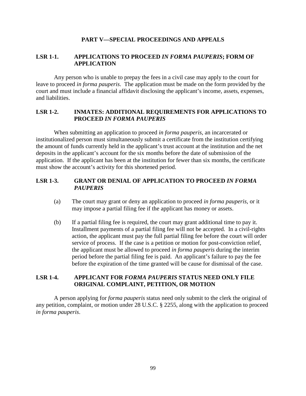### **PART V—SPECIAL PROCEEDINGS AND APPEALS**

### **LSR 1-1. APPLICATIONS TO PROCEED** *IN FORMA PAUPERIS***; FORM OF APPLICATION**

Any person who is unable to prepay the fees in a civil case may apply to the court for leave to proceed *in forma pauperis*. The application must be made on the form provided by the court and must include a financial affidavit disclosing the applicant's income, assets, expenses, and liabilities.

### **LSR 1-2. INMATES: ADDITIONAL REQUIREMENTS FOR APPLICATIONS TO PROCEED** *IN FORMA PAUPERIS*

When submitting an application to proceed *in forma pauperis*, an incarcerated or institutionalized person must simultaneously submit a certificate from the institution certifying the amount of funds currently held in the applicant's trust account at the institution and the net deposits in the applicant's account for the six months before the date of submission of the application. If the applicant has been at the institution for fewer than six months, the certificate must show the account's activity for this shortened period.

#### **LSR 1-3. GRANT OR DENIAL OF APPLICATION TO PROCEED** *IN FORMA PAUPERIS*

- (a) The court may grant or deny an application to proceed *in forma pauperis*, or it may impose a partial filing fee if the applicant has money or assets.
- (b) If a partial filing fee is required, the court may grant additional time to pay it. Installment payments of a partial filing fee will not be accepted. In a civil-rights action, the applicant must pay the full partial filing fee before the court will order service of process. If the case is a petition or motion for post-conviction relief, the applicant must be allowed to proceed *in forma pauperis* during the interim period before the partial filing fee is paid. An applicant's failure to pay the fee before the expiration of the time granted will be cause for dismissal of the case.

## **LSR 1-4. APPLICANT FOR** *FORMA PAUPERIS* **STATUS NEED ONLY FILE ORIGINAL COMPLAINT, PETITION, OR MOTION**

A person applying for *forma pauperis* status need only submit to the clerk the original of any petition, complaint, or motion under 28 U.S.C. § 2255, along with the application to proceed *in forma pauperis*.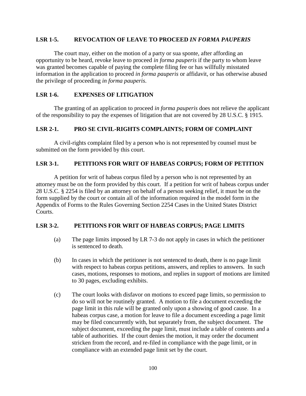### **LSR 1-5. REVOCATION OF LEAVE TO PROCEED** *IN FORMA PAUPERIS*

The court may, either on the motion of a party or sua sponte, after affording an opportunity to be heard, revoke leave to proceed *in forma pauperis* if the party to whom leave was granted becomes capable of paying the complete filing fee or has willfully misstated information in the application to proceed *in forma pauperis* or affidavit, or has otherwise abused the privilege of proceeding *in forma pauperis*.

## **LSR 1-6. EXPENSES OF LITIGATION**

The granting of an application to proceed *in forma pauperis* does not relieve the applicant of the responsibility to pay the expenses of litigation that are not covered by 28 U.S.C. § 1915.

## **LSR 2-1. PRO SE CIVIL-RIGHTS COMPLAINTS; FORM OF COMPLAINT**

A civil-rights complaint filed by a person who is not represented by counsel must be submitted on the form provided by this court.

### **LSR 3-1. PETITIONS FOR WRIT OF HABEAS CORPUS; FORM OF PETITION**

A petition for writ of habeas corpus filed by a person who is not represented by an attorney must be on the form provided by this court. If a petition for writ of habeas corpus under 28 U.S.C. § 2254 is filed by an attorney on behalf of a person seeking relief, it must be on the form supplied by the court or contain all of the information required in the model form in the Appendix of Forms to the Rules Governing Section 2254 Cases in the United States District Courts.

### **LSR 3-2. PETITIONS FOR WRIT OF HABEAS CORPUS; PAGE LIMITS**

- (a) The page limits imposed by LR 7-3 do not apply in cases in which the petitioner is sentenced to death.
- (b) In cases in which the petitioner is not sentenced to death, there is no page limit with respect to habeas corpus petitions, answers, and replies to answers. In such cases, motions, responses to motions, and replies in support of motions are limited to 30 pages, excluding exhibits.
- (c) The court looks with disfavor on motions to exceed page limits, so permission to do so will not be routinely granted. A motion to file a document exceeding the page limit in this rule will be granted only upon a showing of good cause. In a habeas corpus case, a motion for leave to file a document exceeding a page limit may be filed concurrently with, but separately from, the subject document. The subject document, exceeding the page limit, must include a table of contents and a table of authorities. If the court denies the motion, it may order the document stricken from the record, and re-filed in compliance with the page limit, or in compliance with an extended page limit set by the court.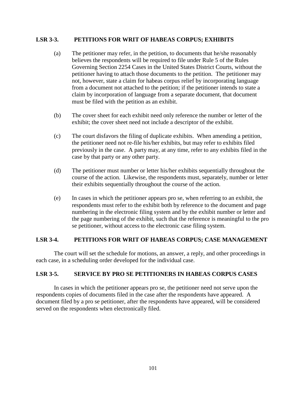## **LSR 3-3. PETITIONS FOR WRIT OF HABEAS CORPUS; EXHIBITS**

- (a) The petitioner may refer, in the petition, to documents that he/she reasonably believes the respondents will be required to file under Rule 5 of the Rules Governing Section 2254 Cases in the United States District Courts, without the petitioner having to attach those documents to the petition. The petitioner may not, however, state a claim for habeas corpus relief by incorporating language from a document not attached to the petition; if the petitioner intends to state a claim by incorporation of language from a separate document, that document must be filed with the petition as an exhibit.
- (b) The cover sheet for each exhibit need only reference the number or letter of the exhibit; the cover sheet need not include a descriptor of the exhibit.
- (c) The court disfavors the filing of duplicate exhibits. When amending a petition, the petitioner need not re-file his/her exhibits, but may refer to exhibits filed previously in the case. A party may, at any time, refer to any exhibits filed in the case by that party or any other party.
- (d) The petitioner must number or letter his/her exhibits sequentially throughout the course of the action. Likewise, the respondents must, separately, number or letter their exhibits sequentially throughout the course of the action.
- (e) In cases in which the petitioner appears pro se, when referring to an exhibit, the respondents must refer to the exhibit both by reference to the document and page numbering in the electronic filing system and by the exhibit number or letter and the page numbering of the exhibit, such that the reference is meaningful to the pro se petitioner, without access to the electronic case filing system.

### **LSR 3-4. PETITIONS FOR WRIT OF HABEAS CORPUS; CASE MANAGEMENT**

The court will set the schedule for motions, an answer, a reply, and other proceedings in each case, in a scheduling order developed for the individual case.

# **LSR 3-5. SERVICE BY PRO SE PETITIONERS IN HABEAS CORPUS CASES**

In cases in which the petitioner appears pro se, the petitioner need not serve upon the respondents copies of documents filed in the case after the respondents have appeared. A document filed by a pro se petitioner, after the respondents have appeared, will be considered served on the respondents when electronically filed.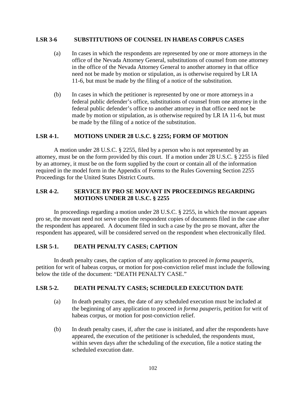### **LSR 3-6 SUBSTITUTIONS OF COUNSEL IN HABEAS CORPUS CASES**

- (a) In cases in which the respondents are represented by one or more attorneys in the office of the Nevada Attorney General, substitutions of counsel from one attorney in the office of the Nevada Attorney General to another attorney in that office need not be made by motion or stipulation, as is otherwise required by LR IA 11-6, but must be made by the filing of a notice of the substitution.
- (b) In cases in which the petitioner is represented by one or more attorneys in a federal public defender's office, substitutions of counsel from one attorney in the federal public defender's office to another attorney in that office need not be made by motion or stipulation, as is otherwise required by LR IA 11-6, but must be made by the filing of a notice of the substitution.

### **LSR 4-1. MOTIONS UNDER 28 U.S.C. § 2255; FORM OF MOTION**

A motion under 28 U.S.C. § 2255, filed by a person who is not represented by an attorney, must be on the form provided by this court. If a motion under 28 U.S.C. § 2255 is filed by an attorney, it must be on the form supplied by the court or contain all of the information required in the model form in the Appendix of Forms to the Rules Governing Section 2255 Proceedings for the United States District Courts.

### **LSR 4-2. SERVICE BY PRO SE MOVANT IN PROCEEDINGS REGARDING MOTIONS UNDER 28 U.S.C. § 2255**

In proceedings regarding a motion under 28 U.S.C. § 2255, in which the movant appears pro se, the movant need not serve upon the respondent copies of documents filed in the case after the respondent has appeared. A document filed in such a case by the pro se movant, after the respondent has appeared, will be considered served on the respondent when electronically filed.

### **LSR 5-1. DEATH PENALTY CASES; CAPTION**

In death penalty cases, the caption of any application to proceed *in forma pauperis*, petition for writ of habeas corpus, or motion for post-conviction relief must include the following below the title of the document: "DEATH PENALTY CASE."

### **LSR 5-2. DEATH PENALTY CASES; SCHEDULED EXECUTION DATE**

- (a) In death penalty cases, the date of any scheduled execution must be included at the beginning of any application to proceed *in forma pauperis*, petition for writ of habeas corpus, or motion for post-conviction relief.
- (b) In death penalty cases, if, after the case is initiated, and after the respondents have appeared, the execution of the petitioner is scheduled, the respondents must, within seven days after the scheduling of the execution, file a notice stating the scheduled execution date.